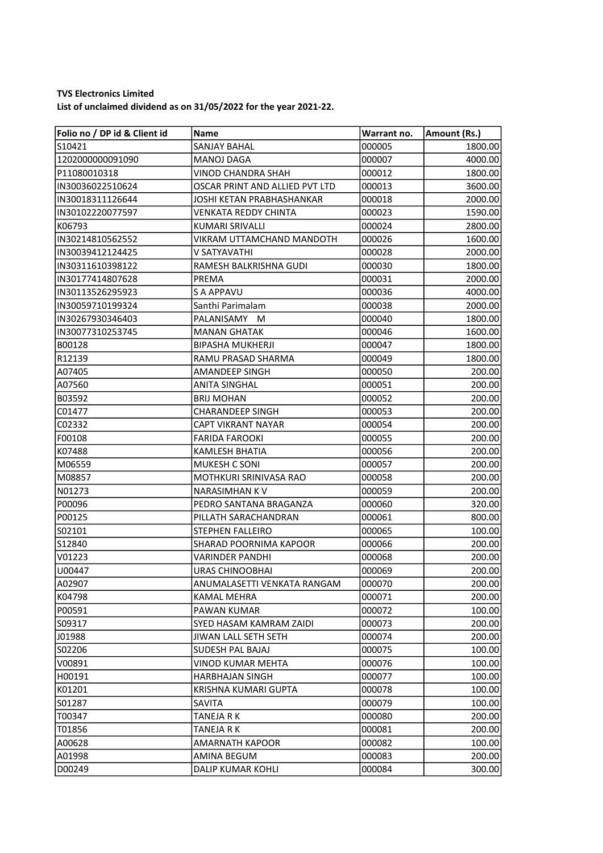## TVS Electronics Limited

List of unclaimed dividend as on 31/05/2022 for the year 2021-22.

| Folio no / DP id & Client id | Name                           | Warrant no. | Amount (Rs.) |
|------------------------------|--------------------------------|-------------|--------------|
| lS10421                      | SANJAY BAHAL                   | 000005      | 1800.00      |
| 1202000000091090             | <b>MANOJ DAGA</b>              | 000007      | 4000.00      |
| P11080010318                 | VINOD CHANDRA SHAH             | 000012      | 1800.00      |
| IIN30036022510624            | OSCAR PRINT AND ALLIED PVT LTD | 000013      | 3600.00      |
| IN30018311126644             | JOSHI KETAN PRABHASHANKAR      | 000018      | 2000.00      |
| IN30102220077597             | <b>VENKATA REDDY CHINTA</b>    | 000023      | 1590.00      |
| K06793                       | <b>KUMARI SRIVALLI</b>         | 000024      | 2800.00      |
| IN30214810562552             | VIKRAM UTTAMCHAND MANDOTH      | 000026      | 1600.00      |
| IN30039412124425             | V SATYAVATHI                   | 000028      | 2000.00      |
| IN30311610398122             | RAMESH BALKRISHNA GUDI         | 000030      | 1800.00      |
| IN30177414807628             | PREMA                          | 000031      | 2000.00      |
| IN30113526295923             | S A APPAVU                     | 000036      | 4000.00      |
| IN30059710199324             | Santhi Parimalam               | 000038      | 2000.00      |
| IN30267930346403             | PALANISAMY M                   | 000040      | 1800.00      |
| IN30077310253745             | <b>MANAN GHATAK</b>            | 000046      | 1600.00      |
| B00128                       | <b>BIPASHA MUKHERJI</b>        | 000047      | 1800.00      |
| R12139                       | RAMU PRASAD SHARMA             | 000049      | 1800.00      |
| A07405                       | <b>AMANDEEP SINGH</b>          | 000050      | 200.00       |
| A07560                       | <b>ANITA SINGHAL</b>           | 000051      | 200.00       |
| B03592                       | <b>BRIJ MOHAN</b>              | 000052      | 200.00       |
| C01477                       | <b>CHARANDEEP SINGH</b>        | 000053      | 200.00       |
| C02332                       | CAPT VIKRANT NAYAR             | 000054      | 200.00       |
| F00108                       | <b>FARIDA FAROOKI</b>          | 000055      | 200.00       |
| K07488                       | <b>KAMLESH BHATIA</b>          | 000056      | 200.00       |
| M06559                       | <b>MUKESH C SONI</b>           | 000057      | 200.00       |
| M08857                       | MOTHKURI SRINIVASA RAO         | 000058      | 200.00       |
| N01273                       | NARASIMHAN K V                 | 000059      | 200.00       |
| P00096                       | PEDRO SANTANA BRAGANZA         | 000060      | 320.00       |
| P00125                       | PILLATH SARACHANDRAN           | 000061      | 800.00       |
| S02101                       | <b>STEPHEN FALLEIRO</b>        | 000065      | 100.00       |
| S12840                       | SHARAD POORNIMA KAPOOR         | 000066      | 200.00       |
| V01223                       | <b>VARINDER PANDHI</b>         | 000068      | 200.00       |
| U00447                       | URAS CHINOOBHAI                | 000069      | 200.00       |
| A02907                       | ANUMALASETTI VENKATA RANGAM    | 000070      | 200.00       |
| K04798                       | <b>KAMAL MEHRA</b>             | 000071      | 200.00       |
| P00591                       | PAWAN KUMAR                    | 000072      | 100.00       |
| S09317                       | SYED HASAM KAMRAM ZAIDI        | 000073      | 200.00       |
| J01988                       | JIWAN LALL SETH SETH           | 000074      | 200.00       |
| S02206                       | <b>SUDESH PAL BAJAJ</b>        | 000075      | 100.00       |
| V00891                       | <b>VINOD KUMAR MEHTA</b>       | 000076      | 100.00       |
| H00191                       | HARBHAJAN SINGH                | 000077      | 100.00       |
| K01201                       | KRISHNA KUMARI GUPTA           | 000078      | 100.00       |
| S01287                       | SAVITA                         | 000079      | 100.00       |
| T00347                       | TANEJA R K                     | 000080      | 200.00       |
| T01856                       | TANEJA R K                     | 000081      | 200.00       |
| A00628                       | <b>AMARNATH KAPOOR</b>         | 000082      | 100.00       |
| A01998                       | AMINA BEGUM                    | 000083      | 200.00       |
| D00249                       | DALIP KUMAR KOHLI              | 000084      | 300.00       |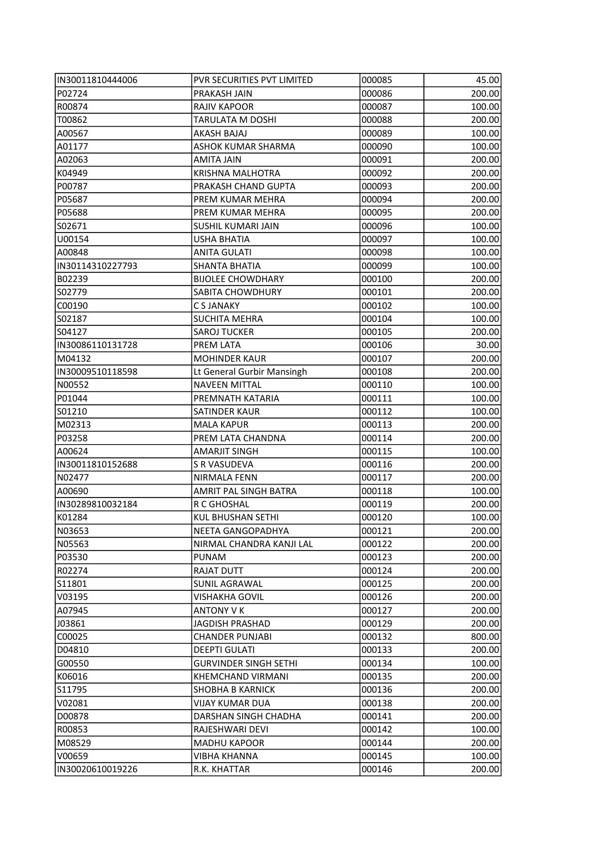| IN30011810444006 | PVR SECURITIES PVT LIMITED   | 000085 | 45.00  |
|------------------|------------------------------|--------|--------|
| P02724           | PRAKASH JAIN                 | 000086 | 200.00 |
| R00874           | <b>RAJIV KAPOOR</b>          | 000087 | 100.00 |
| T00862           | TARULATA M DOSHI             | 000088 | 200.00 |
| A00567           | AKASH BAJAJ                  | 000089 | 100.00 |
| A01177           | <b>ASHOK KUMAR SHARMA</b>    | 000090 | 100.00 |
| A02063           | AMITA JAIN                   | 000091 | 200.00 |
| K04949           | <b>KRISHNA MALHOTRA</b>      | 000092 | 200.00 |
| P00787           | PRAKASH CHAND GUPTA          | 000093 | 200.00 |
| P05687           | PREM KUMAR MEHRA             | 000094 | 200.00 |
| P05688           | PREM KUMAR MEHRA             | 000095 | 200.00 |
| S02671           | SUSHIL KUMARI JAIN           | 000096 | 100.00 |
| U00154           | <b>USHA BHATIA</b>           | 000097 | 100.00 |
| A00848           | <b>ANITA GULATI</b>          | 000098 | 100.00 |
| IN30114310227793 | SHANTA BHATIA                | 000099 | 100.00 |
| B02239           | <b>BIJOLEE CHOWDHARY</b>     | 000100 | 200.00 |
| S02779           | <b>SABITA CHOWDHURY</b>      | 000101 | 200.00 |
| C00190           | C S JANAKY                   | 000102 | 100.00 |
| S02187           | <b>SUCHITA MEHRA</b>         | 000104 | 100.00 |
| S04127           | <b>SAROJ TUCKER</b>          | 000105 | 200.00 |
| IN30086110131728 | PREM LATA                    | 000106 | 30.00  |
| M04132           | <b>MOHINDER KAUR</b>         | 000107 | 200.00 |
| IN30009510118598 | Lt General Gurbir Mansingh   | 000108 | 200.00 |
| N00552           | <b>NAVEEN MITTAL</b>         | 000110 | 100.00 |
| P01044           | PREMNATH KATARIA             | 000111 | 100.00 |
| S01210           | SATINDER KAUR                | 000112 | 100.00 |
| M02313           | <b>MALA KAPUR</b>            | 000113 | 200.00 |
| P03258           | PREM LATA CHANDNA            | 000114 | 200.00 |
| A00624           | <b>AMARJIT SINGH</b>         | 000115 | 100.00 |
| IN30011810152688 | S R VASUDEVA                 | 000116 | 200.00 |
| N02477           | <b>NIRMALA FENN</b>          | 000117 | 200.00 |
| A00690           | AMRIT PAL SINGH BATRA        | 000118 | 100.00 |
| IN30289810032184 | R C GHOSHAL                  | 000119 | 200.00 |
| K01284           | <b>KUL BHUSHAN SETHI</b>     | 000120 | 100.00 |
| N03653           | NEETA GANGOPADHYA            | 000121 | 200.00 |
| N05563           | NIRMAL CHANDRA KANJI LAL     | 000122 | 200.00 |
| P03530           | <b>PUNAM</b>                 | 000123 | 200.00 |
| R02274           | <b>RAJAT DUTT</b>            | 000124 | 200.00 |
| S11801           | <b>SUNIL AGRAWAL</b>         | 000125 | 200.00 |
| V03195           | VISHAKHA GOVIL               | 000126 | 200.00 |
| A07945           | <b>ANTONY V K</b>            | 000127 | 200.00 |
| J03861           | JAGDISH PRASHAD              | 000129 | 200.00 |
| C00025           | <b>CHANDER PUNJABI</b>       | 000132 | 800.00 |
| D04810           | DEEPTI GULATI                | 000133 | 200.00 |
| G00550           | <b>GURVINDER SINGH SETHI</b> | 000134 | 100.00 |
| K06016           | KHEMCHAND VIRMANI            | 000135 | 200.00 |
| S11795           | <b>SHOBHA B KARNICK</b>      | 000136 | 200.00 |
| V02081           | <b>VIJAY KUMAR DUA</b>       | 000138 | 200.00 |
| D00878           | DARSHAN SINGH CHADHA         | 000141 | 200.00 |
| R00853           | RAJESHWARI DEVI              | 000142 | 100.00 |
| M08529           | <b>MADHU KAPOOR</b>          | 000144 | 200.00 |
| V00659           | VIBHA KHANNA                 | 000145 | 100.00 |
| IN30020610019226 | R.K. KHATTAR                 | 000146 | 200.00 |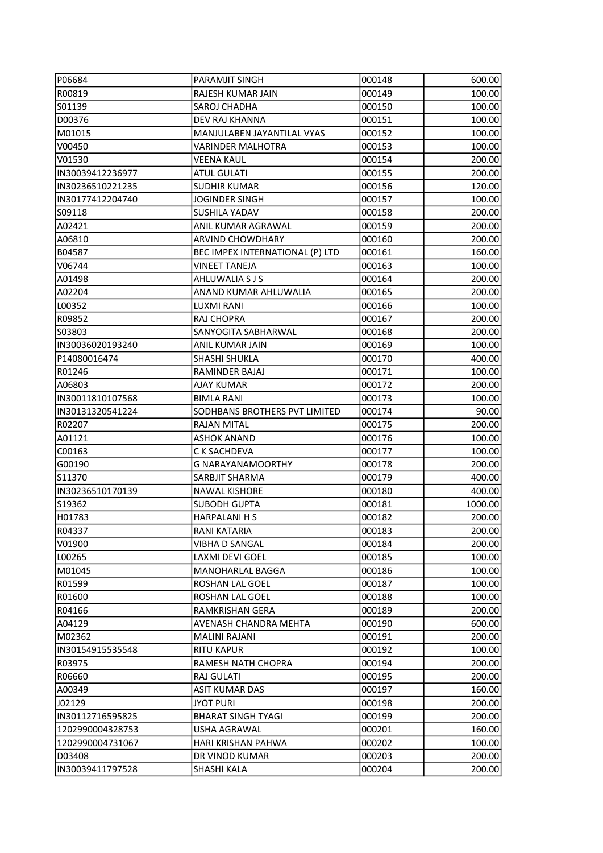| P06684            | PARAMJIT SINGH                  | 000148 | 600.00  |
|-------------------|---------------------------------|--------|---------|
| R00819            | RAJESH KUMAR JAIN               | 000149 | 100.00  |
| S01139            | SAROJ CHADHA                    | 000150 | 100.00  |
| D00376            | DEV RAJ KHANNA                  | 000151 | 100.00  |
| M01015            | MANJULABEN JAYANTILAL VYAS      | 000152 | 100.00  |
| V00450            | <b>VARINDER MALHOTRA</b>        | 000153 | 100.00  |
| V01530            | VEENA KAUL                      | 000154 | 200.00  |
| IN30039412236977  | <b>ATUL GULATI</b>              | 000155 | 200.00  |
| IN30236510221235  | <b>SUDHIR KUMAR</b>             | 000156 | 120.00  |
| IN30177412204740  | JOGINDER SINGH                  | 000157 | 100.00  |
| S09118            | SUSHILA YADAV                   | 000158 | 200.00  |
| A02421            | ANIL KUMAR AGRAWAL              | 000159 | 200.00  |
| A06810            | <b>ARVIND CHOWDHARY</b>         | 000160 | 200.00  |
| B04587            | BEC IMPEX INTERNATIONAL (P) LTD | 000161 | 160.00  |
| V06744            | <b>VINEET TANEJA</b>            | 000163 | 100.00  |
| A01498            | AHLUWALIA S J S                 | 000164 | 200.00  |
| A02204            | ANAND KUMAR AHLUWALIA           | 000165 | 200.00  |
| L00352            | LUXMI RANI                      | 000166 | 100.00  |
| R09852            | RAJ CHOPRA                      | 000167 | 200.00  |
| S03803            | SANYOGITA SABHARWAL             | 000168 | 200.00  |
| IIN30036020193240 | ANIL KUMAR JAIN                 | 000169 | 100.00  |
| P14080016474      | SHASHI SHUKLA                   | 000170 | 400.00  |
| R01246            | RAMINDER BAJAJ                  | 000171 | 100.00  |
| A06803            | AJAY KUMAR                      | 000172 | 200.00  |
| IN30011810107568  | <b>BIMLA RANI</b>               | 000173 | 100.00  |
| IN30131320541224  | SODHBANS BROTHERS PVT LIMITED   | 000174 | 90.00   |
| R02207            | <b>RAJAN MITAL</b>              | 000175 | 200.00  |
| A01121            | <b>ASHOK ANAND</b>              | 000176 | 100.00  |
| C00163            | C K SACHDEVA                    | 000177 | 100.00  |
| G00190            | G NARAYANAMOORTHY               | 000178 | 200.00  |
| S11370            | SARBJIT SHARMA                  | 000179 | 400.00  |
| IN30236510170139  | <b>NAWAL KISHORE</b>            | 000180 | 400.00  |
| S19362            | <b>SUBODH GUPTA</b>             | 000181 | 1000.00 |
| H01783            | <b>HARPALANIHS</b>              | 000182 | 200.00  |
| R04337            | RANI KATARIA                    | 000183 | 200.00  |
| V01900            | <b>VIBHA D SANGAL</b>           | 000184 | 200.00  |
| L00265            | LAXMI DEVI GOEL                 | 000185 | 100.00  |
| M01045            | MANOHARLAL BAGGA                | 000186 | 100.00  |
| R01599            | ROSHAN LAL GOEL                 | 000187 | 100.00  |
| R01600            | ROSHAN LAL GOEL                 | 000188 | 100.00  |
| R04166            | RAMKRISHAN GERA                 | 000189 | 200.00  |
| A04129            | AVENASH CHANDRA MEHTA           | 000190 | 600.00  |
| M02362            | MALINI RAJANI                   | 000191 | 200.00  |
| IN30154915535548  | RITU KAPUR                      | 000192 | 100.00  |
| R03975            | RAMESH NATH CHOPRA              | 000194 | 200.00  |
| R06660            | RAJ GULATI                      | 000195 | 200.00  |
| A00349            | <b>ASIT KUMAR DAS</b>           | 000197 | 160.00  |
| J02129            | <b>JYOT PURI</b>                | 000198 | 200.00  |
| IN30112716595825  | <b>BHARAT SINGH TYAGI</b>       | 000199 | 200.00  |
| 1202990004328753  | <b>USHA AGRAWAL</b>             | 000201 | 160.00  |
| 1202990004731067  | HARI KRISHAN PAHWA              | 000202 | 100.00  |
| D03408            | DR VINOD KUMAR                  | 000203 | 200.00  |
| IN30039411797528  | SHASHI KALA                     | 000204 | 200.00  |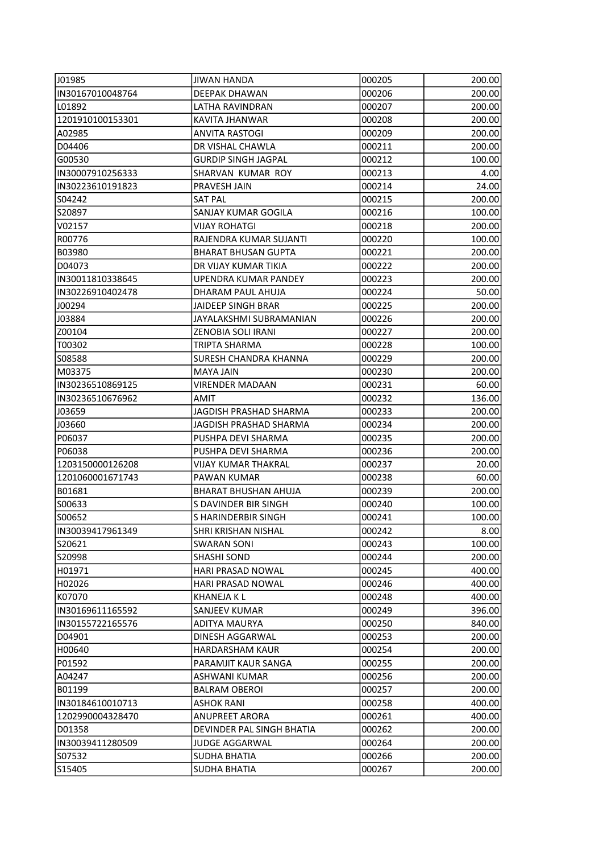| J01985            | <b>JIWAN HANDA</b>          | 000205 | 200.00 |
|-------------------|-----------------------------|--------|--------|
| IN30167010048764  | DEEPAK DHAWAN               | 000206 | 200.00 |
| L01892            | <b>LATHA RAVINDRAN</b>      | 000207 | 200.00 |
| 1201910100153301  | KAVITA JHANWAR              | 000208 | 200.00 |
| A02985            | <b>ANVITA RASTOGI</b>       | 000209 | 200.00 |
| D04406            | DR VISHAL CHAWLA            | 000211 | 200.00 |
| G00530            | <b>GURDIP SINGH JAGPAL</b>  | 000212 | 100.00 |
| IN30007910256333  | SHARVAN KUMAR ROY           | 000213 | 4.00   |
| IN30223610191823  | PRAVESH JAIN                | 000214 | 24.00  |
| S04242            | <b>SAT PAL</b>              | 000215 | 200.00 |
| S20897            | SANJAY KUMAR GOGILA         | 000216 | 100.00 |
| V02157            | <b>VIJAY ROHATGI</b>        | 000218 | 200.00 |
| R00776            | RAJENDRA KUMAR SUJANTI      | 000220 | 100.00 |
| B03980            | <b>BHARAT BHUSAN GUPTA</b>  | 000221 | 200.00 |
| D04073            | DR VIJAY KUMAR TIKIA        | 000222 | 200.00 |
| IN30011810338645  | <b>UPENDRA KUMAR PANDEY</b> | 000223 | 200.00 |
| IIN30226910402478 | DHARAM PAUL AHUJA           | 000224 | 50.00  |
| J00294            | <b>JAIDEEP SINGH BRAR</b>   | 000225 | 200.00 |
| J03884            | JAYALAKSHMI SUBRAMANIAN     | 000226 | 200.00 |
| Z00104            | ZENOBIA SOLI IRANI          | 000227 | 200.00 |
| T00302            | TRIPTA SHARMA               | 000228 | 100.00 |
| IS08588           | SURESH CHANDRA KHANNA       | 000229 | 200.00 |
| M03375            | <b>MAYA JAIN</b>            | 000230 | 200.00 |
| IN30236510869125  | VIRENDER MADAAN             | 000231 | 60.00  |
| IN30236510676962  | AMIT                        | 000232 | 136.00 |
| J03659            | JAGDISH PRASHAD SHARMA      | 000233 | 200.00 |
| J03660            | JAGDISH PRASHAD SHARMA      | 000234 | 200.00 |
| P06037            | PUSHPA DEVI SHARMA          | 000235 | 200.00 |
| P06038            | PUSHPA DEVI SHARMA          | 000236 | 200.00 |
| 1203150000126208  | VIJAY KUMAR THAKRAL         | 000237 | 20.00  |
| 1201060001671743  | <b>PAWAN KUMAR</b>          | 000238 | 60.00  |
| B01681            | <b>BHARAT BHUSHAN AHUJA</b> | 000239 | 200.00 |
| S00633            | S DAVINDER BIR SINGH        | 000240 | 100.00 |
| S00652            | S HARINDERBIR SINGH         | 000241 | 100.00 |
| IN30039417961349  | SHRI KRISHAN NISHAL         | 000242 | 8.00   |
| S20621            | SWARAN SONI                 | 000243 | 100.00 |
| S20998            | SHASHI SOND                 | 000244 | 200.00 |
| H01971            | HARI PRASAD NOWAL           | 000245 | 400.00 |
| H02026            | HARI PRASAD NOWAL           | 000246 | 400.00 |
| K07070            | <b>KHANEJA KL</b>           | 000248 | 400.00 |
| IN30169611165592  | <b>SANJEEV KUMAR</b>        | 000249 | 396.00 |
| IIN30155722165576 | ADITYA MAURYA               | 000250 | 840.00 |
| D04901            | DINESH AGGARWAL             | 000253 | 200.00 |
| H00640            | HARDARSHAM KAUR             | 000254 | 200.00 |
| P01592            | PARAMJIT KAUR SANGA         | 000255 | 200.00 |
| A04247            | ASHWANI KUMAR               | 000256 | 200.00 |
| B01199            | BALRAM OBEROI               | 000257 | 200.00 |
| IN30184610010713  | <b>ASHOK RANI</b>           | 000258 | 400.00 |
| 1202990004328470  | <b>ANUPREET ARORA</b>       | 000261 | 400.00 |
| D01358            | DEVINDER PAL SINGH BHATIA   | 000262 | 200.00 |
| IN30039411280509  | JUDGE AGGARWAL              | 000264 | 200.00 |
| S07532            | <b>SUDHA BHATIA</b>         | 000266 | 200.00 |
| S15405            | <b>SUDHA BHATIA</b>         | 000267 | 200.00 |
|                   |                             |        |        |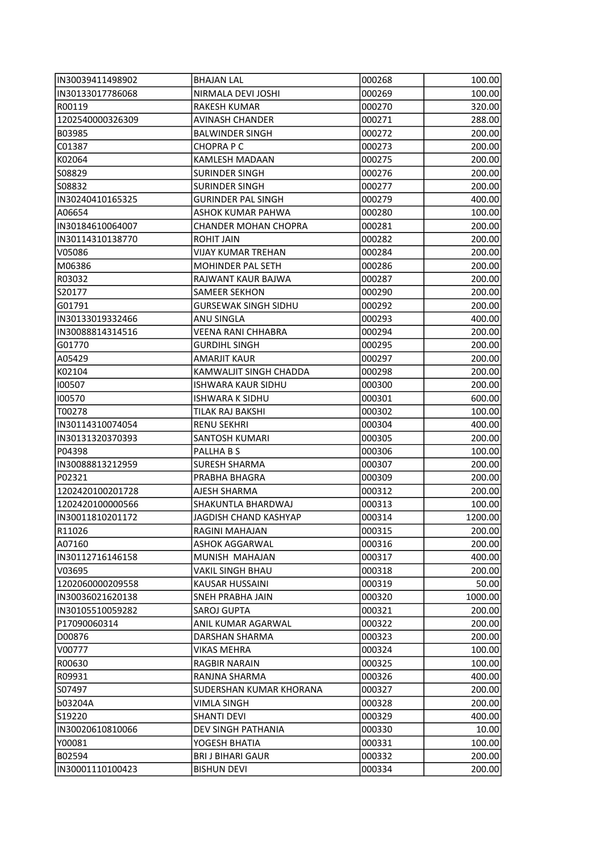| IN30039411498902  | <b>BHAJAN LAL</b>                       | 000268 | 100.00            |
|-------------------|-----------------------------------------|--------|-------------------|
| IN30133017786068  | NIRMALA DEVI JOSHI                      | 000269 | 100.00            |
| R00119            | <b>RAKESH KUMAR</b>                     | 000270 | 320.00            |
| 1202540000326309  | <b>AVINASH CHANDER</b>                  | 000271 | 288.00            |
| B03985            | <b>BALWINDER SINGH</b>                  | 000272 | 200.00            |
| C01387            | <b>CHOPRAPC</b>                         | 000273 | 200.00            |
| K02064            | KAMLESH MADAAN                          | 000275 | 200.00            |
| S08829            | <b>SURINDER SINGH</b>                   | 000276 | 200.00            |
| S08832            | <b>SURINDER SINGH</b>                   | 000277 | 200.00            |
| IN30240410165325  | <b>GURINDER PAL SINGH</b>               | 000279 | 400.00            |
| A06654            | ASHOK KUMAR PAHWA                       | 000280 | 100.00            |
| IN30184610064007  | <b>CHANDER MOHAN CHOPRA</b>             | 000281 | 200.00            |
| IN30114310138770  | <b>ROHIT JAIN</b>                       | 000282 | 200.00            |
| V05086            | <b>VIJAY KUMAR TREHAN</b>               | 000284 | 200.00            |
| M06386            | MOHINDER PAL SETH                       | 000286 | 200.00            |
| R03032            | RAJWANT KAUR BAJWA                      | 000287 | 200.00            |
| S20177            | SAMEER SEKHON                           | 000290 | 200.00            |
| G01791            | <b>GURSEWAK SINGH SIDHU</b>             | 000292 | 200.00            |
| IN30133019332466  | ANU SINGLA                              | 000293 | 400.00            |
| IN30088814314516  | <b>VEENA RANI CHHABRA</b>               | 000294 | 200.00            |
| G01770            | <b>GURDIHL SINGH</b>                    | 000295 | 200.00            |
| A05429            | <b>AMARJIT KAUR</b>                     | 000297 | 200.00            |
| K02104            | KAMWALJIT SINGH CHADDA                  | 000298 | 200.00            |
| 100507            | <b>ISHWARA KAUR SIDHU</b>               | 000300 | 200.00            |
| 100570            | <b>ISHWARA K SIDHU</b>                  | 000301 | 600.00            |
| T00278            | TILAK RAJ BAKSHI                        | 000302 | 100.00            |
| IN30114310074054  | <b>RENU SEKHRI</b>                      | 000304 | 400.00            |
| IN30131320370393  | <b>SANTOSH KUMARI</b>                   | 000305 | 200.00            |
| P04398            | PALLHA B S                              | 000306 | 100.00            |
| IN30088813212959  | <b>SURESH SHARMA</b>                    | 000307 | 200.00            |
| P02321            | PRABHA BHAGRA                           | 000309 | 200.00            |
| 1202420100201728  | AJESH SHARMA                            | 000312 | 200.00            |
| 1202420100000566  | SHAKUNTLA BHARDWAJ                      | 000313 |                   |
| IN30011810201172  | JAGDISH CHAND KASHYAP                   | 000314 | 100.00<br>1200.00 |
|                   |                                         |        |                   |
| R11026 <br>A07160 | RAGINI MAHAJAN<br><b>ASHOK AGGARWAL</b> | 000315 | 200.00            |
|                   |                                         | 000316 | 200.00            |
| IN30112716146158  | MUNISH MAHAJAN                          | 000317 | 400.00            |
| V03695            | VAKIL SINGH BHAU                        | 000318 | 200.00            |
| 1202060000209558  | KAUSAR HUSSAINI                         | 000319 | 50.00             |
| IN30036021620138  | SNEH PRABHA JAIN                        | 000320 | 1000.00           |
| IN30105510059282  | <b>SAROJ GUPTA</b>                      | 000321 | 200.00            |
| P17090060314      | ANIL KUMAR AGARWAL                      | 000322 | 200.00            |
| D00876            | DARSHAN SHARMA                          | 000323 | 200.00            |
| V00777            | VIKAS MEHRA                             | 000324 | 100.00            |
| R00630            | <b>RAGBIR NARAIN</b>                    | 000325 | 100.00            |
| R09931            | RANJNA SHARMA                           | 000326 | 400.00            |
| S07497            | SUDERSHAN KUMAR KHORANA                 | 000327 | 200.00            |
| b03204A           | <b>VIMLA SINGH</b>                      | 000328 | 200.00            |
| S19220            | <b>SHANTI DEVI</b>                      | 000329 | 400.00            |
| IN30020610810066  | DEV SINGH PATHANIA                      | 000330 | 10.00             |
| Y00081            | YOGESH BHATIA                           | 000331 | 100.00            |
| B02594            | <b>BRI J BIHARI GAUR</b>                | 000332 | 200.00            |
| IN30001110100423  | <b>BISHUN DEVI</b>                      | 000334 | 200.00            |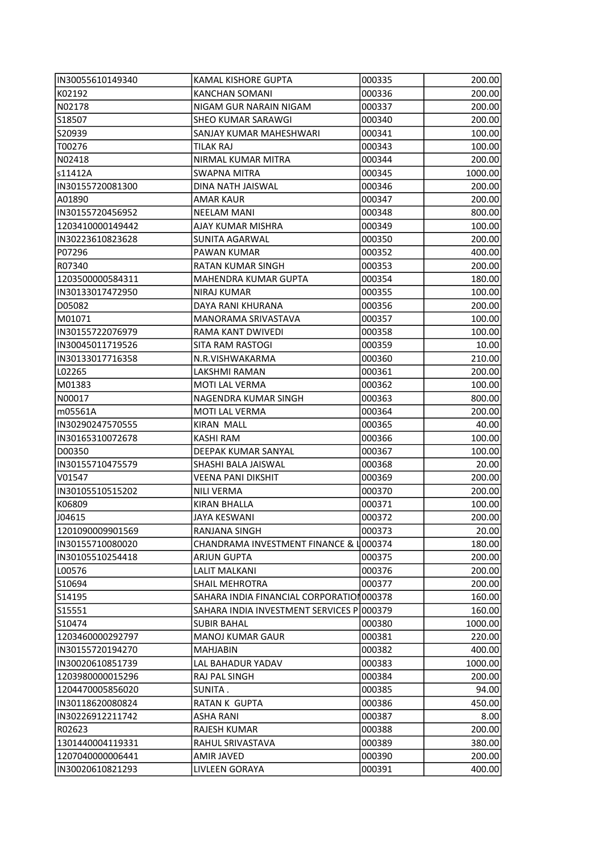| IN30055610149340  | <b>KAMAL KISHORE GUPTA</b>                | 000335 | 200.00         |
|-------------------|-------------------------------------------|--------|----------------|
| K02192            | KANCHAN SOMANI                            | 000336 | 200.00         |
| N02178            | NIGAM GUR NARAIN NIGAM                    | 000337 | 200.00         |
| S18507            | <b>SHEO KUMAR SARAWGI</b>                 | 000340 | 200.00         |
| S20939            | SANJAY KUMAR MAHESHWARI                   | 000341 | 100.00         |
| T00276            | <b>TILAK RAJ</b>                          | 000343 | 100.00         |
| N02418            | NIRMAL KUMAR MITRA                        | 000344 | 200.00         |
| ls11412A          | <b>SWAPNA MITRA</b>                       | 000345 | 1000.00        |
| IN30155720081300  | DINA NATH JAISWAL                         | 000346 | 200.00         |
| A01890            | <b>AMAR KAUR</b>                          | 000347 | 200.00         |
| IIN30155720456952 | <b>NEELAM MANI</b>                        | 000348 | 800.00         |
| 1203410000149442  | AJAY KUMAR MISHRA                         | 000349 | 100.00         |
| IN30223610823628  | SUNITA AGARWAL                            | 000350 | 200.00         |
| P07296            | PAWAN KUMAR                               | 000352 | 400.00         |
| R07340            | RATAN KUMAR SINGH                         | 000353 | 200.00         |
| 1203500000584311  | MAHENDRA KUMAR GUPTA                      | 000354 | 180.00         |
| IIN30133017472950 | NIRAJ KUMAR                               | 000355 | 100.00         |
| D05082            | DAYA RANI KHURANA                         | 000356 | 200.00         |
| M01071            | <b>MANORAMA SRIVASTAVA</b>                | 000357 | 100.00         |
| IN30155722076979  | RAMA KANT DWIVEDI                         | 000358 | 100.00         |
| IN30045011719526  | SITA RAM RASTOGI                          | 000359 | 10.00          |
| IN30133017716358  | N.R.VISHWAKARMA                           | 000360 | 210.00         |
| L02265            | LAKSHMI RAMAN                             | 000361 | 200.00         |
| M01383            | MOTI LAL VERMA                            | 000362 | 100.00         |
| N00017            | NAGENDRA KUMAR SINGH                      | 000363 | 800.00         |
| m05561A           | MOTI LAL VERMA                            | 000364 | 200.00         |
| IN30290247570555  | <b>KIRAN MALL</b>                         | 000365 | 40.00          |
| IN30165310072678  | KASHI RAM                                 | 000366 | 100.00         |
| D00350            | DEEPAK KUMAR SANYAL                       | 000367 | 100.00         |
| IN30155710475579  | SHASHI BALA JAISWAL                       | 000368 | 20.00          |
| V01547            | <b>VEENA PANI DIKSHIT</b>                 | 000369 | 200.00         |
| IIN30105510515202 | NILI VERMA                                | 000370 | 200.00         |
| K06809            | <b>KIRAN BHALLA</b>                       | 000371 | 100.00         |
| J04615            | JAYA KESWANI                              | 000372 | 200.00         |
| 1201090009901569  | RANJANA SINGH                             | 000373 | 20.00          |
| IN30155710080020  | CHANDRAMA INVESTMENT FINANCE & 1000374    |        | 180.00         |
| IN30105510254418  | <b>ARJUN GUPTA</b>                        | 000375 | 200.00         |
| L00576            | <b>LALIT MALKANI</b>                      | 000376 | 200.00         |
| S10694            | <b>SHAIL MEHROTRA</b>                     | 000377 | 200.00         |
| S14195            | SAHARA INDIA FINANCIAL CORPORATION 000378 |        | 160.00         |
| S15551            | SAHARA INDIA INVESTMENT SERVICES P 000379 |        | 160.00         |
| S10474            | <b>SUBIR BAHAL</b>                        | 000380 | 1000.00        |
| 1203460000292797  | <b>MANOJ KUMAR GAUR</b>                   | 000381 | 220.00         |
| IN30155720194270  | MAHJABIN                                  | 000382 | 400.00         |
| IN30020610851739  | LAL BAHADUR YADAV                         | 000383 | 1000.00        |
| 1203980000015296  | RAJ PAL SINGH                             | 000384 | 200.00         |
| 1204470005856020  | SUNITA.                                   | 000385 | 94.00          |
| IN30118620080824  | RATAN K GUPTA                             | 000386 |                |
| IN30226912211742  | <b>ASHA RANI</b>                          | 000387 | 450.00<br>8.00 |
| R02623            | <b>RAJESH KUMAR</b>                       | 000388 | 200.00         |
| 1301440004119331  | RAHUL SRIVASTAVA                          | 000389 | 380.00         |
| 1207040000006441  | AMIR JAVED                                | 000390 | 200.00         |
| IN30020610821293  | LIVLEEN GORAYA                            | 000391 | 400.00         |
|                   |                                           |        |                |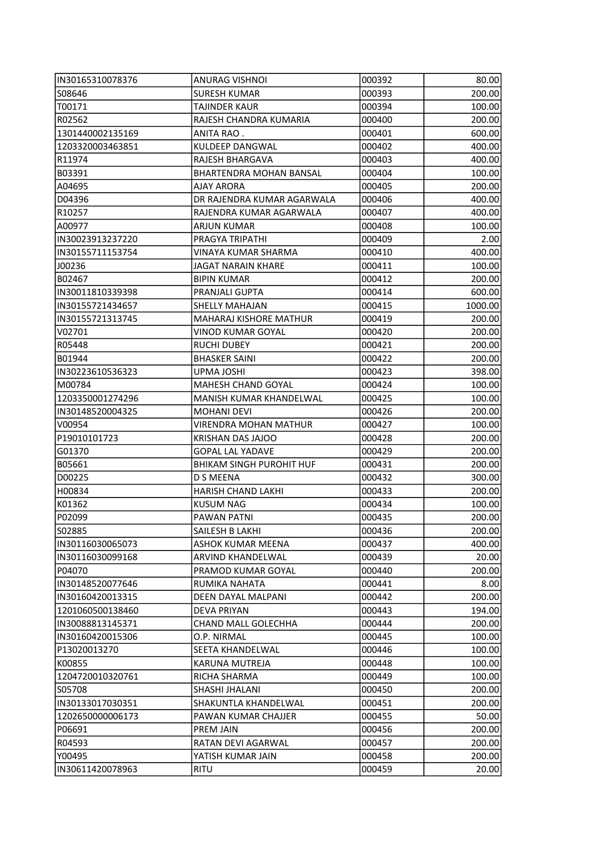| IIN30165310078376 | <b>ANURAG VISHNOI</b>           | 000392 | 80.00   |
|-------------------|---------------------------------|--------|---------|
| S08646            | <b>SURESH KUMAR</b>             | 000393 | 200.00  |
| T00171            | TAJINDER KAUR                   | 000394 | 100.00  |
| R02562            | RAJESH CHANDRA KUMARIA          | 000400 | 200.00  |
| 1301440002135169  | ANITA RAO .                     | 000401 | 600.00  |
| 1203320003463851  | <b>KULDEEP DANGWAL</b>          | 000402 | 400.00  |
| R11974            | RAJESH BHARGAVA                 | 000403 | 400.00  |
| B03391            | BHARTENDRA MOHAN BANSAL         | 000404 | 100.00  |
| A04695            | <b>AJAY ARORA</b>               | 000405 | 200.00  |
| D04396            | DR RAJENDRA KUMAR AGARWALA      | 000406 | 400.00  |
| R10257            | RAJENDRA KUMAR AGARWALA         | 000407 | 400.00  |
| A00977            | <b>ARJUN KUMAR</b>              | 000408 | 100.00  |
| IN30023913237220  | PRAGYA TRIPATHI                 | 000409 | 2.00    |
| IN30155711153754  | VINAYA KUMAR SHARMA             | 000410 | 400.00  |
| J00236            | <b>JAGAT NARAIN KHARE</b>       | 000411 | 100.00  |
| B02467            | <b>BIPIN KUMAR</b>              | 000412 | 200.00  |
| IN30011810339398  | PRANJALI GUPTA                  | 000414 | 600.00  |
| IN30155721434657  | SHELLY MAHAJAN                  | 000415 | 1000.00 |
| IN30155721313745  | MAHARAJ KISHORE MATHUR          | 000419 | 200.00  |
| V02701            | <b>VINOD KUMAR GOYAL</b>        | 000420 | 200.00  |
| R05448            | <b>RUCHI DUBEY</b>              | 000421 | 200.00  |
| B01944            | <b>BHASKER SAINI</b>            | 000422 | 200.00  |
| IN30223610536323  | UPMA JOSHI                      | 000423 | 398.00  |
| M00784            | <b>MAHESH CHAND GOYAL</b>       | 000424 | 100.00  |
| 1203350001274296  | MANISH KUMAR KHANDELWAL         | 000425 | 100.00  |
| IN30148520004325  | <b>MOHANI DEVI</b>              | 000426 | 200.00  |
| V00954            | <b>VIRENDRA MOHAN MATHUR</b>    | 000427 | 100.00  |
| P19010101723      | KRISHAN DAS JAJOO               | 000428 | 200.00  |
| G01370            | <b>GOPAL LAL YADAVE</b>         | 000429 | 200.00  |
| B05661            | <b>BHIKAM SINGH PUROHIT HUF</b> | 000431 | 200.00  |
| D00225            | D S MEENA                       | 000432 | 300.00  |
| H00834            | <b>HARISH CHAND LAKHI</b>       | 000433 | 200.00  |
| K01362            | <b>KUSUM NAG</b>                | 000434 | 100.00  |
| P02099            | <b>PAWAN PATNI</b>              | 000435 | 200.00  |
| 502885            | SAILESH B LAKHI                 | 000436 | 200.00  |
| IN30116030065073  | ASHOK KUMAR MEENA               | 000437 | 400.00  |
| IN30116030099168  | ARVIND KHANDELWAL               | 000439 | 20.00   |
| P04070            | PRAMOD KUMAR GOYAL              | 000440 | 200.00  |
| IN30148520077646  | RUMIKA NAHATA                   | 000441 | 8.00    |
| IIN30160420013315 | DEEN DAYAL MALPANI              | 000442 | 200.00  |
| 1201060500138460  | <b>DEVA PRIYAN</b>              | 000443 | 194.00  |
| IN30088813145371  | <b>CHAND MALL GOLECHHA</b>      | 000444 | 200.00  |
| IIN30160420015306 | O.P. NIRMAL                     | 000445 | 100.00  |
| P13020013270      | SEETA KHANDELWAL                | 000446 | 100.00  |
| K00855            | KARUNA MUTREJA                  | 000448 | 100.00  |
| 1204720010320761  | RICHA SHARMA                    | 000449 | 100.00  |
| S05708            | SHASHI JHALANI                  | 000450 | 200.00  |
| IN30133017030351  | SHAKUNTLA KHANDELWAL            | 000451 | 200.00  |
| 1202650000006173  | PAWAN KUMAR CHAJJER             | 000455 | 50.00   |
| P06691            | PREM JAIN                       | 000456 | 200.00  |
| R04593            | RATAN DEVI AGARWAL              | 000457 | 200.00  |
| Y00495            | YATISH KUMAR JAIN               | 000458 | 200.00  |
| IN30611420078963  | <b>RITU</b>                     | 000459 | 20.00   |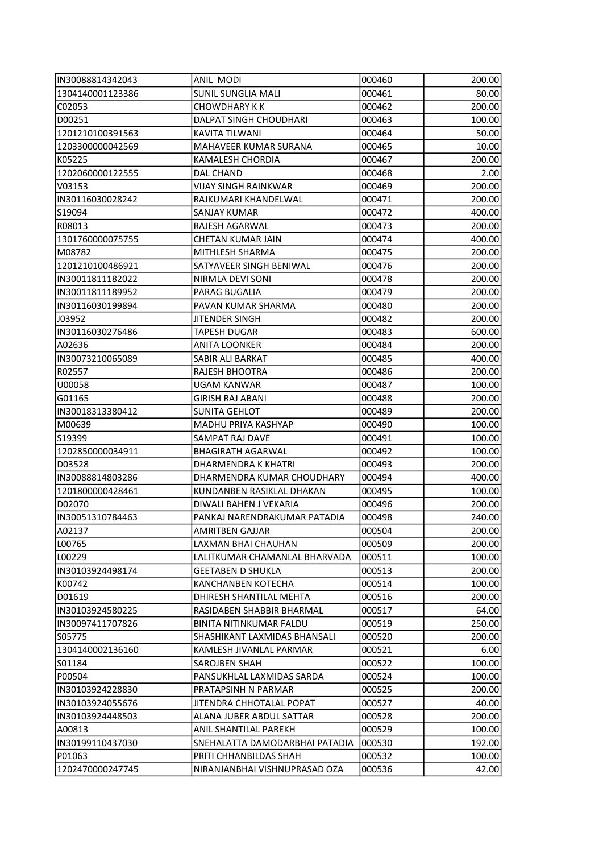| IN30088814342043  | ANIL MODI                      | 000460 | 200.00 |
|-------------------|--------------------------------|--------|--------|
| 1304140001123386  | <b>SUNIL SUNGLIA MALI</b>      | 000461 | 80.00  |
| C02053            | CHOWDHARY K K                  | 000462 | 200.00 |
| D00251            | DALPAT SINGH CHOUDHARI         | 000463 | 100.00 |
| 1201210100391563  | KAVITA TILWANI                 | 000464 | 50.00  |
| 1203300000042569  | MAHAVEER KUMAR SURANA          | 000465 | 10.00  |
| K05225            | KAMALESH CHORDIA               | 000467 | 200.00 |
| 1202060000122555  | <b>DAL CHAND</b>               | 000468 | 2.00   |
| V03153            | <b>VIJAY SINGH RAINKWAR</b>    | 000469 | 200.00 |
| IN30116030028242  | RAJKUMARI KHANDELWAL           | 000471 | 200.00 |
| S19094            | SANJAY KUMAR                   | 000472 | 400.00 |
| R08013            | RAJESH AGARWAL                 | 000473 | 200.00 |
| 1301760000075755  | CHETAN KUMAR JAIN              | 000474 | 400.00 |
| M08782            | MITHLESH SHARMA                | 000475 | 200.00 |
| 1201210100486921  | SATYAVEER SINGH BENIWAL        | 000476 | 200.00 |
| IN30011811182022  | NIRMLA DEVI SONI               | 000478 | 200.00 |
| IN30011811189952  | <b>PARAG BUGALIA</b>           | 000479 | 200.00 |
| IN30116030199894  | PAVAN KUMAR SHARMA             | 000480 | 200.00 |
| J03952            | <b>JITENDER SINGH</b>          | 000482 | 200.00 |
| IN30116030276486  | <b>TAPESH DUGAR</b>            | 000483 | 600.00 |
| A02636            | ANITA LOONKER                  | 000484 | 200.00 |
| IN30073210065089  | SABIR ALI BARKAT               | 000485 | 400.00 |
| R02557            | RAJESH BHOOTRA                 | 000486 | 200.00 |
| U00058            | <b>UGAM KANWAR</b>             | 000487 | 100.00 |
| G01165            | <b>GIRISH RAJ ABANI</b>        | 000488 | 200.00 |
| IN30018313380412  | <b>SUNITA GEHLOT</b>           | 000489 | 200.00 |
| M00639            | MADHU PRIYA KASHYAP            | 000490 | 100.00 |
| S19399            | SAMPAT RAJ DAVE                | 000491 | 100.00 |
| 1202850000034911  | <b>BHAGIRATH AGARWAL</b>       | 000492 | 100.00 |
| D03528            | DHARMENDRA K KHATRI            | 000493 | 200.00 |
| IN30088814803286  | DHARMENDRA KUMAR CHOUDHARY     | 000494 | 400.00 |
| 1201800000428461  | KUNDANBEN RASIKLAL DHAKAN      | 000495 | 100.00 |
| D02070            | DIWALI BAHEN J VEKARIA         | 000496 | 200.00 |
| IN30051310784463  | PANKAJ NARENDRAKUMAR PATADIA   | 000498 | 240.00 |
| A02137            | AMRITBEN GAJJAR                | 000504 | 200.00 |
| L00765            | LAXMAN BHAI CHAUHAN            | 000509 | 200.00 |
| LO0229            | LALITKUMAR CHAMANLAL BHARVADA  | 000511 | 100.00 |
| IN30103924498174  | <b>GEETABEN D SHUKLA</b>       | 000513 | 200.00 |
| K00742            | KANCHANBEN KOTECHA             | 000514 | 100.00 |
| D01619            | DHIRESH SHANTILAL MEHTA        | 000516 | 200.00 |
| IN30103924580225  | RASIDABEN SHABBIR BHARMAL      | 000517 | 64.00  |
| IIN30097411707826 | <b>BINITA NITINKUMAR FALDU</b> | 000519 | 250.00 |
| S05775            | SHASHIKANT LAXMIDAS BHANSALI   | 000520 | 200.00 |
| 1304140002136160  | KAMLESH JIVANLAL PARMAR        | 000521 | 6.00   |
|                   | <b>SAROJBEN SHAH</b>           | 000522 |        |
| S01184            |                                |        | 100.00 |
| P00504            | PANSUKHLAL LAXMIDAS SARDA      | 000524 | 100.00 |
| IN30103924228830  | PRATAPSINH N PARMAR            | 000525 | 200.00 |
| IN30103924055676  | JITENDRA CHHOTALAL POPAT       | 000527 | 40.00  |
| IN30103924448503  | ALANA JUBER ABDUL SATTAR       | 000528 | 200.00 |
| A00813            | ANIL SHANTILAL PAREKH          | 000529 | 100.00 |
| IN30199110437030  | SNEHALATTA DAMODARBHAI PATADIA | 000530 | 192.00 |
| P01063            | PRITI CHHANBILDAS SHAH         | 000532 | 100.00 |
| 1202470000247745  | NIRANJANBHAI VISHNUPRASAD OZA  | 000536 | 42.00  |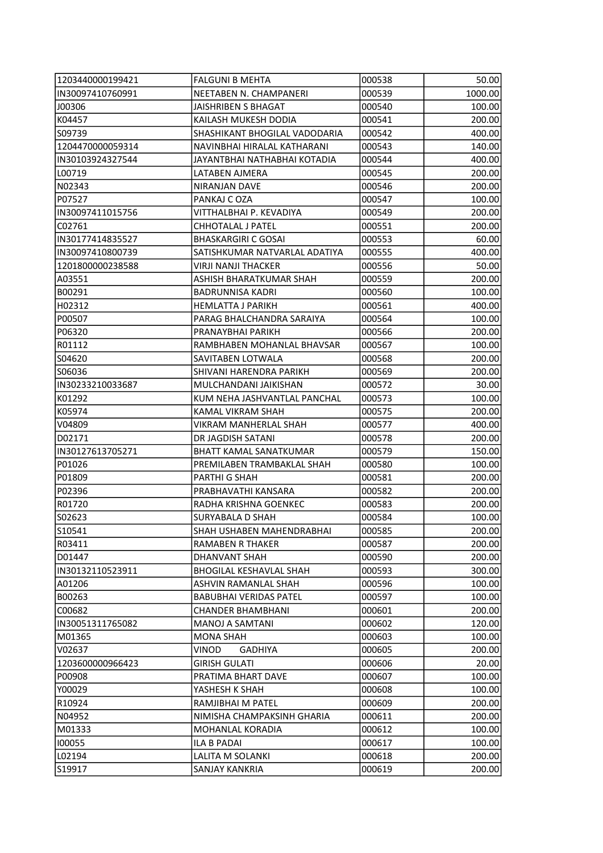| 1203440000199421 | <b>FALGUNI B MEHTA</b>         | 000538 | 50.00   |
|------------------|--------------------------------|--------|---------|
| IN30097410760991 | NEETABEN N. CHAMPANERI         | 000539 | 1000.00 |
| J00306           | JAISHRIBEN S BHAGAT            | 000540 | 100.00  |
| K04457           | KAILASH MUKESH DODIA           | 000541 | 200.00  |
| S09739           | SHASHIKANT BHOGILAL VADODARIA  | 000542 | 400.00  |
| 1204470000059314 | NAVINBHAI HIRALAL KATHARANI    | 000543 | 140.00  |
| IN30103924327544 | JAYANTBHAI NATHABHAI KOTADIA   | 000544 | 400.00  |
| L00719           | LATABEN AJMERA                 | 000545 | 200.00  |
| N02343           | NIRANJAN DAVE                  | 000546 | 200.00  |
| P07527           | PANKAJ C OZA                   | 000547 | 100.00  |
| IN30097411015756 | VITTHALBHAI P. KEVADIYA        | 000549 | 200.00  |
| C02761           | CHHOTALAL J PATEL              | 000551 | 200.00  |
| IN30177414835527 | <b>BHASKARGIRI C GOSAI</b>     | 000553 | 60.00   |
| IN30097410800739 | SATISHKUMAR NATVARLAL ADATIYA  | 000555 | 400.00  |
| 1201800000238588 | <b>VIRJI NANJI THACKER</b>     | 000556 | 50.00   |
| A03551           | ASHISH BHARATKUMAR SHAH        | 000559 | 200.00  |
| B00291           | BADRUNNISA KADRI               | 000560 | 100.00  |
| H02312           | <b>HEMLATTA J PARIKH</b>       | 000561 | 400.00  |
| P00507           | PARAG BHALCHANDRA SARAIYA      | 000564 | 100.00  |
| P06320           | PRANAYBHAI PARIKH              | 000566 | 200.00  |
| R01112           | RAMBHABEN MOHANLAL BHAVSAR     | 000567 | 100.00  |
| S04620           | SAVITABEN LOTWALA              | 000568 | 200.00  |
| S06036           | SHIVANI HARENDRA PARIKH        | 000569 | 200.00  |
| IN30233210033687 | MULCHANDANI JAIKISHAN          | 000572 | 30.00   |
| K01292           | KUM NEHA JASHVANTLAL PANCHAL   | 000573 | 100.00  |
| K05974           | KAMAL VIKRAM SHAH              | 000575 | 200.00  |
| V04809           | VIKRAM MANHERLAL SHAH          | 000577 | 400.00  |
| D02171           | DR JAGDISH SATANI              | 000578 | 200.00  |
| IN30127613705271 | <b>BHATT KAMAL SANATKUMAR</b>  | 000579 | 150.00  |
| P01026           | PREMILABEN TRAMBAKLAL SHAH     | 000580 | 100.00  |
| P01809           | PARTHI G SHAH                  | 000581 | 200.00  |
| P02396           | PRABHAVATHI KANSARA            | 000582 | 200.00  |
| R01720           | RADHA KRISHNA GOENKEC          | 000583 | 200.00  |
| S02623           | <b>SURYABALA D SHAH</b>        | 000584 | 100.00  |
| IS10541          | SHAH USHABEN MAHENDRABHAI      | 000585 | 200.00  |
| R03411           | RAMABEN R THAKER               | 000587 | 200.00  |
| D01447           | DHANVANT SHAH                  | 000590 | 200.00  |
| IN30132110523911 | <b>BHOGILAL KESHAVLAL SHAH</b> | 000593 | 300.00  |
| A01206           | ASHVIN RAMANLAL SHAH           | 000596 | 100.00  |
| B00263           | <b>BABUBHAI VERIDAS PATEL</b>  | 000597 | 100.00  |
| C00682           | <b>CHANDER BHAMBHANI</b>       | 000601 | 200.00  |
| IN30051311765082 | <b>MANOJ A SAMTANI</b>         | 000602 | 120.00  |
| M01365           | <b>MONA SHAH</b>               | 000603 | 100.00  |
| V02637           | VINOD<br>GADHIYA               | 000605 | 200.00  |
| 1203600000966423 | <b>GIRISH GULATI</b>           | 000606 | 20.00   |
| P00908           | PRATIMA BHART DAVE             | 000607 | 100.00  |
| Y00029           | YASHESH K SHAH                 | 000608 | 100.00  |
| R10924           | RAMJIBHAI M PATEL              | 000609 | 200.00  |
| N04952           | NIMISHA CHAMPAKSINH GHARIA     | 000611 | 200.00  |
| M01333           | MOHANLAL KORADIA               | 000612 | 100.00  |
| 100055           | <b>ILA B PADAI</b>             | 000617 | 100.00  |
| LO2194           | LALITA M SOLANKI               | 000618 | 200.00  |
| S19917           | SANJAY KANKRIA                 | 000619 | 200.00  |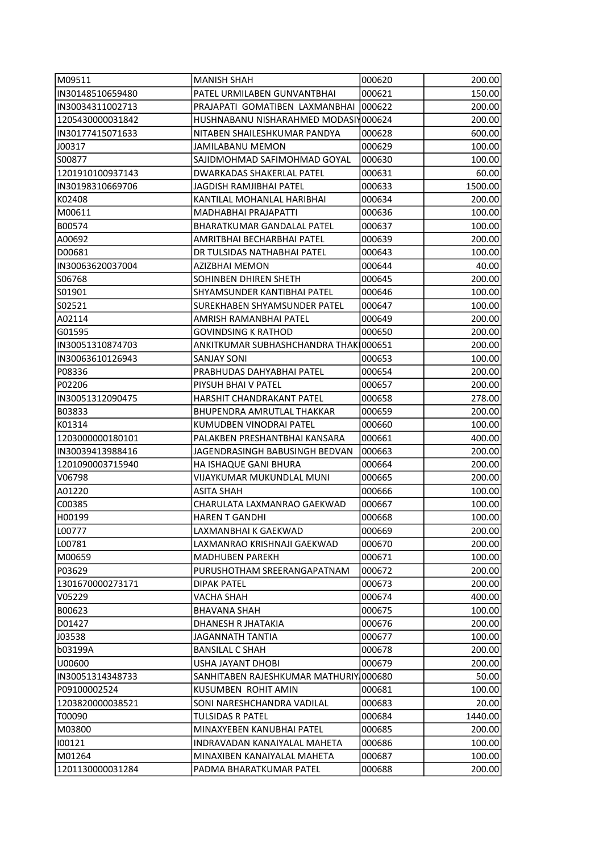| M09511            | MANISH SHAH                            | 000620 | 200.00  |
|-------------------|----------------------------------------|--------|---------|
| IN30148510659480  | PATEL URMILABEN GUNVANTBHAI            | 000621 | 150.00  |
| IIN30034311002713 | PRAJAPATI GOMATIBEN LAXMANBHAI         | 000622 | 200.00  |
| 1205430000031842  | HUSHNABANU NISHARAHMED MODASIN000624   |        | 200.00  |
| IN30177415071633  | NITABEN SHAILESHKUMAR PANDYA           | 000628 | 600.00  |
| J00317            | JAMILABANU MEMON                       | 000629 | 100.00  |
| S00877            | SAJIDMOHMAD SAFIMOHMAD GOYAL           | 000630 | 100.00  |
| 1201910100937143  | <b>DWARKADAS SHAKERLAL PATEL</b>       | 000631 | 60.00   |
| IN30198310669706  | JAGDISH RAMJIBHAI PATEL                | 000633 | 1500.00 |
| K02408            | KANTILAL MOHANLAL HARIBHAI             | 000634 | 200.00  |
| M00611            | MADHABHAI PRAJAPATTI                   | 000636 | 100.00  |
| B00574            | <b>BHARATKUMAR GANDALAL PATEL</b>      | 000637 | 100.00  |
| A00692            | AMRITBHAI BECHARBHAI PATEL             | 000639 | 200.00  |
| D00681            | DR TULSIDAS NATHABHAI PATEL            | 000643 | 100.00  |
| IN30063620037004  | AZIZBHAI MEMON                         | 000644 | 40.00   |
| S06768            | SOHINBEN DHIREN SHETH                  | 000645 | 200.00  |
| IS01901           | SHYAMSUNDER KANTIBHAI PATEL            | 000646 | 100.00  |
| S02521            | SUREKHABEN SHYAMSUNDER PATEL           | 000647 | 100.00  |
| A02114            | AMRISH RAMANBHAI PATEL                 | 000649 | 200.00  |
| G01595            | <b>GOVINDSING K RATHOD</b>             | 000650 | 200.00  |
| IIN30051310874703 | ANKITKUMAR SUBHASHCHANDRA THAKI000651  |        | 200.00  |
| IN30063610126943  | <b>SANJAY SONI</b>                     | 000653 | 100.00  |
| P08336            | PRABHUDAS DAHYABHAI PATEL              | 000654 | 200.00  |
| P02206            | PIYSUH BHAI V PATEL                    | 000657 | 200.00  |
| IN30051312090475  | HARSHIT CHANDRAKANT PATEL              | 000658 | 278.00  |
| B03833            | BHUPENDRA AMRUTLAL THAKKAR             | 000659 | 200.00  |
| K01314            | KUMUDBEN VINODRAI PATEL                |        |         |
|                   |                                        | 000660 | 100.00  |
| 1203000000180101  | PALAKBEN PRESHANTBHAI KANSARA          | 000661 | 400.00  |
| IN30039413988416  | JAGENDRASINGH BABUSINGH BEDVAN         | 000663 | 200.00  |
| 1201090003715940  | HA ISHAQUE GANI BHURA                  | 000664 | 200.00  |
| V06798            | VIJAYKUMAR MUKUNDLAL MUNI              | 000665 | 200.00  |
| A01220            | <b>ASITA SHAH</b>                      | 000666 | 100.00  |
| C00385            | CHARULATA LAXMANRAO GAEKWAD            | 000667 | 100.00  |
| H00199            | <b>HAREN T GANDHI</b>                  | 000668 | 100.00  |
| L00777            | LAXMANBHAI K GAEKWAD                   | 000669 | 200.00  |
| L00781            | LAXMANRAO KRISHNAJI GAEKWAD            | 000670 | 200.00  |
| M00659            | <b>MADHUBEN PAREKH</b>                 | 000671 | 100.00  |
| P03629            | PURUSHOTHAM SREERANGAPATNAM            | 000672 | 200.00  |
| 1301670000273171  | <b>DIPAK PATEL</b>                     | 000673 | 200.00  |
| V05229            | VACHA SHAH                             | 000674 | 400.00  |
| B00623            | <b>BHAVANA SHAH</b>                    | 000675 | 100.00  |
| D01427            | DHANESH R JHATAKIA                     | 000676 | 200.00  |
| J03538            | JAGANNATH TANTIA                       | 000677 | 100.00  |
| b03199A           | BANSILAL C SHAH                        | 000678 | 200.00  |
| U00600            | USHA JAYANT DHOBI                      | 000679 | 200.00  |
| IN30051314348733  | SANHITABEN RAJESHKUMAR MATHURIY 000680 |        | 50.00   |
| P09100002524      | KUSUMBEN ROHIT AMIN                    | 000681 | 100.00  |
| 1203820000038521  | SONI NARESHCHANDRA VADILAL             | 000683 | 20.00   |
| T00090            | TULSIDAS R PATEL                       | 000684 | 1440.00 |
| M03800            | MINAXYEBEN KANUBHAI PATEL              | 000685 | 200.00  |
| 100121            | INDRAVADAN KANAIYALAL MAHETA           | 000686 | 100.00  |
| M01264            | MINAXIBEN KANAIYALAL MAHETA            | 000687 | 100.00  |
| 1201130000031284  | PADMA BHARATKUMAR PATEL                | 000688 | 200.00  |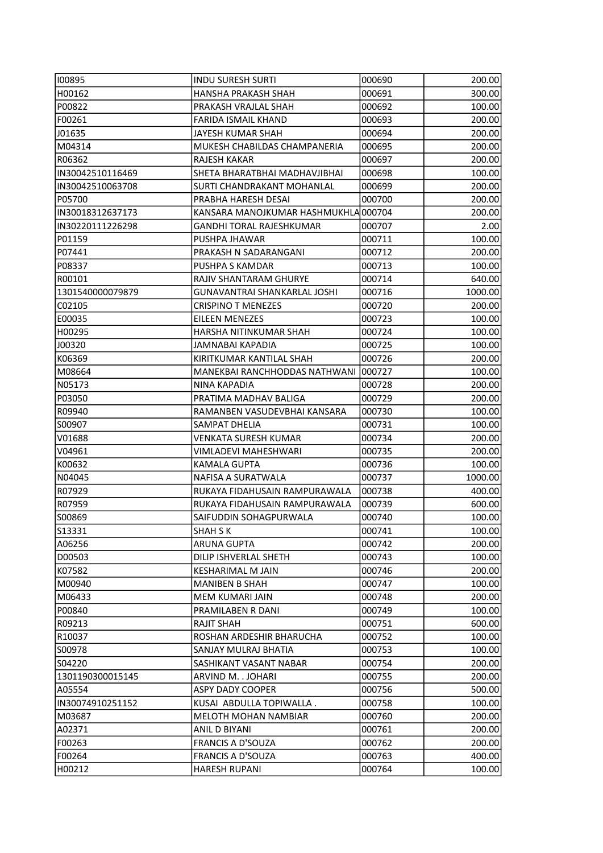| 100895            | <b>INDU SURESH SURTI</b>             | 000690 | 200.00  |
|-------------------|--------------------------------------|--------|---------|
| H00162            | HANSHA PRAKASH SHAH                  | 000691 | 300.00  |
| P00822            | PRAKASH VRAJLAL SHAH                 | 000692 | 100.00  |
| F00261            | FARIDA ISMAIL KHAND                  | 000693 | 200.00  |
| J01635            | JAYESH KUMAR SHAH                    | 000694 | 200.00  |
| M04314            | MUKESH CHABILDAS CHAMPANERIA         | 000695 | 200.00  |
| R06362            | RAJESH KAKAR                         | 000697 | 200.00  |
| IN30042510116469  | SHETA BHARATBHAI MADHAVJIBHAI        | 000698 | 100.00  |
| IN30042510063708  | SURTI CHANDRAKANT MOHANLAL           | 000699 | 200.00  |
| P05700            | PRABHA HARESH DESAI                  | 000700 | 200.00  |
| IIN30018312637173 | KANSARA MANOJKUMAR HASHMUKHLA 000704 |        | 200.00  |
| IN30220111226298  | <b>GANDHI TORAL RAJESHKUMAR</b>      | 000707 | 2.00    |
| P01159            | PUSHPA JHAWAR                        | 000711 | 100.00  |
| P07441            | PRAKASH N SADARANGANI                | 000712 | 200.00  |
| P08337            | PUSHPA S KAMDAR                      | 000713 | 100.00  |
| R00101            | RAJIV SHANTARAM GHURYE               | 000714 | 640.00  |
| 1301540000079879  | <b>GUNAVANTRAI SHANKARLAL JOSHI</b>  | 000716 | 1000.00 |
| C02105            | <b>CRISPINO T MENEZES</b>            | 000720 | 200.00  |
| E00035            | EILEEN MENEZES                       | 000723 | 100.00  |
| H00295            | HARSHA NITINKUMAR SHAH               | 000724 | 100.00  |
| J00320            | JAMNABAI KAPADIA                     | 000725 | 100.00  |
| K06369            | KIRITKUMAR KANTILAL SHAH             | 000726 | 200.00  |
| M08664            | MANEKBAI RANCHHODDAS NATHWANI        | 000727 | 100.00  |
| N05173            | NINA KAPADIA                         | 000728 | 200.00  |
| P03050            | PRATIMA MADHAV BALIGA                | 000729 | 200.00  |
| R09940            | RAMANBEN VASUDEVBHAI KANSARA         | 000730 | 100.00  |
| S00907            | SAMPAT DHELIA                        | 000731 | 100.00  |
| V01688            | VENKATA SURESH KUMAR                 | 000734 | 200.00  |
| V04961            | VIMLADEVI MAHESHWARI                 | 000735 | 200.00  |
| K00632            | <b>KAMALA GUPTA</b>                  | 000736 | 100.00  |
| N04045            | NAFISA A SURATWALA                   | 000737 | 1000.00 |
| R07929            | RUKAYA FIDAHUSAIN RAMPURAWALA        | 000738 | 400.00  |
| R07959            | RUKAYA FIDAHUSAIN RAMPURAWALA        | 000739 | 600.00  |
| S00869            | SAIFUDDIN SOHAGPURWALA               | 000740 | 100.00  |
| S13331            | SHAH S K                             | 000741 | 100.00  |
| A06256            | ARUNA GUPTA                          | 000742 | 200.00  |
| D00503            | DILIP ISHVERLAL SHETH                | 000743 | 100.00  |
| K07582            | <b>KESHARIMAL M JAIN</b>             | 000746 | 200.00  |
| M00940            | <b>MANIBEN B SHAH</b>                | 000747 | 100.00  |
| M06433            | MEM KUMARI JAIN                      | 000748 | 200.00  |
| P00840            | PRAMILABEN R DANI                    | 000749 | 100.00  |
| R09213            | RAJIT SHAH                           | 000751 | 600.00  |
| R10037            | ROSHAN ARDESHIR BHARUCHA             | 000752 | 100.00  |
| S00978            | SANJAY MULRAJ BHATIA                 | 000753 | 100.00  |
| S04220            | SASHIKANT VASANT NABAR               | 000754 | 200.00  |
| 1301190300015145  | ARVIND M. . JOHARI                   | 000755 | 200.00  |
| A05554            | <b>ASPY DADY COOPER</b>              | 000756 | 500.00  |
| IN30074910251152  | KUSAI ABDULLA TOPIWALLA.             | 000758 | 100.00  |
| IM03687           | MELOTH MOHAN NAMBIAR                 | 000760 | 200.00  |
| A02371            | ANIL D BIYANI                        | 000761 | 200.00  |
| F00263            | <b>FRANCIS A D'SOUZA</b>             | 000762 | 200.00  |
| F00264            | <b>FRANCIS A D'SOUZA</b>             | 000763 | 400.00  |
| H00212            | <b>HARESH RUPANI</b>                 | 000764 | 100.00  |
|                   |                                      |        |         |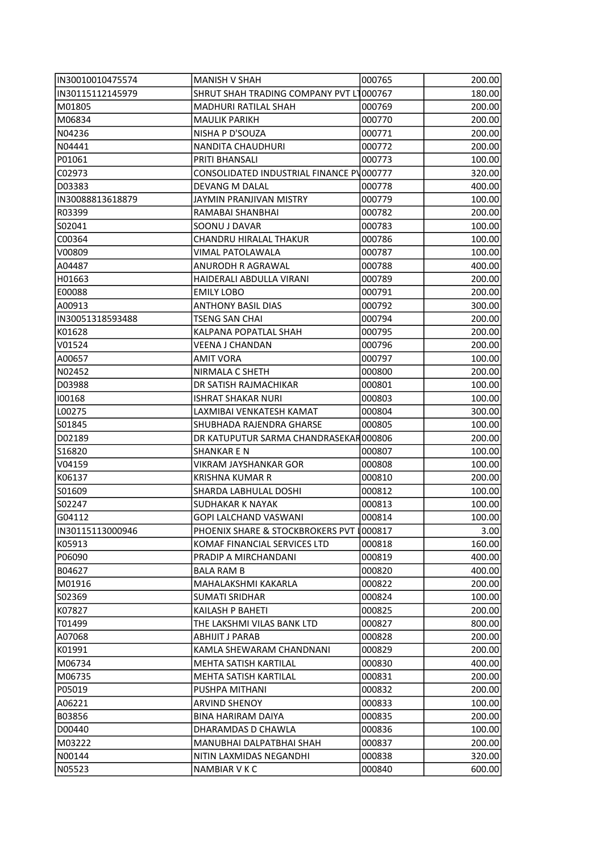| IN30010010475574 | MANISH V SHAH                            | 000765 | 200.00 |
|------------------|------------------------------------------|--------|--------|
| IN30115112145979 | SHRUT SHAH TRADING COMPANY PVT L1000767  |        | 180.00 |
| M01805           | MADHURI RATILAL SHAH                     | 000769 | 200.00 |
| M06834           | <b>MAULIK PARIKH</b>                     | 000770 | 200.00 |
| N04236           | NISHA P D'SOUZA                          | 000771 | 200.00 |
| N04441           | NANDITA CHAUDHURI                        | 000772 | 200.00 |
| P01061           | PRITI BHANSALI                           | 000773 | 100.00 |
| C02973           | CONSOLIDATED INDUSTRIAL FINANCE PV000777 |        | 320.00 |
| D03383           | DEVANG M DALAL                           | 000778 | 400.00 |
| IN30088813618879 | JAYMIN PRANJIVAN MISTRY                  | 000779 | 100.00 |
| R03399           | RAMABAI SHANBHAI                         | 000782 | 200.00 |
| S02041           | SOONU J DAVAR                            | 000783 | 100.00 |
| C00364           | CHANDRU HIRALAL THAKUR                   | 000786 | 100.00 |
| V00809           | VIMAL PATOLAWALA                         | 000787 | 100.00 |
| A04487           | ANURODH R AGRAWAL                        | 000788 | 400.00 |
| H01663           | HAIDERALI ABDULLA VIRANI                 | 000789 | 200.00 |
| E00088           | <b>EMILY LOBO</b>                        | 000791 | 200.00 |
| A00913           | <b>ANTHONY BASIL DIAS</b>                | 000792 | 300.00 |
| IN30051318593488 | <b>TSENG SAN CHAI</b>                    | 000794 | 200.00 |
| K01628           | KALPANA POPATLAL SHAH                    | 000795 | 200.00 |
| V01524           | <b>VEENA J CHANDAN</b>                   | 000796 | 200.00 |
| A00657           | <b>AMIT VORA</b>                         | 000797 | 100.00 |
| N02452           | NIRMALA C SHETH                          | 000800 | 200.00 |
| D03988           | DR SATISH RAJMACHIKAR                    | 000801 | 100.00 |
| 100168           | <b>ISHRAT SHAKAR NURI</b>                | 000803 | 100.00 |
| L00275           | LAXMIBAI VENKATESH KAMAT                 | 000804 | 300.00 |
| S01845           | SHUBHADA RAJENDRA GHARSE                 | 000805 | 100.00 |
| D02189           | DR KATUPUTUR SARMA CHANDRASEKAR000806    |        | 200.00 |
| S16820           | SHANKAR E N                              | 000807 | 100.00 |
| V04159           | VIKRAM JAYSHANKAR GOR                    | 000808 | 100.00 |
| K06137           | <b>KRISHNA KUMAR R</b>                   | 000810 | 200.00 |
| S01609           | SHARDA LABHULAL DOSHI                    | 000812 | 100.00 |
| S02247           | SUDHAKAR K NAYAK                         | 000813 | 100.00 |
| G04112           | <b>GOPI LALCHAND VASWANI</b>             | 000814 | 100.00 |
| IN30115113000946 | PHOENIX SHARE & STOCKBROKERS PVT I000817 |        | 3.00   |
| K05913           | KOMAF FINANCIAL SERVICES LTD             | 000818 | 160.00 |
| P06090           | PRADIP A MIRCHANDANI                     | 000819 | 400.00 |
| B04627           | <b>BALA RAM B</b>                        | 000820 | 400.00 |
| M01916           | MAHALAKSHMI KAKARLA                      | 000822 | 200.00 |
| S02369           | SUMATI SRIDHAR                           | 000824 | 100.00 |
| K07827           | KAILASH P BAHETI                         | 000825 | 200.00 |
| T01499           | THE LAKSHMI VILAS BANK LTD               | 000827 | 800.00 |
| A07068           | ABHIJIT J PARAB                          | 000828 | 200.00 |
| K01991           | KAMLA SHEWARAM CHANDNANI                 | 000829 | 200.00 |
| M06734           | MEHTA SATISH KARTILAL                    | 000830 | 400.00 |
| M06735           | MEHTA SATISH KARTILAL                    | 000831 | 200.00 |
| P05019           | PUSHPA MITHANI                           | 000832 | 200.00 |
| A06221           | <b>ARVIND SHENOY</b>                     | 000833 | 100.00 |
| B03856           | <b>BINA HARIRAM DAIYA</b>                | 000835 | 200.00 |
| D00440           | DHARAMDAS D CHAWLA                       | 000836 | 100.00 |
| M03222           | MANUBHAI DALPATBHAI SHAH                 | 000837 | 200.00 |
| N00144           | NITIN LAXMIDAS NEGANDHI                  | 000838 | 320.00 |
| N05523           | NAMBIAR V K C                            | 000840 | 600.00 |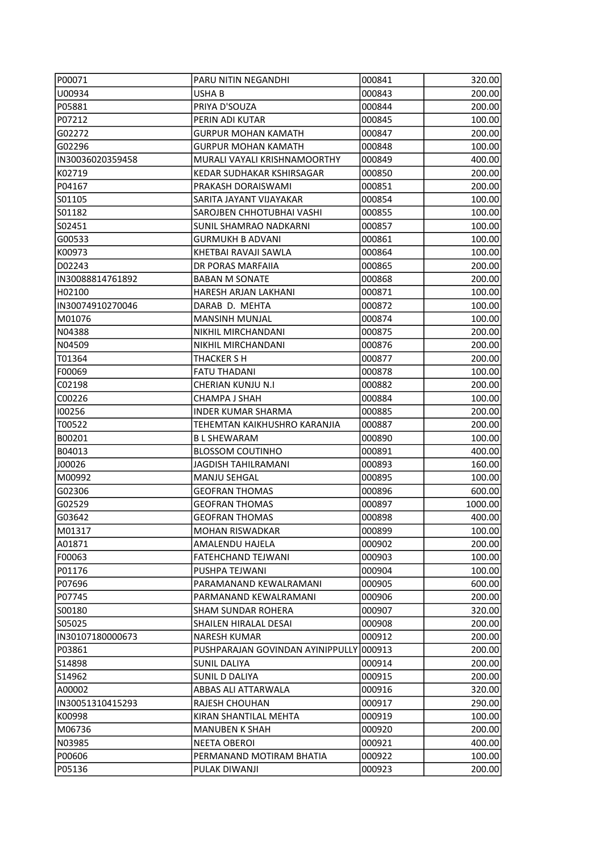| P00071            | <b>PARU NITIN NEGANDHI</b>               | 000841 | 320.00  |
|-------------------|------------------------------------------|--------|---------|
| U00934            | USHA B                                   | 000843 | 200.00  |
| P05881            | PRIYA D'SOUZA                            | 000844 | 200.00  |
| P07212            | PERIN ADI KUTAR                          | 000845 | 100.00  |
| G02272            | <b>GURPUR MOHAN KAMATH</b>               | 000847 | 200.00  |
| G02296            | <b>GURPUR MOHAN KAMATH</b>               | 000848 | 100.00  |
| IN30036020359458  | MURALI VAYALI KRISHNAMOORTHY             | 000849 | 400.00  |
| K02719            | KEDAR SUDHAKAR KSHIRSAGAR                | 000850 | 200.00  |
| P04167            | PRAKASH DORAISWAMI                       | 000851 | 200.00  |
| S01105            | SARITA JAYANT VIJAYAKAR                  | 000854 | 100.00  |
| S01182            | SAROJBEN CHHOTUBHAI VASHI                | 000855 | 100.00  |
| S02451            | SUNIL SHAMRAO NADKARNI                   | 000857 | 100.00  |
| G00533            | <b>GURMUKH B ADVANI</b>                  | 000861 | 100.00  |
| K00973            | KHETBAI RAVAJI SAWLA                     | 000864 | 100.00  |
| D02243            | DR PORAS MARFAIIA                        | 000865 | 200.00  |
| IN30088814761892  | <b>BABAN M SONATE</b>                    | 000868 | 200.00  |
| H02100            | HARESH ARJAN LAKHANI                     | 000871 | 100.00  |
| IN30074910270046  | DARAB D. MEHTA                           | 000872 | 100.00  |
| M01076            | <b>MANSINH MUNJAL</b>                    | 000874 | 100.00  |
| N04388            | NIKHIL MIRCHANDANI                       | 000875 | 200.00  |
| N04509            | NIKHIL MIRCHANDANI                       | 000876 | 200.00  |
| T01364            | THACKER S H                              | 000877 | 200.00  |
| F00069            | <b>FATU THADANI</b>                      | 000878 | 100.00  |
| C02198            | CHERIAN KUNJU N.I                        | 000882 | 200.00  |
| C00226            | CHAMPA J SHAH                            | 000884 | 100.00  |
| 100256            | <b>INDER KUMAR SHARMA</b>                | 000885 | 200.00  |
| T00522            | TEHEMTAN KAIKHUSHRO KARANJIA             | 000887 | 200.00  |
| B00201            | <b>BL SHEWARAM</b>                       | 000890 | 100.00  |
| B04013            | <b>BLOSSOM COUTINHO</b>                  | 000891 | 400.00  |
| J00026            | JAGDISH TAHILRAMANI                      | 000893 | 160.00  |
| M00992            | <b>MANJU SEHGAL</b>                      | 000895 | 100.00  |
| G02306            | <b>GEOFRAN THOMAS</b>                    | 000896 | 600.00  |
| G02529            | <b>GEOFRAN THOMAS</b>                    | 000897 | 1000.00 |
| G03642            | <b>GEOFRAN THOMAS</b>                    | 000898 | 400.00  |
| M01317            | MOHAN RISWADKAR                          | 000899 | 100.00  |
| A01871            | <b>AMALENDU HAJELA</b>                   | 000902 | 200.00  |
| F00063            | FATEHCHAND TEJWANI                       | 000903 | 100.00  |
| P01176            | PUSHPA TEJWANI                           | 000904 | 100.00  |
| P07696            | PARAMANAND KEWALRAMANI                   | 000905 | 600.00  |
| P07745            | PARMANAND KEWALRAMANI                    | 000906 | 200.00  |
| SOO180            | SHAM SUNDAR ROHERA                       | 000907 | 320.00  |
| S05025            | SHAILEN HIRALAL DESAI                    | 000908 | 200.00  |
| IIN30107180000673 | NARESH KUMAR                             | 000912 | 200.00  |
| P03861            | PUSHPARAJAN GOVINDAN AYINIPPULLY 1000913 |        | 200.00  |
| S14898            | <b>SUNIL DALIYA</b>                      | 000914 | 200.00  |
| S14962            | SUNIL D DALIYA                           | 000915 | 200.00  |
| A00002            | ABBAS ALI ATTARWALA                      | 000916 | 320.00  |
| IN30051310415293  | RAJESH CHOUHAN                           | 000917 | 290.00  |
|                   | KIRAN SHANTILAL MEHTA                    | 000919 | 100.00  |
| K00998            |                                          |        |         |
| M06736            | <b>MANUBEN K SHAH</b>                    | 000920 | 200.00  |
| N03985            | <b>NEETA OBEROI</b>                      | 000921 | 400.00  |
| P00606            | PERMANAND MOTIRAM BHATIA                 | 000922 | 100.00  |
| P05136            | PULAK DIWANJI                            | 000923 | 200.00  |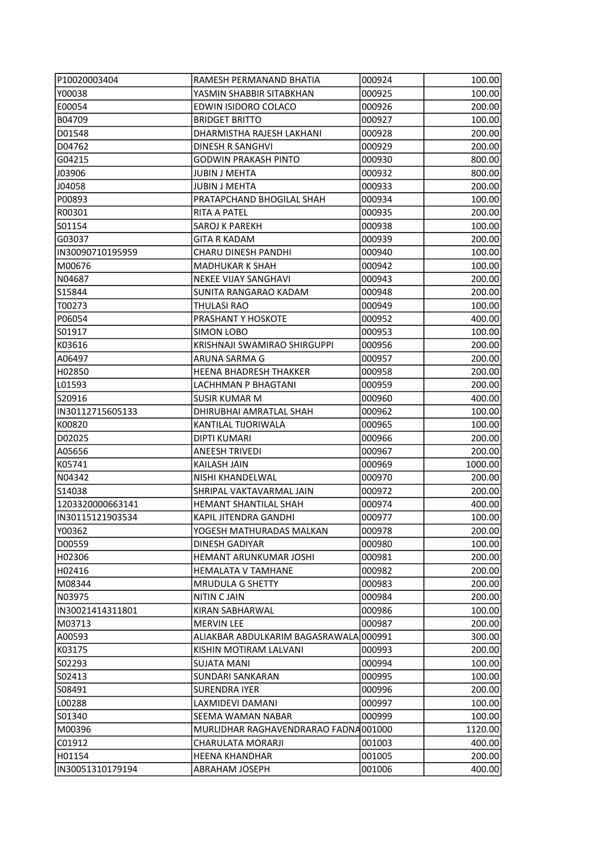| P10020003404     | RAMESH PERMANAND BHATIA                | 000924 | 100.00  |
|------------------|----------------------------------------|--------|---------|
| Y00038           | YASMIN SHABBIR SITABKHAN               | 000925 | 100.00  |
| E00054           | EDWIN ISIDORO COLACO                   | 000926 | 200.00  |
| B04709           | <b>BRIDGET BRITTO</b>                  | 000927 | 100.00  |
| D01548           | DHARMISTHA RAJESH LAKHANI              | 000928 | 200.00  |
| D04762           | <b>DINESH R SANGHVI</b>                | 000929 | 200.00  |
| G04215           | <b>GODWIN PRAKASH PINTO</b>            | 000930 | 800.00  |
| J03906           | <b>JUBIN J MEHTA</b>                   | 000932 | 800.00  |
| J04058           | <b>JUBIN J MEHTA</b>                   | 000933 | 200.00  |
| P00893           | PRATAPCHAND BHOGILAL SHAH              | 000934 | 100.00  |
| R00301           | RITA A PATEL                           | 000935 | 200.00  |
| S01154           | SAROJ K PAREKH                         | 000938 | 100.00  |
| G03037           | <b>GITA R KADAM</b>                    | 000939 | 200.00  |
| IN30090710195959 | CHARU DINESH PANDHI                    | 000940 | 100.00  |
| M00676           | <b>MADHUKAR K SHAH</b>                 | 000942 | 100.00  |
| N04687           | <b>NEKEE VIJAY SANGHAVI</b>            | 000943 | 200.00  |
| IS15844          | SUNITA RANGARAO KADAM                  | 000948 | 200.00  |
| T00273           | THULASI RAO                            | 000949 | 100.00  |
| P06054           | PRASHANT Y HOSKOTE                     | 000952 | 400.00  |
| S01917           | <b>SIMON LOBO</b>                      | 000953 | 100.00  |
| K03616           | KRISHNAJI SWAMIRAO SHIRGUPPI           | 000956 | 200.00  |
| A06497           | ARUNA SARMA G                          | 000957 | 200.00  |
| H02850           | <b>HEENA BHADRESH THAKKER</b>          | 000958 | 200.00  |
| LO1593           | LACHHMAN P BHAGTANI                    | 000959 | 200.00  |
| S20916           | <b>SUSIR KUMAR M</b>                   | 000960 | 400.00  |
| IN30112715605133 | DHIRUBHAI AMRATLAL SHAH                | 000962 | 100.00  |
| K00820           | KANTILAL TIJORIWALA                    | 000965 | 100.00  |
| D02025           | <b>DIPTI KUMARI</b>                    | 000966 | 200.00  |
| A05656           | ANEESH TRIVEDI                         | 000967 | 200.00  |
| K05741           | KAILASH JAIN                           | 000969 | 1000.00 |
| N04342           | NISHI KHANDELWAL                       | 000970 | 200.00  |
| S14038           | SHRIPAL VAKTAVARMAL JAIN               | 000972 | 200.00  |
| 1203320000663141 | <b>HEMANT SHANTILAL SHAH</b>           | 000974 | 400.00  |
| IN30115121903534 | <b>KAPIL JITENDRA GANDHI</b>           | 000977 | 100.00  |
| Y00362           | YOGESH MATHURADAS MALKAN               | 000978 | 200.00  |
| D00559           | DINESH GADIYAR                         | 000980 | 100.00  |
| H02306           | HEMANT ARUNKUMAR JOSHI                 | 000981 | 200.00  |
| H02416           | <b>HEMALATA V TAMHANE</b>              | 000982 | 200.00  |
| M08344           | <b>MRUDULA G SHETTY</b>                | 000983 | 200.00  |
| N03975           | <b>NITIN C JAIN</b>                    | 000984 | 200.00  |
| IN30021414311801 | KIRAN SABHARWAL                        | 000986 | 100.00  |
| M03713           | <b>MERVIN LEE</b>                      | 000987 | 200.00  |
| A00593           | ALIAKBAR ABDULKARIM BAGASRAWALA 000991 |        | 300.00  |
| K03175           | KISHIN MOTIRAM LALVANI                 | 000993 | 200.00  |
| S02293           | <b>SUJATA MANI</b>                     | 000994 | 100.00  |
| S02413           | SUNDARI SANKARAN                       | 000995 | 100.00  |
| S08491           | <b>SURENDRA IYER</b>                   | 000996 | 200.00  |
| L00288           | LAXMIDEVI DAMANI                       | 000997 | 100.00  |
| S01340           | SEEMA WAMAN NABAR                      | 000999 | 100.00  |
| M00396           | MURLIDHAR RAGHAVENDRARAO FADNA 001000  |        | 1120.00 |
| C01912           | CHARULATA MORARJI                      | 001003 | 400.00  |
| H01154           | <b>HEENA KHANDHAR</b>                  | 001005 | 200.00  |
| IN30051310179194 | <b>ABRAHAM JOSEPH</b>                  | 001006 | 400.00  |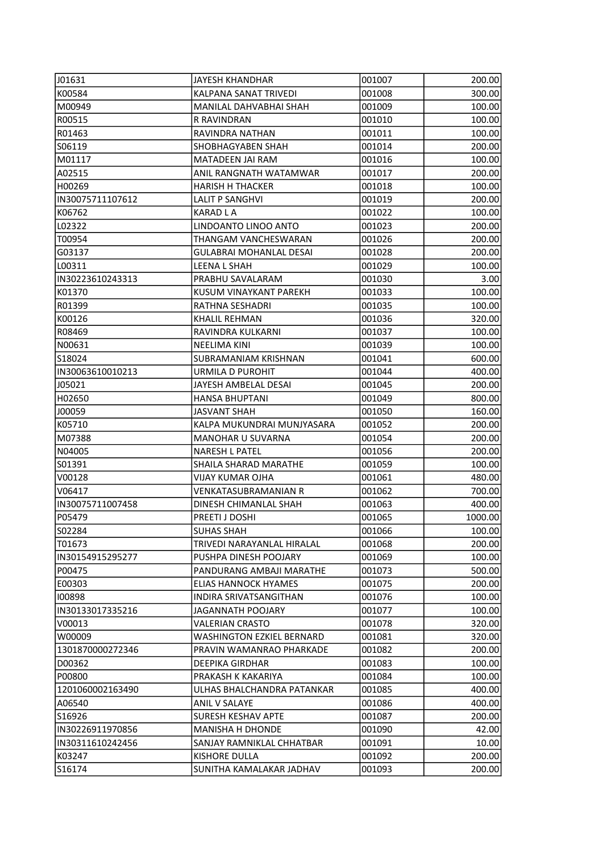| J01631            | JAYESH KHANDHAR                  | 001007 | 200.00  |
|-------------------|----------------------------------|--------|---------|
| K00584            | KALPANA SANAT TRIVEDI            | 001008 | 300.00  |
| M00949            | MANILAL DAHVABHAI SHAH           | 001009 | 100.00  |
| R00515            | R RAVINDRAN                      | 001010 | 100.00  |
| R01463            | RAVINDRA NATHAN                  | 001011 | 100.00  |
| S06119            | SHOBHAGYABEN SHAH                | 001014 | 200.00  |
| M01117            | MATADEEN JAI RAM                 | 001016 | 100.00  |
| A02515            | ANIL RANGNATH WATAMWAR           | 001017 | 200.00  |
| H00269            | <b>HARISH H THACKER</b>          | 001018 | 100.00  |
| IN30075711107612  | <b>LALIT P SANGHVI</b>           | 001019 | 200.00  |
| K06762            | KARAD L A                        | 001022 | 100.00  |
| L02322            | LINDOANTO LINOO ANTO             | 001023 | 200.00  |
| T00954            | THANGAM VANCHESWARAN             | 001026 | 200.00  |
| G03137            | <b>GULABRAI MOHANLAL DESAI</b>   | 001028 | 200.00  |
| L00311            | LEENA L SHAH                     | 001029 | 100.00  |
| IN30223610243313  | PRABHU SAVALARAM                 | 001030 | 3.00    |
| K01370            | KUSUM VINAYKANT PAREKH           | 001033 | 100.00  |
| R01399            | RATHNA SESHADRI                  | 001035 | 100.00  |
| K00126            | KHALIL REHMAN                    | 001036 | 320.00  |
| R08469            | RAVINDRA KULKARNI                | 001037 | 100.00  |
| N00631            | NEELIMA KINI                     | 001039 | 100.00  |
| S18024            | SUBRAMANIAM KRISHNAN             | 001041 | 600.00  |
| IN30063610010213  | URMILA D PUROHIT                 | 001044 | 400.00  |
| J05021            | JAYESH AMBELAL DESAI             | 001045 | 200.00  |
| H02650            | <b>HANSA BHUPTANI</b>            | 001049 | 800.00  |
| J00059            | <b>JASVANT SHAH</b>              | 001050 | 160.00  |
| K05710            | KALPA MUKUNDRAI MUNJYASARA       | 001052 | 200.00  |
| M07388            | <b>MANOHAR U SUVARNA</b>         | 001054 | 200.00  |
| N04005            | <b>NARESH L PATEL</b>            | 001056 | 200.00  |
| S01391            | SHAILA SHARAD MARATHE            | 001059 | 100.00  |
| V00128            | <b>VIJAY KUMAR OJHA</b>          | 001061 | 480.00  |
| V06417            | <b>VENKATASUBRAMANIAN R</b>      | 001062 | 700.00  |
| IIN30075711007458 | DINESH CHIMANLAL SHAH            | 001063 | 400.00  |
| P05479            | PREETI J DOSHI                   | 001065 | 1000.00 |
| SO2284            | SUHAS SHAH                       | 001066 | 100.00  |
| T01673            | TRIVEDI NARAYANLAL HIRALAL       | 001068 | 200.00  |
| IN30154915295277  | PUSHPA DINESH POOJARY            | 001069 | 100.00  |
| P00475            | PANDURANG AMBAJI MARATHE         | 001073 | 500.00  |
| E00303            | <b>ELIAS HANNOCK HYAMES</b>      | 001075 | 200.00  |
| 100898            | INDIRA SRIVATSANGITHAN           | 001076 | 100.00  |
| IN30133017335216  | JAGANNATH POOJARY                | 001077 | 100.00  |
| V00013            | VALERIAN CRASTO                  | 001078 | 320.00  |
| W00009            | <b>WASHINGTON EZKIEL BERNARD</b> | 001081 | 320.00  |
| 1301870000272346  | PRAVIN WAMANRAO PHARKADE         | 001082 | 200.00  |
| D00362            | <b>DEEPIKA GIRDHAR</b>           | 001083 | 100.00  |
| P00800            | PRAKASH K KAKARIYA               | 001084 | 100.00  |
| 1201060002163490  | ULHAS BHALCHANDRA PATANKAR       | 001085 | 400.00  |
| A06540            | ANIL V SALAYE                    | 001086 | 400.00  |
| S16926            | SURESH KESHAV APTE               | 001087 | 200.00  |
| IIN30226911970856 | <b>MANISHA H DHONDE</b>          | 001090 | 42.00   |
| IN30311610242456  | SANJAY RAMNIKLAL CHHATBAR        | 001091 | 10.00   |
| K03247            | KISHORE DULLA                    | 001092 | 200.00  |
| S16174            | SUNITHA KAMALAKAR JADHAV         | 001093 | 200.00  |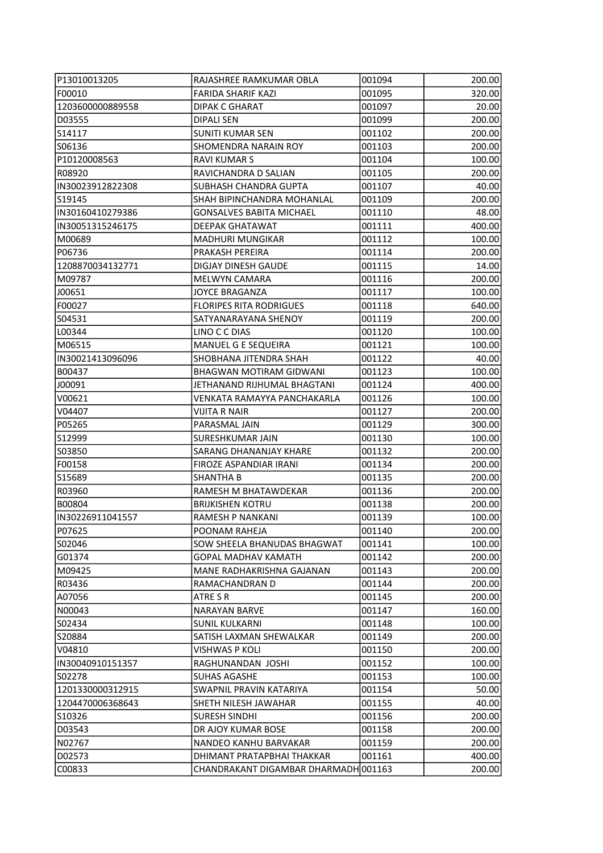| P13010013205      | RAJASHREE RAMKUMAR OBLA              | 001094 | 200.00 |
|-------------------|--------------------------------------|--------|--------|
| F00010            | FARIDA SHARIF KAZI                   | 001095 | 320.00 |
| 1203600000889558  | <b>DIPAK C GHARAT</b>                | 001097 | 20.00  |
| D03555            | <b>DIPALI SEN</b>                    | 001099 | 200.00 |
| S14117            | <b>SUNITI KUMAR SEN</b>              | 001102 | 200.00 |
| S06136            | SHOMENDRA NARAIN ROY                 | 001103 | 200.00 |
| P10120008563      | RAVI KUMAR S                         | 001104 | 100.00 |
| R08920            | RAVICHANDRA D SALIAN                 | 001105 | 200.00 |
| IIN30023912822308 | <b>SUBHASH CHANDRA GUPTA</b>         | 001107 | 40.00  |
| S19145            | SHAH BIPINCHANDRA MOHANLAL           | 001109 | 200.00 |
| IIN30160410279386 | <b>GONSALVES BABITA MICHAEL</b>      | 001110 | 48.00  |
| IN30051315246175  | DEEPAK GHATAWAT                      | 001111 | 400.00 |
| M00689            | <b>MADHURI MUNGIKAR</b>              | 001112 | 100.00 |
| P06736            | PRAKASH PEREIRA                      | 001114 | 200.00 |
| 1208870034132771  | DIGJAY DINESH GAUDE                  | 001115 | 14.00  |
| M09787            | <b>MELWYN CAMARA</b>                 | 001116 | 200.00 |
| J00651            | JOYCE BRAGANZA                       | 001117 | 100.00 |
| F00027            | <b>FLORIPES RITA RODRIGUES</b>       | 001118 | 640.00 |
| S04531            | SATYANARAYANA SHENOY                 | 001119 | 200.00 |
| L00344            | LINO C C DIAS                        | 001120 | 100.00 |
| M06515            | MANUEL G E SEQUEIRA                  | 001121 | 100.00 |
| IN30021413096096  | SHOBHANA JITENDRA SHAH               | 001122 | 40.00  |
| B00437            | <b>BHAGWAN MOTIRAM GIDWANI</b>       | 001123 | 100.00 |
| J00091            | JETHANAND RIJHUMAL BHAGTANI          | 001124 | 400.00 |
| V00621            | VENKATA RAMAYYA PANCHAKARLA          | 001126 | 100.00 |
| V04407            | <b>VIJITA R NAIR</b>                 | 001127 | 200.00 |
| P05265            | PARASMAL JAIN                        | 001129 | 300.00 |
| S12999            | SURESHKUMAR JAIN                     | 001130 | 100.00 |
| S03850            | SARANG DHANANJAY KHARE               | 001132 | 200.00 |
| F00158            | FIROZE ASPANDIAR IRANI               | 001134 | 200.00 |
| S15689            | SHANTHA B                            | 001135 | 200.00 |
| R03960            | RAMESH M BHATAWDEKAR                 | 001136 | 200.00 |
| B00804            | <b>BRIJKISHEN KOTRU</b>              | 001138 | 200.00 |
| IN30226911041557  | <b>RAMESH P NANKANI</b>              | 001139 | 100.00 |
| P07625            | POONAM RAHEJA                        | 001140 | 200.00 |
| S02046            | SOW SHEELA BHANUDAS BHAGWAT          | 001141 | 100.00 |
| G01374            | <b>GOPAL MADHAV KAMATH</b>           | 001142 | 200.00 |
| M09425            | MANE RADHAKRISHNA GAJANAN            | 001143 | 200.00 |
| R03436            | RAMACHANDRAN D                       | 001144 | 200.00 |
| A07056            | ATRE S R                             | 001145 | 200.00 |
| N00043            | <b>NARAYAN BARVE</b>                 | 001147 | 160.00 |
| S02434            | <b>SUNIL KULKARNI</b>                | 001148 | 100.00 |
| S20884            | SATISH LAXMAN SHEWALKAR              | 001149 | 200.00 |
| V04810            | VISHWAS P KOLI                       | 001150 | 200.00 |
| IIN30040910151357 | RAGHUNANDAN JOSHI                    | 001152 | 100.00 |
| S02278            | SUHAS AGASHE                         | 001153 | 100.00 |
| 1201330000312915  | SWAPNIL PRAVIN KATARIYA              | 001154 | 50.00  |
| 1204470006368643  | SHETH NILESH JAWAHAR                 | 001155 | 40.00  |
| S10326            | <b>SURESH SINDHI</b>                 | 001156 | 200.00 |
| D03543            | DR AJOY KUMAR BOSE                   | 001158 | 200.00 |
| N02767            | NANDEO KANHU BARVAKAR                | 001159 | 200.00 |
| D02573            | DHIMANT PRATAPBHAI THAKKAR           | 001161 | 400.00 |
| C00833            | CHANDRAKANT DIGAMBAR DHARMADH 001163 |        | 200.00 |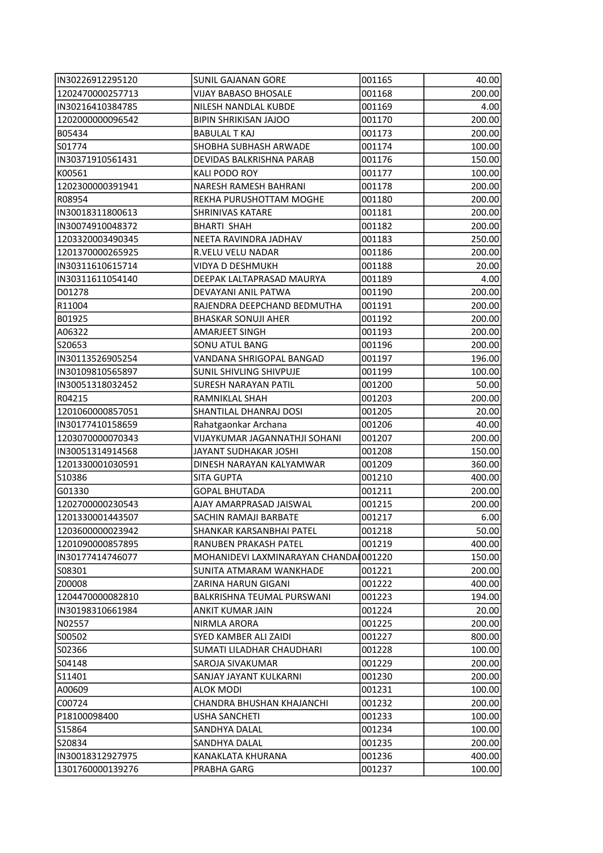| IN30226912295120  | <b>SUNIL GAJANAN GORE</b>             | 001165 | 40.00  |
|-------------------|---------------------------------------|--------|--------|
| 1202470000257713  | VIJAY BABASO BHOSALE                  | 001168 | 200.00 |
| IN30216410384785  | NILESH NANDLAL KUBDE                  | 001169 | 4.00   |
| 1202000000096542  | <b>BIPIN SHRIKISAN JAJOO</b>          | 001170 | 200.00 |
| B05434            | <b>BABULAL T KAJ</b>                  | 001173 | 200.00 |
| S01774            | SHOBHA SUBHASH ARWADE                 | 001174 | 100.00 |
| IN30371910561431  | DEVIDAS BALKRISHNA PARAB              | 001176 | 150.00 |
| K00561            | KALI PODO ROY                         | 001177 | 100.00 |
| 1202300000391941  | NARESH RAMESH BAHRANI                 | 001178 | 200.00 |
| R08954            | REKHA PURUSHOTTAM MOGHE               | 001180 | 200.00 |
| IIN30018311800613 | <b>SHRINIVAS KATARE</b>               | 001181 | 200.00 |
| IN30074910048372  | <b>BHARTI SHAH</b>                    | 001182 | 200.00 |
| 1203320003490345  | NEETA RAVINDRA JADHAV                 | 001183 | 250.00 |
| 1201370000265925  | R.VELU VELU NADAR                     | 001186 | 200.00 |
| IN30311610615714  | <b>VIDYA D DESHMUKH</b>               | 001188 | 20.00  |
| IN30311611054140  | DEEPAK LALTAPRASAD MAURYA             | 001189 | 4.00   |
| D01278            | DEVAYANI ANIL PATWA                   | 001190 | 200.00 |
| R11004            | RAJENDRA DEEPCHAND BEDMUTHA           | 001191 | 200.00 |
| B01925            | <b>BHASKAR SONUJI AHER</b>            | 001192 | 200.00 |
| A06322            | AMARJEET SINGH                        | 001193 | 200.00 |
| S20653            | <b>SONU ATUL BANG</b>                 | 001196 | 200.00 |
| IN30113526905254  | VANDANA SHRIGOPAL BANGAD              | 001197 | 196.00 |
| IN30109810565897  | SUNIL SHIVLING SHIVPUJE               | 001199 | 100.00 |
| IN30051318032452  | <b>SURESH NARAYAN PATIL</b>           | 001200 | 50.00  |
| R04215            | RAMNIKLAL SHAH                        | 001203 | 200.00 |
| 1201060000857051  | SHANTILAL DHANRAJ DOSI                | 001205 | 20.00  |
| IN30177410158659  | Rahatgaonkar Archana                  | 001206 | 40.00  |
| 1203070000070343  | VIJAYKUMAR JAGANNATHJI SOHANI         | 001207 | 200.00 |
| IN30051314914568  | JAYANT SUDHAKAR JOSHI                 | 001208 | 150.00 |
| 1201330001030591  | DINESH NARAYAN KALYAMWAR              | 001209 | 360.00 |
| S10386            | <b>SITA GUPTA</b>                     | 001210 | 400.00 |
| G01330            | <b>GOPAL BHUTADA</b>                  | 001211 | 200.00 |
| 1202700000230543  | AJAY AMARPRASAD JAISWAL               | 001215 | 200.00 |
| 1201330001443507  | SACHIN RAMAJI BARBATE                 | 001217 | 6.00   |
| 1203600000023942  | SHANKAR KARSANBHAI PATEL              | 001218 | 50.00  |
| 1201090000857895  | RANUBEN PRAKASH PATEL                 | 001219 | 400.00 |
| IN30177414746077  | MOHANIDEVI LAXMINARAYAN CHANDA 001220 |        | 150.00 |
| IS08301           | SUNITA ATMARAM WANKHADE               | 001221 | 200.00 |
| IZ00008           | ZARINA HARUN GIGANI                   | 001222 | 400.00 |
| 1204470000082810  | BALKRISHNA TEUMAL PURSWANI            | 001223 | 194.00 |
| IN30198310661984  | ANKIT KUMAR JAIN                      | 001224 | 20.00  |
| N02557            | NIRMLA ARORA                          | 001225 | 200.00 |
| S00502            | SYED KAMBER ALI ZAIDI                 | 001227 | 800.00 |
| S02366            | SUMATI LILADHAR CHAUDHARI             | 001228 | 100.00 |
| S04148            | SAROJA SIVAKUMAR                      | 001229 | 200.00 |
| S11401            | SANJAY JAYANT KULKARNI                | 001230 | 200.00 |
| A00609            | <b>ALOK MODI</b>                      | 001231 | 100.00 |
| C00724            | CHANDRA BHUSHAN KHAJANCHI             | 001232 | 200.00 |
| P18100098400      | <b>USHA SANCHETI</b>                  | 001233 | 100.00 |
| S15864            | SANDHYA DALAL                         | 001234 | 100.00 |
| S20834            | SANDHYA DALAL                         | 001235 | 200.00 |
| IN30018312927975  | KANAKLATA KHURANA                     | 001236 | 400.00 |
| 1301760000139276  | PRABHA GARG                           | 001237 | 100.00 |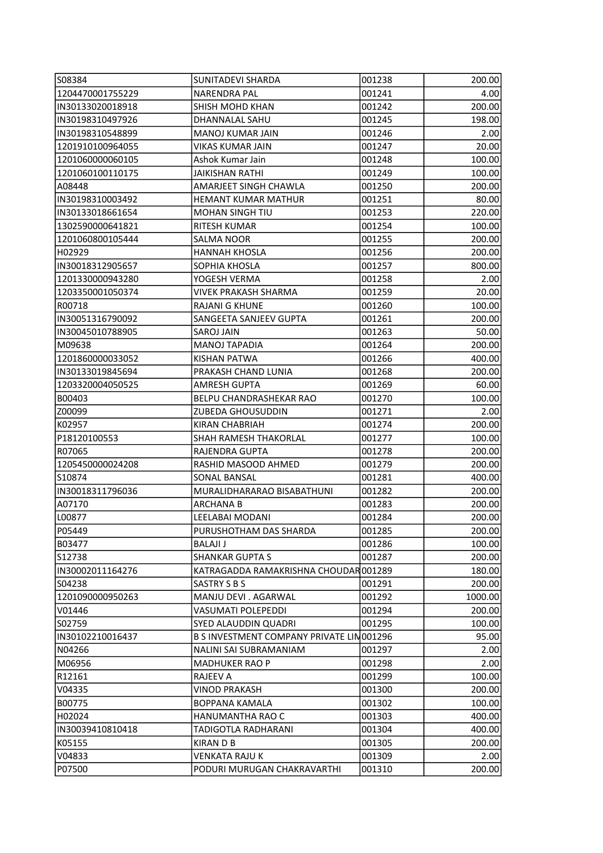| 1204470001755229<br><b>NARENDRA PAL</b><br>001241<br>4.00<br>001242<br>200.00<br> IN30133020018918<br>SHISH MOHD KHAN<br>198.00<br> IN30198310497926<br>DHANNALAL SAHU<br>001245<br>IN30198310548899<br><b>MANOJ KUMAR JAIN</b><br>001246<br>2.00<br>20.00<br>1201910100964055<br>VIKAS KUMAR JAIN<br>001247<br>1201060000060105<br>100.00<br>Ashok Kumar Jain<br>001248<br>1201060100110175<br>100.00<br>JAIKISHAN RATHI<br>001249<br>A08448<br>AMARJEET SINGH CHAWLA<br>001250<br>200.00<br> IN30198310003492<br><b>HEMANT KUMAR MATHUR</b><br>001251<br>80.00<br><b>MOHAN SINGH TIU</b><br>001253<br>220.00<br>IN30133018661654<br>100.00<br>1302590000641821<br>RITESH KUMAR<br>001254<br>1201060800105444<br>SALMA NOOR<br>001255<br>200.00<br>001256<br>H02929<br><b>HANNAH KHOSLA</b><br>200.00<br>IN30018312905657<br>800.00<br>SOPHIA KHOSLA<br>001257<br>1201330000943280<br>001258<br>2.00<br>YOGESH VERMA<br>20.00<br>1203350001050374<br>VIVEK PRAKASH SHARMA<br>001259<br>R00718<br><b>RAJANI G KHUNE</b><br>100.00<br>001260<br>200.00<br>IN30051316790092<br>SANGEETA SANJEEV GUPTA<br>001261<br>IN30045010788905<br><b>SAROJ JAIN</b><br>001263<br>50.00<br>M09638<br><b>MANOJ TAPADIA</b><br>001264<br>200.00<br>1201860000033052<br>KISHAN PATWA<br>001266<br>400.00<br>IN30133019845694<br>PRAKASH CHAND LUNIA<br>001268<br>200.00<br>1203320004050525<br><b>AMRESH GUPTA</b><br>001269<br>60.00<br>B00403<br>BELPU CHANDRASHEKAR RAO<br>001270<br>100.00<br>001271<br> Z00099<br>ZUBEDA GHOUSUDDIN<br>2.00<br>K02957 <br>001274<br>200.00<br>KIRAN CHABRIAH<br>P18120100553<br>SHAH RAMESH THAKORLAL<br>001277<br>100.00<br>R07065 <br>RAJENDRA GUPTA<br>001278<br>200.00<br>1205450000024208<br>200.00<br>RASHID MASOOD AHMED<br>001279<br>S10874<br><b>SONAL BANSAL</b><br>400.00<br>001281<br> IN30018311796036<br>MURALIDHARARAO BISABATHUNI<br>001282<br>200.00<br>A07170<br><b>ARCHANA B</b><br>001283<br>200.00<br>L00877<br>LEELABAI MODANI<br>001284<br>200.00<br>P05449<br>PURUSHOTHAM DAS SHARDA<br>001285<br>200.00<br>B03477 <br>001286<br>100.00<br>BALAJI J<br>S12738<br>200.00<br><b>SHANKAR GUPTA S</b><br>001287<br>IIN30002011164276<br>KATRAGADDA RAMAKRISHNA CHOUDAR 001289<br>180.00<br>S04238<br>SASTRY S B S<br>001291<br>200.00<br>1201090000950263<br>MANJU DEVI . AGARWAL<br>001292<br>1000.00<br>V01446 <br><b>VASUMATI POLEPEDDI</b><br>001294<br>200.00<br>S02759<br>SYED ALAUDDIN QUADRI<br>001295<br>100.00<br> IN30102210016437<br>B S INVESTMENT COMPANY PRIVATE LIN001296<br>95.00<br>N04266 <br>001297<br>2.00<br>NALINI SAI SUBRAMANIAM<br>M06956 <br><b>MADHUKER RAO P</b><br>001298<br>2.00<br>R12161<br>RAJEEV A<br>001299<br>100.00<br>V04335<br><b>VINOD PRAKASH</b><br>001300<br>200.00<br>B00775<br>BOPPANA KAMALA<br>001302<br>100.00<br>H02024<br>HANUMANTHA RAO C<br>001303<br>400.00<br> IN30039410810418<br>TADIGOTLA RADHARANI<br>001304<br>400.00<br>K05155 <br>KIRAN D B<br>001305<br>200.00<br>V04833<br>VENKATA RAJU K<br>001309<br>2.00<br>P07500<br>PODURI MURUGAN CHAKRAVARTHI<br>001310<br>200.00 | S08384 | <b>SUNITADEVI SHARDA</b> | 001238 | 200.00 |
|----------------------------------------------------------------------------------------------------------------------------------------------------------------------------------------------------------------------------------------------------------------------------------------------------------------------------------------------------------------------------------------------------------------------------------------------------------------------------------------------------------------------------------------------------------------------------------------------------------------------------------------------------------------------------------------------------------------------------------------------------------------------------------------------------------------------------------------------------------------------------------------------------------------------------------------------------------------------------------------------------------------------------------------------------------------------------------------------------------------------------------------------------------------------------------------------------------------------------------------------------------------------------------------------------------------------------------------------------------------------------------------------------------------------------------------------------------------------------------------------------------------------------------------------------------------------------------------------------------------------------------------------------------------------------------------------------------------------------------------------------------------------------------------------------------------------------------------------------------------------------------------------------------------------------------------------------------------------------------------------------------------------------------------------------------------------------------------------------------------------------------------------------------------------------------------------------------------------------------------------------------------------------------------------------------------------------------------------------------------------------------------------------------------------------------------------------------------------------------------------------------------------------------------------------------------------------------------------------------------------------------------------------------------------------------------------------------------------------------------------------------------------------------------------------------------------------------------------------------------------------------------------------------------------------------------------------------------------------------------------------------------------------------------------------------------------------------|--------|--------------------------|--------|--------|
|                                                                                                                                                                                                                                                                                                                                                                                                                                                                                                                                                                                                                                                                                                                                                                                                                                                                                                                                                                                                                                                                                                                                                                                                                                                                                                                                                                                                                                                                                                                                                                                                                                                                                                                                                                                                                                                                                                                                                                                                                                                                                                                                                                                                                                                                                                                                                                                                                                                                                                                                                                                                                                                                                                                                                                                                                                                                                                                                                                                                                                                                                  |        |                          |        |        |
|                                                                                                                                                                                                                                                                                                                                                                                                                                                                                                                                                                                                                                                                                                                                                                                                                                                                                                                                                                                                                                                                                                                                                                                                                                                                                                                                                                                                                                                                                                                                                                                                                                                                                                                                                                                                                                                                                                                                                                                                                                                                                                                                                                                                                                                                                                                                                                                                                                                                                                                                                                                                                                                                                                                                                                                                                                                                                                                                                                                                                                                                                  |        |                          |        |        |
|                                                                                                                                                                                                                                                                                                                                                                                                                                                                                                                                                                                                                                                                                                                                                                                                                                                                                                                                                                                                                                                                                                                                                                                                                                                                                                                                                                                                                                                                                                                                                                                                                                                                                                                                                                                                                                                                                                                                                                                                                                                                                                                                                                                                                                                                                                                                                                                                                                                                                                                                                                                                                                                                                                                                                                                                                                                                                                                                                                                                                                                                                  |        |                          |        |        |
|                                                                                                                                                                                                                                                                                                                                                                                                                                                                                                                                                                                                                                                                                                                                                                                                                                                                                                                                                                                                                                                                                                                                                                                                                                                                                                                                                                                                                                                                                                                                                                                                                                                                                                                                                                                                                                                                                                                                                                                                                                                                                                                                                                                                                                                                                                                                                                                                                                                                                                                                                                                                                                                                                                                                                                                                                                                                                                                                                                                                                                                                                  |        |                          |        |        |
|                                                                                                                                                                                                                                                                                                                                                                                                                                                                                                                                                                                                                                                                                                                                                                                                                                                                                                                                                                                                                                                                                                                                                                                                                                                                                                                                                                                                                                                                                                                                                                                                                                                                                                                                                                                                                                                                                                                                                                                                                                                                                                                                                                                                                                                                                                                                                                                                                                                                                                                                                                                                                                                                                                                                                                                                                                                                                                                                                                                                                                                                                  |        |                          |        |        |
|                                                                                                                                                                                                                                                                                                                                                                                                                                                                                                                                                                                                                                                                                                                                                                                                                                                                                                                                                                                                                                                                                                                                                                                                                                                                                                                                                                                                                                                                                                                                                                                                                                                                                                                                                                                                                                                                                                                                                                                                                                                                                                                                                                                                                                                                                                                                                                                                                                                                                                                                                                                                                                                                                                                                                                                                                                                                                                                                                                                                                                                                                  |        |                          |        |        |
|                                                                                                                                                                                                                                                                                                                                                                                                                                                                                                                                                                                                                                                                                                                                                                                                                                                                                                                                                                                                                                                                                                                                                                                                                                                                                                                                                                                                                                                                                                                                                                                                                                                                                                                                                                                                                                                                                                                                                                                                                                                                                                                                                                                                                                                                                                                                                                                                                                                                                                                                                                                                                                                                                                                                                                                                                                                                                                                                                                                                                                                                                  |        |                          |        |        |
|                                                                                                                                                                                                                                                                                                                                                                                                                                                                                                                                                                                                                                                                                                                                                                                                                                                                                                                                                                                                                                                                                                                                                                                                                                                                                                                                                                                                                                                                                                                                                                                                                                                                                                                                                                                                                                                                                                                                                                                                                                                                                                                                                                                                                                                                                                                                                                                                                                                                                                                                                                                                                                                                                                                                                                                                                                                                                                                                                                                                                                                                                  |        |                          |        |        |
|                                                                                                                                                                                                                                                                                                                                                                                                                                                                                                                                                                                                                                                                                                                                                                                                                                                                                                                                                                                                                                                                                                                                                                                                                                                                                                                                                                                                                                                                                                                                                                                                                                                                                                                                                                                                                                                                                                                                                                                                                                                                                                                                                                                                                                                                                                                                                                                                                                                                                                                                                                                                                                                                                                                                                                                                                                                                                                                                                                                                                                                                                  |        |                          |        |        |
|                                                                                                                                                                                                                                                                                                                                                                                                                                                                                                                                                                                                                                                                                                                                                                                                                                                                                                                                                                                                                                                                                                                                                                                                                                                                                                                                                                                                                                                                                                                                                                                                                                                                                                                                                                                                                                                                                                                                                                                                                                                                                                                                                                                                                                                                                                                                                                                                                                                                                                                                                                                                                                                                                                                                                                                                                                                                                                                                                                                                                                                                                  |        |                          |        |        |
|                                                                                                                                                                                                                                                                                                                                                                                                                                                                                                                                                                                                                                                                                                                                                                                                                                                                                                                                                                                                                                                                                                                                                                                                                                                                                                                                                                                                                                                                                                                                                                                                                                                                                                                                                                                                                                                                                                                                                                                                                                                                                                                                                                                                                                                                                                                                                                                                                                                                                                                                                                                                                                                                                                                                                                                                                                                                                                                                                                                                                                                                                  |        |                          |        |        |
|                                                                                                                                                                                                                                                                                                                                                                                                                                                                                                                                                                                                                                                                                                                                                                                                                                                                                                                                                                                                                                                                                                                                                                                                                                                                                                                                                                                                                                                                                                                                                                                                                                                                                                                                                                                                                                                                                                                                                                                                                                                                                                                                                                                                                                                                                                                                                                                                                                                                                                                                                                                                                                                                                                                                                                                                                                                                                                                                                                                                                                                                                  |        |                          |        |        |
|                                                                                                                                                                                                                                                                                                                                                                                                                                                                                                                                                                                                                                                                                                                                                                                                                                                                                                                                                                                                                                                                                                                                                                                                                                                                                                                                                                                                                                                                                                                                                                                                                                                                                                                                                                                                                                                                                                                                                                                                                                                                                                                                                                                                                                                                                                                                                                                                                                                                                                                                                                                                                                                                                                                                                                                                                                                                                                                                                                                                                                                                                  |        |                          |        |        |
|                                                                                                                                                                                                                                                                                                                                                                                                                                                                                                                                                                                                                                                                                                                                                                                                                                                                                                                                                                                                                                                                                                                                                                                                                                                                                                                                                                                                                                                                                                                                                                                                                                                                                                                                                                                                                                                                                                                                                                                                                                                                                                                                                                                                                                                                                                                                                                                                                                                                                                                                                                                                                                                                                                                                                                                                                                                                                                                                                                                                                                                                                  |        |                          |        |        |
|                                                                                                                                                                                                                                                                                                                                                                                                                                                                                                                                                                                                                                                                                                                                                                                                                                                                                                                                                                                                                                                                                                                                                                                                                                                                                                                                                                                                                                                                                                                                                                                                                                                                                                                                                                                                                                                                                                                                                                                                                                                                                                                                                                                                                                                                                                                                                                                                                                                                                                                                                                                                                                                                                                                                                                                                                                                                                                                                                                                                                                                                                  |        |                          |        |        |
|                                                                                                                                                                                                                                                                                                                                                                                                                                                                                                                                                                                                                                                                                                                                                                                                                                                                                                                                                                                                                                                                                                                                                                                                                                                                                                                                                                                                                                                                                                                                                                                                                                                                                                                                                                                                                                                                                                                                                                                                                                                                                                                                                                                                                                                                                                                                                                                                                                                                                                                                                                                                                                                                                                                                                                                                                                                                                                                                                                                                                                                                                  |        |                          |        |        |
|                                                                                                                                                                                                                                                                                                                                                                                                                                                                                                                                                                                                                                                                                                                                                                                                                                                                                                                                                                                                                                                                                                                                                                                                                                                                                                                                                                                                                                                                                                                                                                                                                                                                                                                                                                                                                                                                                                                                                                                                                                                                                                                                                                                                                                                                                                                                                                                                                                                                                                                                                                                                                                                                                                                                                                                                                                                                                                                                                                                                                                                                                  |        |                          |        |        |
|                                                                                                                                                                                                                                                                                                                                                                                                                                                                                                                                                                                                                                                                                                                                                                                                                                                                                                                                                                                                                                                                                                                                                                                                                                                                                                                                                                                                                                                                                                                                                                                                                                                                                                                                                                                                                                                                                                                                                                                                                                                                                                                                                                                                                                                                                                                                                                                                                                                                                                                                                                                                                                                                                                                                                                                                                                                                                                                                                                                                                                                                                  |        |                          |        |        |
|                                                                                                                                                                                                                                                                                                                                                                                                                                                                                                                                                                                                                                                                                                                                                                                                                                                                                                                                                                                                                                                                                                                                                                                                                                                                                                                                                                                                                                                                                                                                                                                                                                                                                                                                                                                                                                                                                                                                                                                                                                                                                                                                                                                                                                                                                                                                                                                                                                                                                                                                                                                                                                                                                                                                                                                                                                                                                                                                                                                                                                                                                  |        |                          |        |        |
|                                                                                                                                                                                                                                                                                                                                                                                                                                                                                                                                                                                                                                                                                                                                                                                                                                                                                                                                                                                                                                                                                                                                                                                                                                                                                                                                                                                                                                                                                                                                                                                                                                                                                                                                                                                                                                                                                                                                                                                                                                                                                                                                                                                                                                                                                                                                                                                                                                                                                                                                                                                                                                                                                                                                                                                                                                                                                                                                                                                                                                                                                  |        |                          |        |        |
|                                                                                                                                                                                                                                                                                                                                                                                                                                                                                                                                                                                                                                                                                                                                                                                                                                                                                                                                                                                                                                                                                                                                                                                                                                                                                                                                                                                                                                                                                                                                                                                                                                                                                                                                                                                                                                                                                                                                                                                                                                                                                                                                                                                                                                                                                                                                                                                                                                                                                                                                                                                                                                                                                                                                                                                                                                                                                                                                                                                                                                                                                  |        |                          |        |        |
|                                                                                                                                                                                                                                                                                                                                                                                                                                                                                                                                                                                                                                                                                                                                                                                                                                                                                                                                                                                                                                                                                                                                                                                                                                                                                                                                                                                                                                                                                                                                                                                                                                                                                                                                                                                                                                                                                                                                                                                                                                                                                                                                                                                                                                                                                                                                                                                                                                                                                                                                                                                                                                                                                                                                                                                                                                                                                                                                                                                                                                                                                  |        |                          |        |        |
|                                                                                                                                                                                                                                                                                                                                                                                                                                                                                                                                                                                                                                                                                                                                                                                                                                                                                                                                                                                                                                                                                                                                                                                                                                                                                                                                                                                                                                                                                                                                                                                                                                                                                                                                                                                                                                                                                                                                                                                                                                                                                                                                                                                                                                                                                                                                                                                                                                                                                                                                                                                                                                                                                                                                                                                                                                                                                                                                                                                                                                                                                  |        |                          |        |        |
|                                                                                                                                                                                                                                                                                                                                                                                                                                                                                                                                                                                                                                                                                                                                                                                                                                                                                                                                                                                                                                                                                                                                                                                                                                                                                                                                                                                                                                                                                                                                                                                                                                                                                                                                                                                                                                                                                                                                                                                                                                                                                                                                                                                                                                                                                                                                                                                                                                                                                                                                                                                                                                                                                                                                                                                                                                                                                                                                                                                                                                                                                  |        |                          |        |        |
|                                                                                                                                                                                                                                                                                                                                                                                                                                                                                                                                                                                                                                                                                                                                                                                                                                                                                                                                                                                                                                                                                                                                                                                                                                                                                                                                                                                                                                                                                                                                                                                                                                                                                                                                                                                                                                                                                                                                                                                                                                                                                                                                                                                                                                                                                                                                                                                                                                                                                                                                                                                                                                                                                                                                                                                                                                                                                                                                                                                                                                                                                  |        |                          |        |        |
|                                                                                                                                                                                                                                                                                                                                                                                                                                                                                                                                                                                                                                                                                                                                                                                                                                                                                                                                                                                                                                                                                                                                                                                                                                                                                                                                                                                                                                                                                                                                                                                                                                                                                                                                                                                                                                                                                                                                                                                                                                                                                                                                                                                                                                                                                                                                                                                                                                                                                                                                                                                                                                                                                                                                                                                                                                                                                                                                                                                                                                                                                  |        |                          |        |        |
|                                                                                                                                                                                                                                                                                                                                                                                                                                                                                                                                                                                                                                                                                                                                                                                                                                                                                                                                                                                                                                                                                                                                                                                                                                                                                                                                                                                                                                                                                                                                                                                                                                                                                                                                                                                                                                                                                                                                                                                                                                                                                                                                                                                                                                                                                                                                                                                                                                                                                                                                                                                                                                                                                                                                                                                                                                                                                                                                                                                                                                                                                  |        |                          |        |        |
|                                                                                                                                                                                                                                                                                                                                                                                                                                                                                                                                                                                                                                                                                                                                                                                                                                                                                                                                                                                                                                                                                                                                                                                                                                                                                                                                                                                                                                                                                                                                                                                                                                                                                                                                                                                                                                                                                                                                                                                                                                                                                                                                                                                                                                                                                                                                                                                                                                                                                                                                                                                                                                                                                                                                                                                                                                                                                                                                                                                                                                                                                  |        |                          |        |        |
|                                                                                                                                                                                                                                                                                                                                                                                                                                                                                                                                                                                                                                                                                                                                                                                                                                                                                                                                                                                                                                                                                                                                                                                                                                                                                                                                                                                                                                                                                                                                                                                                                                                                                                                                                                                                                                                                                                                                                                                                                                                                                                                                                                                                                                                                                                                                                                                                                                                                                                                                                                                                                                                                                                                                                                                                                                                                                                                                                                                                                                                                                  |        |                          |        |        |
|                                                                                                                                                                                                                                                                                                                                                                                                                                                                                                                                                                                                                                                                                                                                                                                                                                                                                                                                                                                                                                                                                                                                                                                                                                                                                                                                                                                                                                                                                                                                                                                                                                                                                                                                                                                                                                                                                                                                                                                                                                                                                                                                                                                                                                                                                                                                                                                                                                                                                                                                                                                                                                                                                                                                                                                                                                                                                                                                                                                                                                                                                  |        |                          |        |        |
|                                                                                                                                                                                                                                                                                                                                                                                                                                                                                                                                                                                                                                                                                                                                                                                                                                                                                                                                                                                                                                                                                                                                                                                                                                                                                                                                                                                                                                                                                                                                                                                                                                                                                                                                                                                                                                                                                                                                                                                                                                                                                                                                                                                                                                                                                                                                                                                                                                                                                                                                                                                                                                                                                                                                                                                                                                                                                                                                                                                                                                                                                  |        |                          |        |        |
|                                                                                                                                                                                                                                                                                                                                                                                                                                                                                                                                                                                                                                                                                                                                                                                                                                                                                                                                                                                                                                                                                                                                                                                                                                                                                                                                                                                                                                                                                                                                                                                                                                                                                                                                                                                                                                                                                                                                                                                                                                                                                                                                                                                                                                                                                                                                                                                                                                                                                                                                                                                                                                                                                                                                                                                                                                                                                                                                                                                                                                                                                  |        |                          |        |        |
|                                                                                                                                                                                                                                                                                                                                                                                                                                                                                                                                                                                                                                                                                                                                                                                                                                                                                                                                                                                                                                                                                                                                                                                                                                                                                                                                                                                                                                                                                                                                                                                                                                                                                                                                                                                                                                                                                                                                                                                                                                                                                                                                                                                                                                                                                                                                                                                                                                                                                                                                                                                                                                                                                                                                                                                                                                                                                                                                                                                                                                                                                  |        |                          |        |        |
|                                                                                                                                                                                                                                                                                                                                                                                                                                                                                                                                                                                                                                                                                                                                                                                                                                                                                                                                                                                                                                                                                                                                                                                                                                                                                                                                                                                                                                                                                                                                                                                                                                                                                                                                                                                                                                                                                                                                                                                                                                                                                                                                                                                                                                                                                                                                                                                                                                                                                                                                                                                                                                                                                                                                                                                                                                                                                                                                                                                                                                                                                  |        |                          |        |        |
|                                                                                                                                                                                                                                                                                                                                                                                                                                                                                                                                                                                                                                                                                                                                                                                                                                                                                                                                                                                                                                                                                                                                                                                                                                                                                                                                                                                                                                                                                                                                                                                                                                                                                                                                                                                                                                                                                                                                                                                                                                                                                                                                                                                                                                                                                                                                                                                                                                                                                                                                                                                                                                                                                                                                                                                                                                                                                                                                                                                                                                                                                  |        |                          |        |        |
|                                                                                                                                                                                                                                                                                                                                                                                                                                                                                                                                                                                                                                                                                                                                                                                                                                                                                                                                                                                                                                                                                                                                                                                                                                                                                                                                                                                                                                                                                                                                                                                                                                                                                                                                                                                                                                                                                                                                                                                                                                                                                                                                                                                                                                                                                                                                                                                                                                                                                                                                                                                                                                                                                                                                                                                                                                                                                                                                                                                                                                                                                  |        |                          |        |        |
|                                                                                                                                                                                                                                                                                                                                                                                                                                                                                                                                                                                                                                                                                                                                                                                                                                                                                                                                                                                                                                                                                                                                                                                                                                                                                                                                                                                                                                                                                                                                                                                                                                                                                                                                                                                                                                                                                                                                                                                                                                                                                                                                                                                                                                                                                                                                                                                                                                                                                                                                                                                                                                                                                                                                                                                                                                                                                                                                                                                                                                                                                  |        |                          |        |        |
|                                                                                                                                                                                                                                                                                                                                                                                                                                                                                                                                                                                                                                                                                                                                                                                                                                                                                                                                                                                                                                                                                                                                                                                                                                                                                                                                                                                                                                                                                                                                                                                                                                                                                                                                                                                                                                                                                                                                                                                                                                                                                                                                                                                                                                                                                                                                                                                                                                                                                                                                                                                                                                                                                                                                                                                                                                                                                                                                                                                                                                                                                  |        |                          |        |        |
|                                                                                                                                                                                                                                                                                                                                                                                                                                                                                                                                                                                                                                                                                                                                                                                                                                                                                                                                                                                                                                                                                                                                                                                                                                                                                                                                                                                                                                                                                                                                                                                                                                                                                                                                                                                                                                                                                                                                                                                                                                                                                                                                                                                                                                                                                                                                                                                                                                                                                                                                                                                                                                                                                                                                                                                                                                                                                                                                                                                                                                                                                  |        |                          |        |        |
|                                                                                                                                                                                                                                                                                                                                                                                                                                                                                                                                                                                                                                                                                                                                                                                                                                                                                                                                                                                                                                                                                                                                                                                                                                                                                                                                                                                                                                                                                                                                                                                                                                                                                                                                                                                                                                                                                                                                                                                                                                                                                                                                                                                                                                                                                                                                                                                                                                                                                                                                                                                                                                                                                                                                                                                                                                                                                                                                                                                                                                                                                  |        |                          |        |        |
|                                                                                                                                                                                                                                                                                                                                                                                                                                                                                                                                                                                                                                                                                                                                                                                                                                                                                                                                                                                                                                                                                                                                                                                                                                                                                                                                                                                                                                                                                                                                                                                                                                                                                                                                                                                                                                                                                                                                                                                                                                                                                                                                                                                                                                                                                                                                                                                                                                                                                                                                                                                                                                                                                                                                                                                                                                                                                                                                                                                                                                                                                  |        |                          |        |        |
|                                                                                                                                                                                                                                                                                                                                                                                                                                                                                                                                                                                                                                                                                                                                                                                                                                                                                                                                                                                                                                                                                                                                                                                                                                                                                                                                                                                                                                                                                                                                                                                                                                                                                                                                                                                                                                                                                                                                                                                                                                                                                                                                                                                                                                                                                                                                                                                                                                                                                                                                                                                                                                                                                                                                                                                                                                                                                                                                                                                                                                                                                  |        |                          |        |        |
|                                                                                                                                                                                                                                                                                                                                                                                                                                                                                                                                                                                                                                                                                                                                                                                                                                                                                                                                                                                                                                                                                                                                                                                                                                                                                                                                                                                                                                                                                                                                                                                                                                                                                                                                                                                                                                                                                                                                                                                                                                                                                                                                                                                                                                                                                                                                                                                                                                                                                                                                                                                                                                                                                                                                                                                                                                                                                                                                                                                                                                                                                  |        |                          |        |        |
|                                                                                                                                                                                                                                                                                                                                                                                                                                                                                                                                                                                                                                                                                                                                                                                                                                                                                                                                                                                                                                                                                                                                                                                                                                                                                                                                                                                                                                                                                                                                                                                                                                                                                                                                                                                                                                                                                                                                                                                                                                                                                                                                                                                                                                                                                                                                                                                                                                                                                                                                                                                                                                                                                                                                                                                                                                                                                                                                                                                                                                                                                  |        |                          |        |        |
|                                                                                                                                                                                                                                                                                                                                                                                                                                                                                                                                                                                                                                                                                                                                                                                                                                                                                                                                                                                                                                                                                                                                                                                                                                                                                                                                                                                                                                                                                                                                                                                                                                                                                                                                                                                                                                                                                                                                                                                                                                                                                                                                                                                                                                                                                                                                                                                                                                                                                                                                                                                                                                                                                                                                                                                                                                                                                                                                                                                                                                                                                  |        |                          |        |        |
|                                                                                                                                                                                                                                                                                                                                                                                                                                                                                                                                                                                                                                                                                                                                                                                                                                                                                                                                                                                                                                                                                                                                                                                                                                                                                                                                                                                                                                                                                                                                                                                                                                                                                                                                                                                                                                                                                                                                                                                                                                                                                                                                                                                                                                                                                                                                                                                                                                                                                                                                                                                                                                                                                                                                                                                                                                                                                                                                                                                                                                                                                  |        |                          |        |        |
|                                                                                                                                                                                                                                                                                                                                                                                                                                                                                                                                                                                                                                                                                                                                                                                                                                                                                                                                                                                                                                                                                                                                                                                                                                                                                                                                                                                                                                                                                                                                                                                                                                                                                                                                                                                                                                                                                                                                                                                                                                                                                                                                                                                                                                                                                                                                                                                                                                                                                                                                                                                                                                                                                                                                                                                                                                                                                                                                                                                                                                                                                  |        |                          |        |        |
|                                                                                                                                                                                                                                                                                                                                                                                                                                                                                                                                                                                                                                                                                                                                                                                                                                                                                                                                                                                                                                                                                                                                                                                                                                                                                                                                                                                                                                                                                                                                                                                                                                                                                                                                                                                                                                                                                                                                                                                                                                                                                                                                                                                                                                                                                                                                                                                                                                                                                                                                                                                                                                                                                                                                                                                                                                                                                                                                                                                                                                                                                  |        |                          |        |        |
|                                                                                                                                                                                                                                                                                                                                                                                                                                                                                                                                                                                                                                                                                                                                                                                                                                                                                                                                                                                                                                                                                                                                                                                                                                                                                                                                                                                                                                                                                                                                                                                                                                                                                                                                                                                                                                                                                                                                                                                                                                                                                                                                                                                                                                                                                                                                                                                                                                                                                                                                                                                                                                                                                                                                                                                                                                                                                                                                                                                                                                                                                  |        |                          |        |        |
|                                                                                                                                                                                                                                                                                                                                                                                                                                                                                                                                                                                                                                                                                                                                                                                                                                                                                                                                                                                                                                                                                                                                                                                                                                                                                                                                                                                                                                                                                                                                                                                                                                                                                                                                                                                                                                                                                                                                                                                                                                                                                                                                                                                                                                                                                                                                                                                                                                                                                                                                                                                                                                                                                                                                                                                                                                                                                                                                                                                                                                                                                  |        |                          |        |        |
|                                                                                                                                                                                                                                                                                                                                                                                                                                                                                                                                                                                                                                                                                                                                                                                                                                                                                                                                                                                                                                                                                                                                                                                                                                                                                                                                                                                                                                                                                                                                                                                                                                                                                                                                                                                                                                                                                                                                                                                                                                                                                                                                                                                                                                                                                                                                                                                                                                                                                                                                                                                                                                                                                                                                                                                                                                                                                                                                                                                                                                                                                  |        |                          |        |        |
|                                                                                                                                                                                                                                                                                                                                                                                                                                                                                                                                                                                                                                                                                                                                                                                                                                                                                                                                                                                                                                                                                                                                                                                                                                                                                                                                                                                                                                                                                                                                                                                                                                                                                                                                                                                                                                                                                                                                                                                                                                                                                                                                                                                                                                                                                                                                                                                                                                                                                                                                                                                                                                                                                                                                                                                                                                                                                                                                                                                                                                                                                  |        |                          |        |        |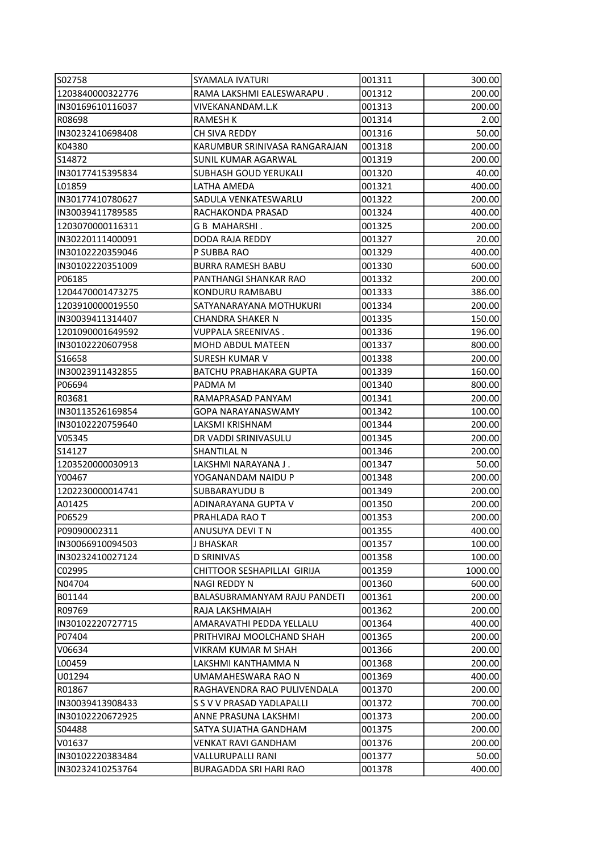| S02758                     | <b>SYAMALA IVATURI</b>         | 001311 | 300.00          |
|----------------------------|--------------------------------|--------|-----------------|
| 1203840000322776           | RAMA LAKSHMI EALESWARAPU.      | 001312 | 200.00          |
| IN30169610116037           | VIVEKANANDAM.L.K               | 001313 | 200.00          |
| R08698                     | <b>RAMESH K</b>                | 001314 | 2.00            |
| IN30232410698408           | CH SIVA REDDY                  | 001316 | 50.00           |
| K04380                     | KARUMBUR SRINIVASA RANGARAJAN  | 001318 | 200.00          |
| S14872                     | SUNIL KUMAR AGARWAL            | 001319 | 200.00          |
| IN30177415395834           | SUBHASH GOUD YERUKALI          | 001320 | 40.00           |
| L01859                     | LATHA AMEDA                    | 001321 | 400.00          |
| IN30177410780627           | SADULA VENKATESWARLU           | 001322 | 200.00          |
| IIN30039411789585          | RACHAKONDA PRASAD              | 001324 | 400.00          |
| 1203070000116311           | G B MAHARSHI.                  | 001325 | 200.00          |
| IN30220111400091           | DODA RAJA REDDY                | 001327 | 20.00           |
| IN30102220359046           | P SUBBA RAO                    | 001329 | 400.00          |
| IN30102220351009           | <b>BURRA RAMESH BABU</b>       | 001330 | 600.00          |
| P06185                     | PANTHANGI SHANKAR RAO          | 001332 | 200.00          |
| 1204470001473275           | KONDURU RAMBABU                | 001333 | 386.00          |
| 1203910000019550           | SATYANARAYANA MOTHUKURI        | 001334 | 200.00          |
| IN30039411314407           | <b>CHANDRA SHAKER N</b>        | 001335 | 150.00          |
| 1201090001649592           | VUPPALA SREENIVAS.             | 001336 | 196.00          |
| IN30102220607958           | MOHD ABDUL MATEEN              | 001337 | 800.00          |
| S16658                     | <b>SURESH KUMAR V</b>          | 001338 | 200.00          |
| IN30023911432855           | <b>BATCHU PRABHAKARA GUPTA</b> | 001339 | 160.00          |
| P06694                     | PADMA M                        | 001340 | 800.00          |
| R03681                     | RAMAPRASAD PANYAM              | 001341 | 200.00          |
| IN30113526169854           | GOPA NARAYANASWAMY             | 001342 | 100.00          |
| IN30102220759640           | LAKSMI KRISHNAM                | 001344 | 200.00          |
| V05345                     | DR VADDI SRINIVASULU           | 001345 | 200.00          |
| S14127                     | SHANTILAL N                    | 001346 | 200.00          |
| 1203520000030913           | LAKSHMI NARAYANA J .           | 001347 | 50.00           |
| Y00467                     | YOGANANDAM NAIDU P             | 001348 | 200.00          |
| 1202230000014741           | <b>SUBBARAYUDU B</b>           | 001349 | 200.00          |
| A01425                     | ADINARAYANA GUPTA V            | 001350 | 200.00          |
| P06529                     | PRAHLADA RAO T                 | 001353 | 200.00          |
| P09090002311               | ANUSUYA DEVI T N               | 001355 | 400.00          |
| IIN30066910094503          | J BHASKAR                      | 001357 | 100.00          |
| IN30232410027124           | <b>D SRINIVAS</b>              | 001358 | 100.00          |
| C02995                     | CHITTOOR SESHAPILLAI GIRIJA    | 001359 | 1000.00         |
| N04704                     | NAGI REDDY N                   | 001360 | 600.00          |
| B01144                     | BALASUBRAMANYAM RAJU PANDETI   | 001361 | 200.00          |
| R09769                     | RAJA LAKSHMAIAH                | 001362 | 200.00          |
| IN30102220727715           | AMARAVATHI PEDDA YELLALU       | 001364 | 400.00          |
| P07404                     | PRITHVIRAJ MOOLCHAND SHAH      | 001365 | 200.00          |
| V06634                     | VIKRAM KUMAR M SHAH            | 001366 | 200.00          |
| L00459                     | LAKSHMI KANTHAMMA N            | 001368 | 200.00          |
| U01294                     | UMAMAHESWARA RAO N             | 001369 | 400.00          |
| R01867                     | RAGHAVENDRA RAO PULIVENDALA    | 001370 | 200.00          |
| IN30039413908433           | S S V V PRASAD YADLAPALLI      | 001372 | 700.00          |
| IN30102220672925           | ANNE PRASUNA LAKSHMI           | 001373 | 200.00          |
| S04488                     | SATYA SUJATHA GANDHAM          | 001375 | 200.00          |
|                            | <b>VENKAT RAVI GANDHAM</b>     | 001376 | 200.00          |
| V01637<br>IN30102220383484 | VALLURUPALLI RANI              | 001377 |                 |
| IN30232410253764           | <b>BURAGADDA SRI HARI RAO</b>  | 001378 | 50.00<br>400.00 |
|                            |                                |        |                 |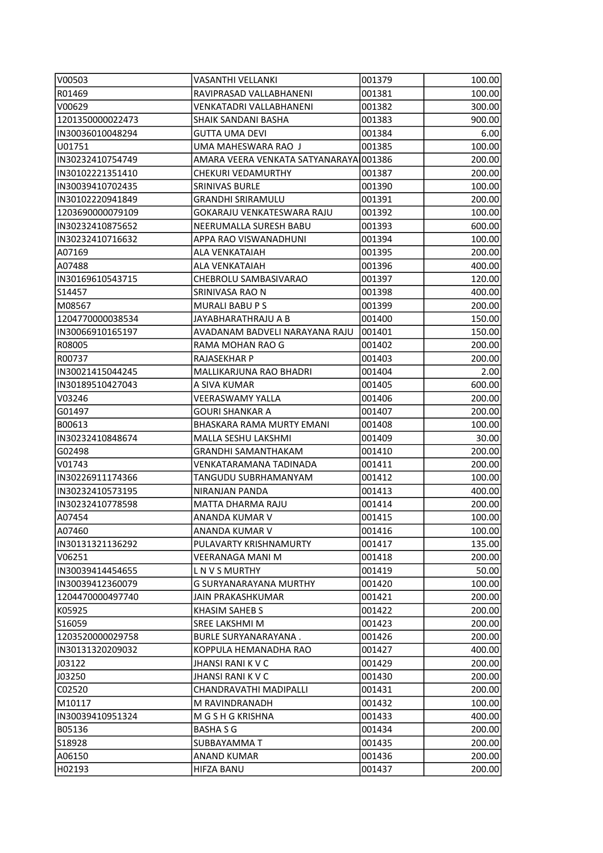| V00503            | VASANTHI VELLANKI                      | 001379 | 100.00           |
|-------------------|----------------------------------------|--------|------------------|
| R01469            | RAVIPRASAD VALLABHANENI                | 001381 | 100.00           |
| V00629            | VENKATADRI VALLABHANENI                | 001382 | 300.00           |
| 1201350000022473  | SHAIK SANDANI BASHA                    | 001383 | 900.00           |
| IN30036010048294  | <b>GUTTA UMA DEVI</b>                  | 001384 | 6.00             |
| U01751            | UMA MAHESWARA RAO J                    | 001385 | 100.00           |
| IN30232410754749  | AMARA VEERA VENKATA SATYANARAYAI001386 |        | 200.00           |
| IN30102221351410  | CHEKURI VEDAMURTHY                     | 001387 | 200.00           |
| IN30039410702435  | <b>SRINIVAS BURLE</b>                  | 001390 | 100.00           |
| IN30102220941849  | <b>GRANDHI SRIRAMULU</b>               | 001391 | 200.00           |
| 1203690000079109  | GOKARAJU VENKATESWARA RAJU             | 001392 | 100.00           |
| IN30232410875652  | NEERUMALLA SURESH BABU                 | 001393 | 600.00           |
| IN30232410716632  | APPA RAO VISWANADHUNI                  | 001394 | 100.00           |
| A07169            | <b>ALA VENKATAIAH</b>                  | 001395 | 200.00           |
| A07488            | <b>ALA VENKATAIAH</b>                  | 001396 | 400.00           |
| IN30169610543715  | CHEBROLU SAMBASIVARAO                  | 001397 | 120.00           |
| S14457            | SRINIVASA RAO N                        | 001398 | 400.00           |
| M08567            | <b>MURALI BABU P S</b>                 | 001399 | 200.00           |
| 1204770000038534  | JAYABHARATHRAJU A B                    | 001400 | 150.00           |
| IIN30066910165197 | AVADANAM BADVELI NARAYANA RAJU         | 001401 | 150.00           |
| R08005            | RAMA MOHAN RAO G                       | 001402 | 200.00           |
| R00737            | RAJASEKHAR P                           | 001403 | 200.00           |
| IN30021415044245  | MALLIKARJUNA RAO BHADRI                | 001404 | 2.00             |
| IN30189510427043  | A SIVA KUMAR                           | 001405 | 600.00           |
| V03246            | <b>VEERASWAMY YALLA</b>                | 001406 | 200.00           |
| G01497            | <b>GOURI SHANKAR A</b>                 | 001407 | 200.00           |
| B00613            | BHASKARA RAMA MURTY EMANI              | 001408 | 100.00           |
| IN30232410848674  | MALLA SESHU LAKSHMI                    | 001409 | 30.00            |
| G02498            | <b>GRANDHI SAMANTHAKAM</b>             | 001410 | 200.00           |
| V01743            | VENKATARAMANA TADINADA                 | 001411 | 200.00           |
| IIN30226911174366 | TANGUDU SUBRHAMANYAM                   | 001412 | 100.00           |
| IIN30232410573195 | NIRANJAN PANDA                         | 001413 | 400.00           |
| IN30232410778598  | MATTA DHARMA RAJU                      | 001414 | 200.00           |
| A07454            | <b>ANANDA KUMAR V</b>                  | 001415 | 100.00           |
| IA07460           | ANANDA KUMAR V                         | 001416 | 100.00           |
| IN30131321136292  | PULAVARTY KRISHNAMURTY                 | 001417 | 135.00           |
| V06251            | <b>VEERANAGA MANI M</b>                | 001418 | 200.00           |
| IN30039414454655  | L N V S MURTHY                         | 001419 | 50.00            |
| IIN30039412360079 | <b>G SURYANARAYANA MURTHY</b>          | 001420 |                  |
| 1204470000497740  | JAIN PRAKASHKUMAR                      | 001421 | 100.00<br>200.00 |
| K05925            | KHASIM SAHEB S                         | 001422 | 200.00           |
| lS16059           | SREE LAKSHMI M                         | 001423 | 200.00           |
| 1203520000029758  | <b>BURLE SURYANARAYANA.</b>            | 001426 | 200.00           |
|                   |                                        |        |                  |
| IIN30131320209032 | KOPPULA HEMANADHA RAO                  | 001427 | 400.00           |
| J03122            | JHANSI RANI K V C                      | 001429 | 200.00           |
| J03250            | <b>JHANSI RANI K V C</b>               | 001430 | 200.00           |
| C02520            | CHANDRAVATHI MADIPALLI                 | 001431 | 200.00           |
| M10117            | M RAVINDRANADH                         | 001432 | 100.00           |
| IN30039410951324  | M G S H G KRISHNA                      | 001433 | 400.00           |
| B05136            | <b>BASHA S G</b>                       | 001434 | 200.00           |
| S18928            | SUBBAYAMMA T                           | 001435 | 200.00           |
| A06150            | ANAND KUMAR                            | 001436 | 200.00           |
| H02193            | <b>HIFZA BANU</b>                      | 001437 | 200.00           |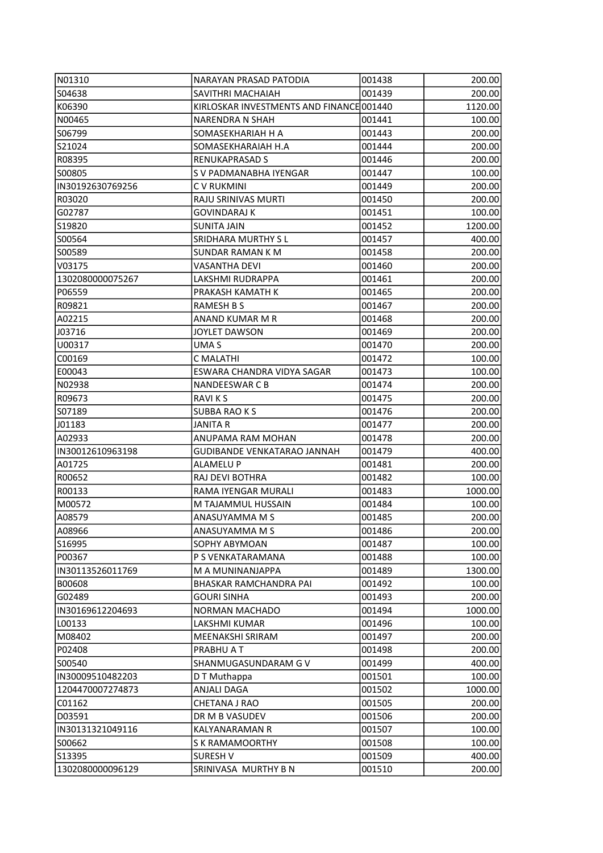| N01310            | NARAYAN PRASAD PATODIA                   | 001438 | 200.00  |
|-------------------|------------------------------------------|--------|---------|
| S04638            | SAVITHRI MACHAIAH                        | 001439 | 200.00  |
| K06390            | KIRLOSKAR INVESTMENTS AND FINANCE 001440 |        | 1120.00 |
| N00465            | <b>NARENDRA N SHAH</b>                   | 001441 | 100.00  |
| S06799            | SOMASEKHARIAH H A                        | 001443 | 200.00  |
| S21024            | SOMASEKHARAIAH H.A                       | 001444 | 200.00  |
| R08395            | <b>RENUKAPRASAD S</b>                    | 001446 | 200.00  |
| IS00805           | S V PADMANABHA IYENGAR                   | 001447 | 100.00  |
| IIN30192630769256 | C V RUKMINI                              | 001449 | 200.00  |
| R03020            | RAJU SRINIVAS MURTI                      | 001450 | 200.00  |
| lG02787           | <b>GOVINDARAJ K</b>                      | 001451 | 100.00  |
| S19820            | <b>SUNITA JAIN</b>                       | 001452 | 1200.00 |
| S00564            | SRIDHARA MURTHY SL                       | 001457 | 400.00  |
| S00589            | <b>SUNDAR RAMAN K M</b>                  | 001458 | 200.00  |
| V03175            | <b>VASANTHA DEVI</b>                     | 001460 | 200.00  |
| 1302080000075267  | LAKSHMI RUDRAPPA                         | 001461 | 200.00  |
|                   | PRAKASH KAMATH K                         |        |         |
| P06559            |                                          | 001465 | 200.00  |
| R09821            | <b>RAMESH B S</b>                        | 001467 | 200.00  |
| A02215            | ANAND KUMAR M R                          | 001468 | 200.00  |
| J03716            | <b>JOYLET DAWSON</b>                     | 001469 | 200.00  |
| U00317            | UMA S                                    | 001470 | 200.00  |
| C00169            | C MALATHI                                | 001472 | 100.00  |
| E00043            | ESWARA CHANDRA VIDYA SAGAR               | 001473 | 100.00  |
| N02938            | <b>NANDEESWAR C B</b>                    | 001474 | 200.00  |
| R09673            | <b>RAVIKS</b>                            | 001475 | 200.00  |
| S07189            | <b>SUBBA RAO K S</b>                     | 001476 | 200.00  |
| J01183            | JANITA R                                 | 001477 | 200.00  |
| A02933            | ANUPAMA RAM MOHAN                        | 001478 | 200.00  |
| IN30012610963198  | <b>GUDIBANDE VENKATARAO JANNAH</b>       | 001479 | 400.00  |
| A01725            | ALAMELU P                                | 001481 | 200.00  |
| R00652            | RAJ DEVI BOTHRA                          | 001482 | 100.00  |
| R00133            | RAMA IYENGAR MURALI                      | 001483 | 1000.00 |
| M00572            | M TAJAMMUL HUSSAIN                       | 001484 | 100.00  |
| A08579            | ANASUYAMMA M S                           | 001485 | 200.00  |
| A08966            | ANASUYAMMA M S                           | 001486 | 200.00  |
| S16995            | <b>SOPHY ABYMOAN</b>                     | 001487 | 100.00  |
| P00367            | P S VENKATARAMANA                        | 001488 | 100.00  |
| IN30113526011769  | M A MUNINANJAPPA                         | 001489 | 1300.00 |
| B00608            | BHASKAR RAMCHANDRA PAI                   | 001492 | 100.00  |
| G02489            | <b>GOURI SINHA</b>                       | 001493 | 200.00  |
| IN30169612204693  | <b>NORMAN MACHADO</b>                    | 001494 | 1000.00 |
| L00133            | <b>LAKSHMI KUMAR</b>                     | 001496 | 100.00  |
| lM08402           | MEENAKSHI SRIRAM                         | 001497 | 200.00  |
| P02408            | PRABHU A T                               | 001498 | 200.00  |
| S00540            | SHANMUGASUNDARAM G V                     | 001499 | 400.00  |
| IN30009510482203  | D T Muthappa                             | 001501 | 100.00  |
| 1204470007274873  | ANJALI DAGA                              | 001502 | 1000.00 |
| C01162            | CHETANA J RAO                            | 001505 | 200.00  |
| D03591            | DR M B VASUDEV                           | 001506 | 200.00  |
| IN30131321049116  | KALYANARAMAN R                           | 001507 | 100.00  |
| S00662            | S K RAMAMOORTHY                          | 001508 | 100.00  |
| S13395            | <b>SURESH V</b>                          | 001509 | 400.00  |
| 1302080000096129  | SRINIVASA MURTHY B N                     | 001510 | 200.00  |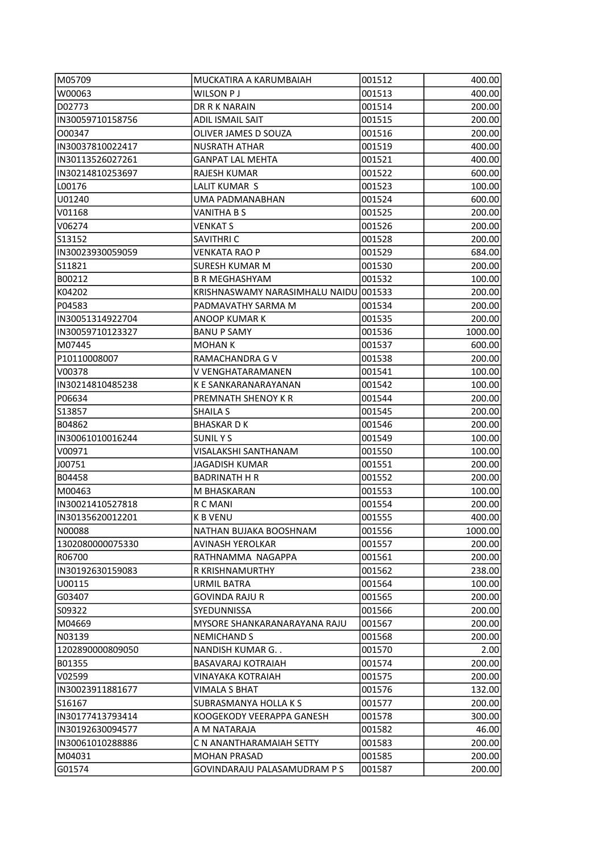| M05709           | MUCKATIRA A KARUMBAIAH                | 001512 | 400.00           |
|------------------|---------------------------------------|--------|------------------|
| W00063           | WILSON P J                            | 001513 | 400.00           |
| D02773           | DR R K NARAIN                         | 001514 | 200.00           |
| IN30059710158756 | ADIL ISMAIL SAIT                      | 001515 | 200.00           |
| 000347           | OLIVER JAMES D SOUZA                  | 001516 | 200.00           |
| IN30037810022417 | <b>NUSRATH ATHAR</b>                  | 001519 | 400.00           |
| IN30113526027261 | GANPAT LAL MEHTA                      | 001521 | 400.00           |
| IN30214810253697 | RAJESH KUMAR                          | 001522 | 600.00           |
| L00176           | LALIT KUMAR S                         | 001523 | 100.00           |
| U01240           | UMA PADMANABHAN                       | 001524 | 600.00           |
| V01168           | <b>VANITHA B S</b>                    | 001525 | 200.00           |
| V06274           | VENKAT S                              | 001526 | 200.00           |
| S13152           | SAVITHRI C                            | 001528 | 200.00           |
| IN30023930059059 | VENKATA RAO P                         | 001529 | 684.00           |
| S11821           | <b>SURESH KUMAR M</b>                 | 001530 | 200.00           |
| B00212           | <b>B R MEGHASHYAM</b>                 | 001532 | 100.00           |
| K04202           | KRISHNASWAMY NARASIMHALU NAIDU        | 001533 | 200.00           |
| P04583           | PADMAVATHY SARMA M                    | 001534 | 200.00           |
| IN30051314922704 | ANOOP KUMAR K                         | 001535 | 200.00           |
| IN30059710123327 | <b>BANU P SAMY</b>                    | 001536 | 1000.00          |
| M07445           | <b>MOHAN K</b>                        | 001537 | 600.00           |
| P10110008007     | RAMACHANDRA G V                       | 001538 | 200.00           |
| V00378           | V VENGHATARAMANEN                     | 001541 |                  |
| IN30214810485238 | K E SANKARANARAYANAN                  | 001542 | 100.00<br>100.00 |
| P06634           | PREMNATH SHENOY K R                   | 001544 | 200.00           |
| S13857           | SHAILA S                              | 001545 | 200.00           |
| B04862           | <b>BHASKARDK</b>                      | 001546 | 200.00           |
| IN30061010016244 | <b>SUNILYS</b>                        | 001549 | 100.00           |
| V00971           | VISALAKSHI SANTHANAM                  | 001550 | 100.00           |
| J00751           | JAGADISH KUMAR                        | 001551 | 200.00           |
| B04458           | <b>BADRINATH H R</b>                  | 001552 | 200.00           |
| M00463           | M BHASKARAN                           | 001553 | 100.00           |
| IN30021410527818 | R C MANI                              | 001554 | 200.00           |
| IN30135620012201 | <b>K B VENU</b>                       | 001555 | 400.00           |
| N00088           | NATHAN BUJAKA BOOSHNAM                | 001556 | 1000.00          |
| 1302080000075330 |                                       |        | 200.00           |
| R06700           | AVINASH YEROLKAR<br>RATHNAMMA NAGAPPA | 001557 | 200.00           |
|                  |                                       | 001561 |                  |
| IN30192630159083 | R KRISHNAMURTHY                       | 001562 | 238.00           |
| U00115           | URMIL BATRA                           | 001564 | 100.00           |
| G03407           | <b>GOVINDA RAJU R</b>                 | 001565 | 200.00           |
| S09322           | SYEDUNNISSA                           | 001566 | 200.00           |
| M04669           | MYSORE SHANKARANARAYANA RAJU          | 001567 | 200.00           |
| N03139           | NEMICHAND S                           | 001568 | 200.00           |
| 1202890000809050 | NANDISH KUMAR G. .                    | 001570 | 2.00             |
| B01355           | <b>BASAVARAJ KOTRAIAH</b>             | 001574 | 200.00           |
| V02599           | VINAYAKA KOTRAIAH                     | 001575 | 200.00           |
| IN30023911881677 | <b>VIMALA S BHAT</b>                  | 001576 | 132.00           |
| S16167           | SUBRASMANYA HOLLA K S                 | 001577 | 200.00           |
| IN30177413793414 | KOOGEKODY VEERAPPA GANESH             | 001578 | 300.00           |
| IN30192630094577 | A M NATARAJA                          | 001582 | 46.00            |
| IN30061010288886 | C N ANANTHARAMAIAH SETTY              | 001583 | 200.00           |
| M04031           | <b>MOHAN PRASAD</b>                   | 001585 | 200.00           |
| G01574           | GOVINDARAJU PALASAMUDRAM P S          | 001587 | 200.00           |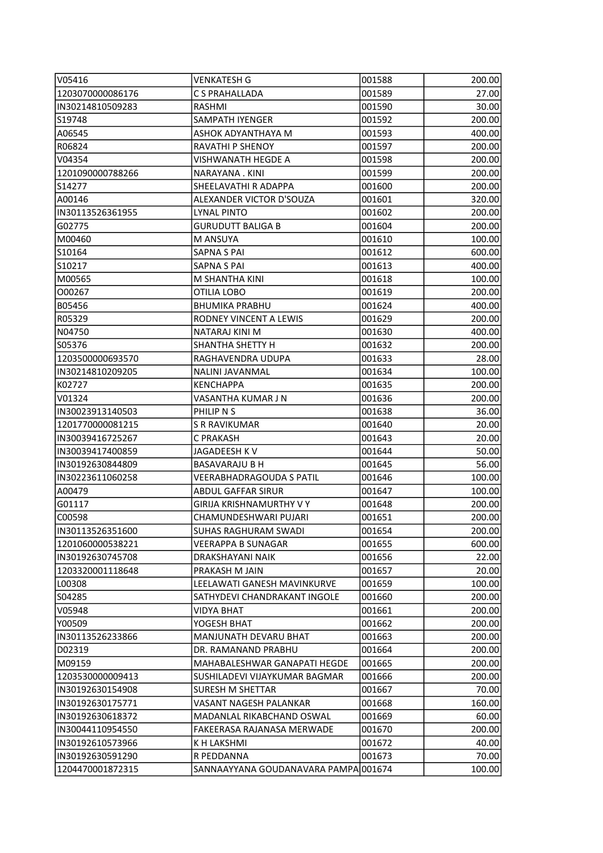| V05416            | <b>VENKATESH G</b>                   | 001588 | 200.00 |
|-------------------|--------------------------------------|--------|--------|
| 1203070000086176  | C S PRAHALLADA                       | 001589 | 27.00  |
| IN30214810509283  | RASHMI                               | 001590 | 30.00  |
| S19748            | SAMPATH IYENGER                      | 001592 | 200.00 |
| A06545            | ASHOK ADYANTHAYA M                   | 001593 | 400.00 |
| R06824            | <b>RAVATHI P SHENOY</b>              | 001597 | 200.00 |
| V04354            | VISHWANATH HEGDE A                   | 001598 | 200.00 |
| 1201090000788266  | NARAYANA. KINI                       | 001599 | 200.00 |
| S14277            | SHEELAVATHI R ADAPPA                 | 001600 | 200.00 |
| A00146            | ALEXANDER VICTOR D'SOUZA             | 001601 | 320.00 |
| IIN30113526361955 | <b>LYNAL PINTO</b>                   | 001602 | 200.00 |
| G02775            | <b>GURUDUTT BALIGA B</b>             | 001604 | 200.00 |
| M00460            | M ANSUYA                             | 001610 | 100.00 |
| S10164            | <b>SAPNA S PAI</b>                   | 001612 | 600.00 |
| S10217            | <b>SAPNA S PAI</b>                   | 001613 | 400.00 |
| M00565            | M SHANTHA KINI                       | 001618 | 100.00 |
| 000267            | OTILIA LOBO                          | 001619 | 200.00 |
| B05456            | <b>BHUMIKA PRABHU</b>                | 001624 | 400.00 |
| R05329            | RODNEY VINCENT A LEWIS               | 001629 | 200.00 |
| N04750            | NATARAJ KINI M                       | 001630 | 400.00 |
| S05376            | SHANTHA SHETTY H                     | 001632 | 200.00 |
| 1203500000693570  | RAGHAVENDRA UDUPA                    | 001633 | 28.00  |
| IN30214810209205  | NALINI JAVANMAL                      | 001634 | 100.00 |
| K02727            | <b>KENCHAPPA</b>                     | 001635 | 200.00 |
| V01324            | VASANTHA KUMAR J N                   | 001636 | 200.00 |
| IN30023913140503  | PHILIP N S                           | 001638 | 36.00  |
| 1201770000081215  | <b>S R RAVIKUMAR</b>                 | 001640 | 20.00  |
| IN30039416725267  | C PRAKASH                            | 001643 | 20.00  |
| IN30039417400859  | JAGADEESH K V                        | 001644 | 50.00  |
| IN30192630844809  | BASAVARAJU B H                       | 001645 | 56.00  |
| IN30223611060258  | VEERABHADRAGOUDA S PATIL             | 001646 | 100.00 |
| A00479            | <b>ABDUL GAFFAR SIRUR</b>            | 001647 | 100.00 |
| G01117            | <b>GIRIJA KRISHNAMURTHY V Y</b>      | 001648 | 200.00 |
| C00598            | CHAMUNDESHWARI PUJARI                | 001651 | 200.00 |
| IN30113526351600  | SUHAS RAGHURAM SWADI                 | 001654 | 200.00 |
| 1201060000538221  | VEERAPPA B SUNAGAR                   | 001655 | 600.00 |
| IN30192630745708  | DRAKSHAYANI NAIK                     | 001656 | 22.00  |
| 1203320001118648  | PRAKASH M JAIN                       | 001657 | 20.00  |
| L00308            | LEELAWATI GANESH MAVINKURVE          | 001659 | 100.00 |
| S04285            | SATHYDEVI CHANDRAKANT INGOLE         | 001660 | 200.00 |
| V05948            | <b>VIDYA BHAT</b>                    | 001661 | 200.00 |
| Y00509            | YOGESH BHAT                          | 001662 | 200.00 |
| IN30113526233866  | MANJUNATH DEVARU BHAT                | 001663 | 200.00 |
| D02319            | DR. RAMANAND PRABHU                  | 001664 | 200.00 |
| M09159            | MAHABALESHWAR GANAPATI HEGDE         | 001665 | 200.00 |
| 1203530000009413  | SUSHILADEVI VIJAYKUMAR BAGMAR        | 001666 | 200.00 |
| IN30192630154908  | SURESH M SHETTAR                     | 001667 | 70.00  |
| IN30192630175771  | VASANT NAGESH PALANKAR               | 001668 | 160.00 |
| IN30192630618372  | MADANLAL RIKABCHAND OSWAL            | 001669 | 60.00  |
| IN30044110954550  | FAKEERASA RAJANASA MERWADE           | 001670 | 200.00 |
| IN30192610573966  | K H LAKSHMI                          | 001672 | 40.00  |
| IN30192630591290  | R PEDDANNA                           | 001673 | 70.00  |
| 1204470001872315  | SANNAAYYANA GOUDANAVARA PAMPA 001674 |        | 100.00 |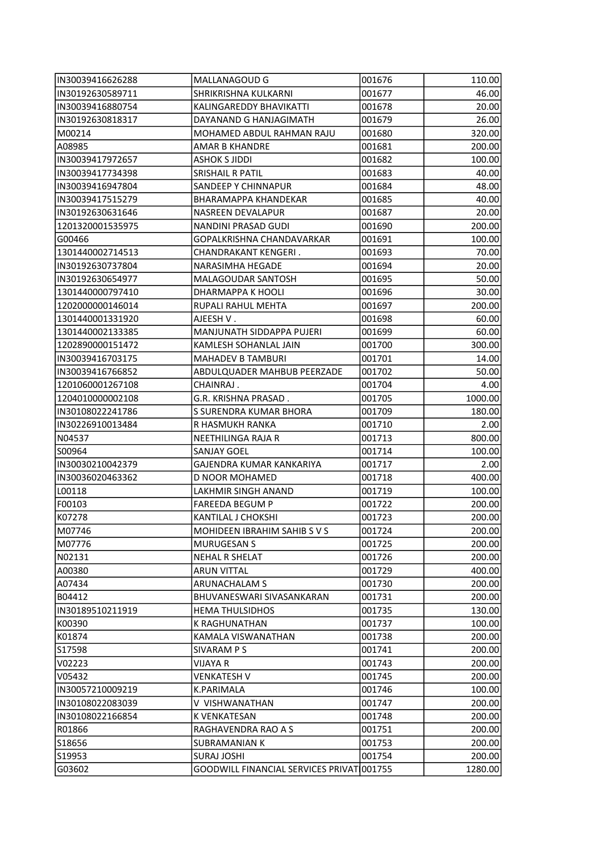| IN30039416626288  | MALLANAGOUD G                              | 001676 | 110.00  |
|-------------------|--------------------------------------------|--------|---------|
| IN30192630589711  | SHRIKRISHNA KULKARNI                       | 001677 | 46.00   |
| IIN30039416880754 | KALINGAREDDY BHAVIKATTI                    | 001678 | 20.00   |
| IN30192630818317  | DAYANAND G HANJAGIMATH                     | 001679 | 26.00   |
| M00214            | MOHAMED ABDUL RAHMAN RAJU                  | 001680 | 320.00  |
| A08985            | <b>AMAR B KHANDRE</b>                      | 001681 | 200.00  |
| IN30039417972657  | <b>ASHOK S JIDDI</b>                       | 001682 | 100.00  |
| IN30039417734398  | <b>SRISHAIL R PATIL</b>                    | 001683 | 40.00   |
| IN30039416947804  | SANDEEP Y CHINNAPUR                        | 001684 | 48.00   |
| IN30039417515279  | BHARAMAPPA KHANDEKAR                       | 001685 | 40.00   |
| IN30192630631646  | NASREEN DEVALAPUR                          | 001687 | 20.00   |
| 1201320001535975  | NANDINI PRASAD GUDI                        | 001690 | 200.00  |
| G00466            | GOPALKRISHNA CHANDAVARKAR                  | 001691 | 100.00  |
| 1301440002714513  | CHANDRAKANT KENGERI.                       | 001693 | 70.00   |
| IN30192630737804  | NARASIMHA HEGADE                           | 001694 | 20.00   |
| IN30192630654977  | <b>MALAGOUDAR SANTOSH</b>                  | 001695 | 50.00   |
| 1301440000797410  | DHARMAPPA K HOOLI                          | 001696 | 30.00   |
| 1202000000146014  | RUPALI RAHUL MEHTA                         | 001697 | 200.00  |
| 1301440001331920  | AJEESH V .                                 | 001698 | 60.00   |
| 1301440002133385  | MANJUNATH SIDDAPPA PUJERI                  | 001699 | 60.00   |
| 1202890000151472  | KAMLESH SOHANLAL JAIN                      | 001700 | 300.00  |
| IN30039416703175  | <b>MAHADEV B TAMBURI</b>                   | 001701 | 14.00   |
| IN30039416766852  | ABDULQUADER MAHBUB PEERZADE                | 001702 | 50.00   |
| 1201060001267108  | CHAINRAJ.                                  | 001704 | 4.00    |
| 1204010000002108  | G.R. KRISHNA PRASAD.                       | 001705 | 1000.00 |
| IN30108022241786  | S SURENDRA KUMAR BHORA                     | 001709 | 180.00  |
| IN30226910013484  | R HASMUKH RANKA                            | 001710 | 2.00    |
| N04537            | NEETHILINGA RAJA R                         | 001713 | 800.00  |
| S00964            | <b>SANJAY GOEL</b>                         | 001714 | 100.00  |
| IN30030210042379  | GAJENDRA KUMAR KANKARIYA                   | 001717 | 2.00    |
| IIN30036020463362 | <b>D NOOR MOHAMED</b>                      | 001718 | 400.00  |
| LO0118            | <b>LAKHMIR SINGH ANAND</b>                 | 001719 | 100.00  |
| F00103            | <b>FAREEDA BEGUM P</b>                     | 001722 | 200.00  |
| K07278            | KANTILAL J CHOKSHI                         | 001723 | 200.00  |
| M07746            | MOHIDEEN IBRAHIM SAHIB S V S               | 001724 | 200.00  |
| M07776            | <b>MURUGESAN S</b>                         | 001725 | 200.00  |
| N02131            | <b>NEHAL R SHELAT</b>                      | 001726 | 200.00  |
| A00380            | <b>ARUN VITTAL</b>                         | 001729 | 400.00  |
| A07434            | <b>ARUNACHALAM S</b>                       | 001730 | 200.00  |
| B04412            | BHUVANESWARI SIVASANKARAN                  | 001731 | 200.00  |
| IN30189510211919  | <b>HEMA THULSIDHOS</b>                     | 001735 | 130.00  |
| K00390            | K RAGHUNATHAN                              | 001737 | 100.00  |
| K01874            | KAMALA VISWANATHAN                         | 001738 | 200.00  |
| S17598            | <b>SIVARAM P S</b>                         | 001741 | 200.00  |
| V02223            | <b>VIJAYA R</b>                            | 001743 | 200.00  |
| V05432            | VENKATESH V                                | 001745 | 200.00  |
| IN30057210009219  | K.PARIMALA                                 | 001746 | 100.00  |
| IN30108022083039  | V VISHWANATHAN                             | 001747 | 200.00  |
| IN30108022166854  | K VENKATESAN                               | 001748 | 200.00  |
| R01866            | RAGHAVENDRA RAO A S                        | 001751 | 200.00  |
| S18656            | SUBRAMANIAN K                              | 001753 | 200.00  |
| S19953            | <b>SURAJ JOSHI</b>                         | 001754 | 200.00  |
| G03602            | <b>GOODWILL FINANCIAL SERVICES PRIVATI</b> | 001755 | 1280.00 |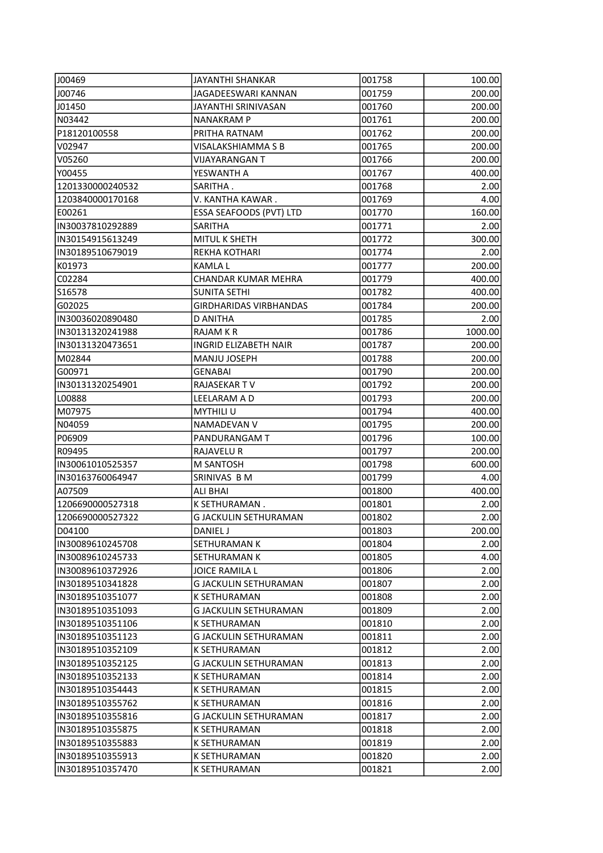| J00469            | <b>JAYANTHI SHANKAR</b>       | 001758 | 100.00  |
|-------------------|-------------------------------|--------|---------|
| J00746            | JAGADEESWARI KANNAN           | 001759 | 200.00  |
| J01450            | JAYANTHI SRINIVASAN           | 001760 | 200.00  |
| N03442            | <b>NANAKRAM P</b>             | 001761 | 200.00  |
| P18120100558      | PRITHA RATNAM                 | 001762 | 200.00  |
| V02947            | VISALAKSHIAMMA S B            | 001765 | 200.00  |
| V05260            | VIJAYARANGAN T                | 001766 | 200.00  |
| Y00455            | YESWANTH A                    | 001767 | 400.00  |
| 1201330000240532  | SARITHA.                      | 001768 | 2.00    |
| 1203840000170168  | V. KANTHA KAWAR.              | 001769 | 4.00    |
| E00261            | ESSA SEAFOODS (PVT) LTD       | 001770 | 160.00  |
| IN30037810292889  | <b>SARITHA</b>                | 001771 | 2.00    |
| IN30154915613249  | MITUL K SHETH                 | 001772 | 300.00  |
| IN30189510679019  | <b>REKHA KOTHARI</b>          | 001774 | 2.00    |
| K01973            | <b>KAMLAL</b>                 | 001777 | 200.00  |
| C02284            | CHANDAR KUMAR MEHRA           | 001779 | 400.00  |
| S16578            | <b>SUNITA SETHI</b>           | 001782 | 400.00  |
| G02025            | <b>GIRDHARIDAS VIRBHANDAS</b> | 001784 | 200.00  |
| IN30036020890480  | D ANITHA                      | 001785 | 2.00    |
| IN30131320241988  | RAJAM K R                     | 001786 | 1000.00 |
| IIN30131320473651 | <b>INGRID ELIZABETH NAIR</b>  | 001787 | 200.00  |
| M02844            | <b>MANJU JOSEPH</b>           | 001788 | 200.00  |
| G00971            | <b>GENABAI</b>                | 001790 | 200.00  |
| IN30131320254901  | RAJASEKAR TV                  | 001792 | 200.00  |
| L00888            | LEELARAM A D                  | 001793 | 200.00  |
| M07975            | <b>MYTHILI U</b>              | 001794 | 400.00  |
| N04059            | NAMADEVAN V                   | 001795 | 200.00  |
| P06909            | PANDURANGAM T                 | 001796 | 100.00  |
| R09495            | RAJAVELU R                    | 001797 | 200.00  |
| IN30061010525357  | M SANTOSH                     | 001798 | 600.00  |
| IN30163760064947  | SRINIVAS B M                  | 001799 | 4.00    |
| A07509            | ALI BHAI                      | 001800 | 400.00  |
| 1206690000527318  | K SETHURAMAN.                 | 001801 | 2.00    |
| 1206690000527322  | G JACKULIN SETHURAMAN         | 001802 | 2.00    |
| D04100            | DANIEL J                      | 001803 | 200.00  |
| IIN30089610245708 | <b>SETHURAMAN K</b>           | 001804 | 2.00    |
| IN30089610245733  | <b>SETHURAMAN K</b>           | 001805 | 4.00    |
| IN30089610372926  | JOICE RAMILA L                | 001806 | 2.00    |
| IN30189510341828  | <b>G JACKULIN SETHURAMAN</b>  | 001807 | 2.00    |
| IN30189510351077  | <b>K SETHURAMAN</b>           | 001808 | 2.00    |
| IIN30189510351093 | <b>G JACKULIN SETHURAMAN</b>  | 001809 | 2.00    |
| IIN30189510351106 | <b>K SETHURAMAN</b>           | 001810 | 2.00    |
| IN30189510351123  | <b>G JACKULIN SETHURAMAN</b>  | 001811 | 2.00    |
| IN30189510352109  | <b>K SETHURAMAN</b>           | 001812 | 2.00    |
| IN30189510352125  | G JACKULIN SETHURAMAN         | 001813 | 2.00    |
| IN30189510352133  | K SETHURAMAN                  | 001814 | 2.00    |
| IN30189510354443  | K SETHURAMAN                  | 001815 | 2.00    |
| IN30189510355762  | K SETHURAMAN                  | 001816 | 2.00    |
| IN30189510355816  | <b>G JACKULIN SETHURAMAN</b>  | 001817 | 2.00    |
| IN30189510355875  | K SETHURAMAN                  | 001818 | 2.00    |
| IN30189510355883  | K SETHURAMAN                  | 001819 | 2.00    |
| IN30189510355913  | K SETHURAMAN                  | 001820 | 2.00    |
| IN30189510357470  |                               |        | 2.00    |
|                   | K SETHURAMAN                  | 001821 |         |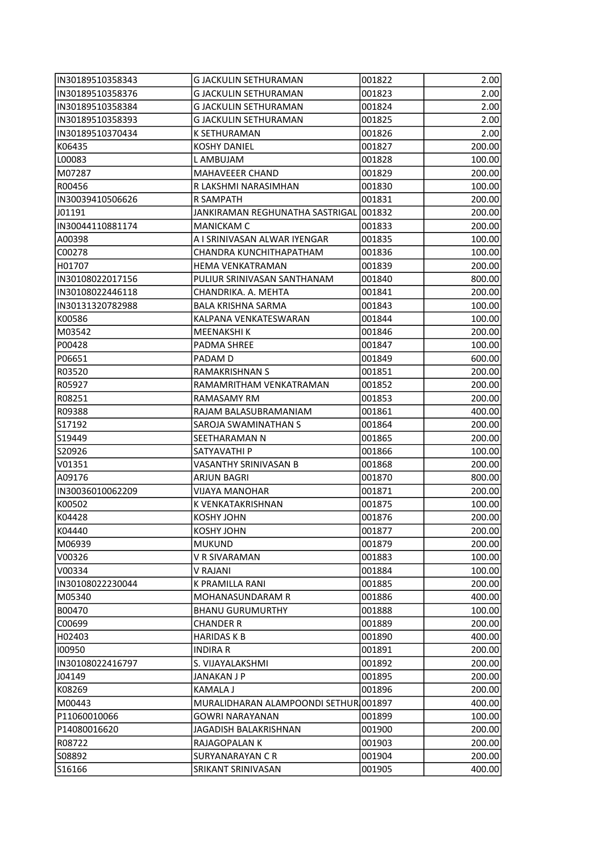| IN30189510358343  | G JACKULIN SETHURAMAN                  | 001822           | 2.00             |
|-------------------|----------------------------------------|------------------|------------------|
| IN30189510358376  | <b>G JACKULIN SETHURAMAN</b>           | 001823           | 2.00             |
| IN30189510358384  | <b>G JACKULIN SETHURAMAN</b>           | 001824           | 2.00             |
| IN30189510358393  | <b>G JACKULIN SETHURAMAN</b>           | 001825           | 2.00             |
| IIN30189510370434 | K SETHURAMAN                           | 001826           | 2.00             |
| K06435            | <b>KOSHY DANIEL</b>                    | 001827           | 200.00           |
| LOOO83            | L AMBUJAM                              | 001828           | 100.00           |
| M07287            | MAHAVEEER CHAND                        | 001829           | 200.00           |
| R00456            | R LAKSHMI NARASIMHAN                   | 001830           | 100.00           |
| IN30039410506626  | R SAMPATH                              | 001831           | 200.00           |
| J01191            | JANKIRAMAN REGHUNATHA SASTRIGAL 001832 |                  | 200.00           |
| IN30044110881174  | <b>MANICKAM C</b>                      | 001833           | 200.00           |
| A00398            | A I SRINIVASAN ALWAR IYENGAR           | 001835           | 100.00           |
| C00278            | CHANDRA KUNCHITHAPATHAM                | 001836           | 100.00           |
| H01707            | <b>HEMA VENKATRAMAN</b>                | 001839           | 200.00           |
| IN30108022017156  | PULIUR SRINIVASAN SANTHANAM            | 001840           | 800.00           |
| IN30108022446118  | CHANDRIKA. A. MEHTA                    | 001841           | 200.00           |
| IN30131320782988  | <b>BALA KRISHNA SARMA</b>              | 001843           | 100.00           |
| lk00586           | KALPANA VENKATESWARAN                  | 001844           | 100.00           |
| M03542            | <b>MEENAKSHIK</b>                      | 001846           | 200.00           |
| P00428            | PADMA SHREE                            | 001847           | 100.00           |
| P06651            | PADAM D                                | 001849           | 600.00           |
| R03520            | <b>RAMAKRISHNAN S</b>                  | 001851           | 200.00           |
| R05927            | RAMAMRITHAM VENKATRAMAN                | 001852           | 200.00           |
| R08251            | RAMASAMY RM                            | 001853           | 200.00           |
| R09388            | RAJAM BALASUBRAMANIAM                  | 001861           | 400.00           |
| S17192            | SAROJA SWAMINATHAN S                   | 001864           | 200.00           |
| S19449            | SEETHARAMAN N                          | 001865           | 200.00           |
| S20926            | SATYAVATHI P                           | 001866           | 100.00           |
| V01351            | VASANTHY SRINIVASAN B                  | 001868           | 200.00           |
| A09176            | <b>ARJUN BAGRI</b>                     | 001870           | 800.00           |
| IIN30036010062209 | <b>VIJAYA MANOHAR</b>                  | 001871           | 200.00           |
| lk00502           | K VENKATAKRISHNAN                      | 001875           | 100.00           |
| K04428            | <b>KOSHY JOHN</b>                      | 001876           | 200.00           |
| K04440            | KOSHY JOHN                             | 001877           | 200.00           |
| M06939            | <b>MUKUND</b>                          | 001879           | 200.00           |
| V00326            | V R SIVARAMAN                          | 001883           | 100.00           |
| lV00334           | V RAJANI                               | 001884           | 100.00           |
| IIN30108022230044 | K PRAMILLA RANI                        | 001885           | 200.00           |
| M05340            | MOHANASUNDARAM R                       | 001886           | 400.00           |
| B00470            | <b>BHANU GURUMURTHY</b>                | 001888           | 100.00           |
| C00699            | <b>CHANDER R</b>                       | 001889           | 200.00           |
| H02403            | <b>HARIDAS K B</b>                     | 001890           | 400.00           |
| 100950            | <b>INDIRA R</b>                        | 001891           | 200.00           |
| IN30108022416797  | S. VIJAYALAKSHMI                       |                  |                  |
| J04149            | JANAKAN J P                            | 001892<br>001895 | 200.00<br>200.00 |
| K08269            | <b>KAMALA J</b>                        | 001896           | 200.00           |
|                   |                                        |                  |                  |
| M00443            | MURALIDHARAN ALAMPOONDI SETHUR 001897  |                  | 400.00           |
| P11060010066      | <b>GOWRI NARAYANAN</b>                 | 001899           | 100.00           |
| P14080016620      | JAGADISH BALAKRISHNAN                  | 001900           | 200.00           |
| R08722            | RAJAGOPALAN K                          | 001903           | 200.00           |
| S08892            | <b>SURYANARAYAN C R</b>                | 001904           | 200.00           |
| S16166            | SRIKANT SRINIVASAN                     | 001905           | 400.00           |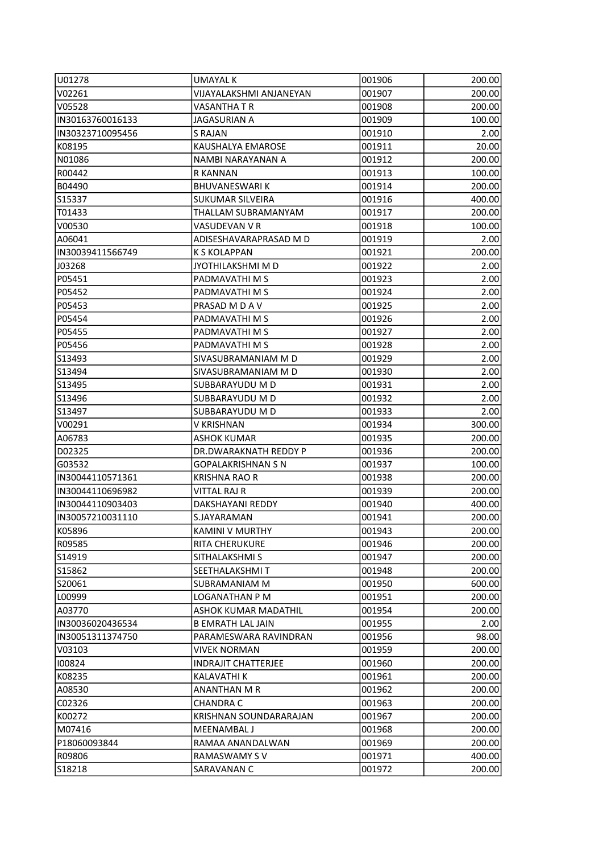| U01278            | <b>UMAYAL K</b>            | 001906 | 200.00 |
|-------------------|----------------------------|--------|--------|
| V02261            | VIJAYALAKSHMI ANJANEYAN    | 001907 | 200.00 |
| V05528            | VASANTHA T R               | 001908 | 200.00 |
| IN30163760016133  | <b>JAGASURIAN A</b>        | 001909 | 100.00 |
| IIN30323710095456 | S RAJAN                    | 001910 | 2.00   |
| K08195            | KAUSHALYA EMAROSE          | 001911 | 20.00  |
| N01086            | NAMBI NARAYANAN A          | 001912 | 200.00 |
| R00442            | R KANNAN                   | 001913 | 100.00 |
| B04490            | <b>BHUVANESWARIK</b>       | 001914 | 200.00 |
| S15337            | <b>SUKUMAR SILVEIRA</b>    | 001916 | 400.00 |
| T01433            | THALLAM SUBRAMANYAM        | 001917 | 200.00 |
| V00530            | VASUDEVAN V R              | 001918 | 100.00 |
| A06041            | ADISESHAVARAPRASAD M D     | 001919 | 2.00   |
| IN30039411566749  | <b>K S KOLAPPAN</b>        | 001921 | 200.00 |
| J03268            | JYOTHILAKSHMI M D          | 001922 | 2.00   |
| P05451            | PADMAVATHI M S             | 001923 | 2.00   |
| P05452            | PADMAVATHI M S             | 001924 | 2.00   |
| P05453            | PRASAD M D A V             | 001925 | 2.00   |
| P05454            | PADMAVATHI M S             | 001926 | 2.00   |
| P05455            | PADMAVATHI M S             | 001927 | 2.00   |
| P05456            | PADMAVATHI M S             | 001928 | 2.00   |
| S13493            | SIVASUBRAMANIAM M D        | 001929 | 2.00   |
| S13494            | SIVASUBRAMANIAM M D        | 001930 | 2.00   |
| S13495            | SUBBARAYUDU M D            | 001931 | 2.00   |
| S13496            | SUBBARAYUDU M D            | 001932 | 2.00   |
| S13497            | SUBBARAYUDU M D            | 001933 | 2.00   |
| V00291            | V KRISHNAN                 | 001934 | 300.00 |
| A06783            | <b>ASHOK KUMAR</b>         | 001935 | 200.00 |
| D02325            | DR.DWARAKNATH REDDY P      | 001936 | 200.00 |
| G03532            | <b>GOPALAKRISHNAN S N</b>  | 001937 | 100.00 |
| IN30044110571361  | <b>KRISHNA RAO R</b>       | 001938 | 200.00 |
| IN30044110696982  | VITTAL RAJ R               | 001939 | 200.00 |
| IN30044110903403  | <b>DAKSHAYANI REDDY</b>    | 001940 | 400.00 |
| IIN30057210031110 | S.JAYARAMAN                | 001941 | 200.00 |
| K05896            | KAMINI V MURTHY            | 001943 | 200.00 |
| R09585            | RITA CHERUKURE             | 001946 | 200.00 |
| S14919            | SITHALAKSHMI S             | 001947 | 200.00 |
| S15862            | SEETHALAKSHMI T            | 001948 | 200.00 |
| S20061            | SUBRAMANIAM M              | 001950 | 600.00 |
| L00999            | LOGANATHAN P M             | 001951 | 200.00 |
| A03770            | ASHOK KUMAR MADATHIL       | 001954 | 200.00 |
| IN30036020436534  | <b>B EMRATH LAL JAIN</b>   | 001955 | 2.00   |
| IN30051311374750  | PARAMESWARA RAVINDRAN      | 001956 | 98.00  |
| V03103            | VIVEK NORMAN               | 001959 | 200.00 |
| 100824            | <b>INDRAJIT CHATTERJEE</b> | 001960 | 200.00 |
| K08235            | KALAVATHI K                | 001961 | 200.00 |
| A08530            | ANANTHAN M R               | 001962 | 200.00 |
| C02326            | <b>CHANDRA C</b>           | 001963 | 200.00 |
| K00272            | KRISHNAN SOUNDARARAJAN     | 001967 | 200.00 |
| IM07416           | MEENAMBAL J                | 001968 | 200.00 |
| P18060093844      | RAMAA ANANDALWAN           | 001969 | 200.00 |
| R09806            | RAMASWAMY S V              | 001971 | 400.00 |
| S18218            | SARAVANAN C                | 001972 | 200.00 |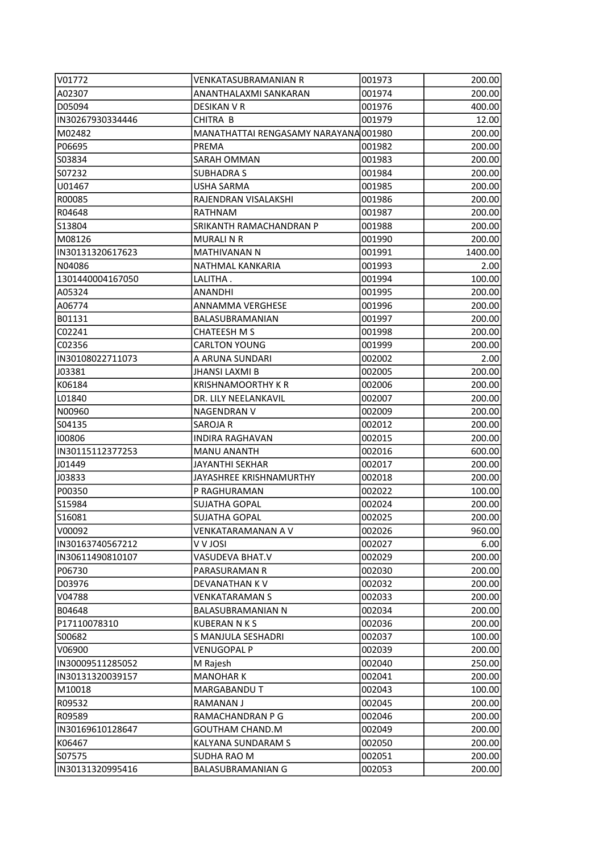| V01772           | VENKATASUBRAMANIAN R                  | 001973 | 200.00  |
|------------------|---------------------------------------|--------|---------|
| A02307           | ANANTHALAXMI SANKARAN                 | 001974 | 200.00  |
| D05094           | DESIKAN V R                           | 001976 | 400.00  |
| IN30267930334446 | CHITRA B                              | 001979 | 12.00   |
| M02482           | MANATHATTAI RENGASAMY NARAYANA 001980 |        | 200.00  |
| P06695           | PREMA                                 | 001982 | 200.00  |
| IS03834          | SARAH OMMAN                           | 001983 | 200.00  |
| S07232           | <b>SUBHADRA S</b>                     | 001984 | 200.00  |
| lU01467          | USHA SARMA                            | 001985 | 200.00  |
| R00085           | RAJENDRAN VISALAKSHI                  | 001986 | 200.00  |
| R04648           | RATHNAM                               | 001987 | 200.00  |
| S13804           | SRIKANTH RAMACHANDRAN P               | 001988 | 200.00  |
| M08126           | <b>MURALI N R</b>                     | 001990 | 200.00  |
| IN30131320617623 | <b>MATHIVANAN N</b>                   | 001991 | 1400.00 |
| N04086           | NATHMAL KANKARIA                      | 001993 | 2.00    |
| 1301440004167050 | LALITHA.                              | 001994 | 100.00  |
| A05324           | ANANDHI                               | 001995 | 200.00  |
| A06774           | ANNAMMA VERGHESE                      | 001996 | 200.00  |
| B01131           | BALASUBRAMANIAN                       | 001997 | 200.00  |
| C02241           | <b>CHATEESH M S</b>                   | 001998 | 200.00  |
| C02356           | <b>CARLTON YOUNG</b>                  | 001999 | 200.00  |
| IN30108022711073 | A ARUNA SUNDARI                       | 002002 | 2.00    |
| J03381           | <b>JHANSI LAXMI B</b>                 | 002005 | 200.00  |
| K06184           | <b>KRISHNAMOORTHY K R</b>             | 002006 | 200.00  |
| L01840           | DR. LILY NEELANKAVIL                  | 002007 | 200.00  |
| N00960           | NAGENDRAN V                           | 002009 | 200.00  |
| S04135           | SAROJA R                              | 002012 | 200.00  |
| 100806           | INDIRA RAGHAVAN                       | 002015 | 200.00  |
| IN30115112377253 | <b>MANU ANANTH</b>                    | 002016 | 600.00  |
| J01449           | JAYANTHI SEKHAR                       | 002017 | 200.00  |
| J03833           | JAYASHREE KRISHNAMURTHY               | 002018 | 200.00  |
| P00350           | P RAGHURAMAN                          | 002022 | 100.00  |
| S15984           | <b>SUJATHA GOPAL</b>                  | 002024 | 200.00  |
| S16081           | <b>SUJATHA GOPAL</b>                  | 002025 | 200.00  |
| V00092           | VENKATARAMANAN A V                    | 002026 | 960.00  |
| IN30163740567212 | <b>IZOL V V</b>                       | 002027 | 6.00    |
| IN30611490810107 | VASUDEVA BHAT.V                       | 002029 | 200.00  |
| P06730           | PARASURAMAN R                         | 002030 | 200.00  |
| D03976           | <b>DEVANATHAN KV</b>                  | 002032 | 200.00  |
| V04788           | VENKATARAMAN S                        | 002033 | 200.00  |
| B04648           | BALASUBRAMANIAN N                     | 002034 | 200.00  |
| P17110078310     | <b>KUBERAN N K S</b>                  | 002036 | 200.00  |
| S00682           | S MANJULA SESHADRI                    | 002037 | 100.00  |
| V06900           | <b>VENUGOPAL P</b>                    | 002039 | 200.00  |
| IN30009511285052 | M Rajesh                              | 002040 | 250.00  |
| IN30131320039157 | <b>MANOHARK</b>                       | 002041 | 200.00  |
| M10018           | MARGABANDU T                          | 002043 | 100.00  |
| R09532           | RAMANAN J                             | 002045 | 200.00  |
| R09589           | RAMACHANDRAN P G                      | 002046 | 200.00  |
| IN30169610128647 | <b>GOUTHAM CHAND.M</b>                | 002049 | 200.00  |
| K06467           | KALYANA SUNDARAM S                    | 002050 | 200.00  |
| S07575           | SUDHA RAO M                           | 002051 | 200.00  |
| IN30131320995416 | <b>BALASUBRAMANIAN G</b>              | 002053 | 200.00  |
|                  |                                       |        |         |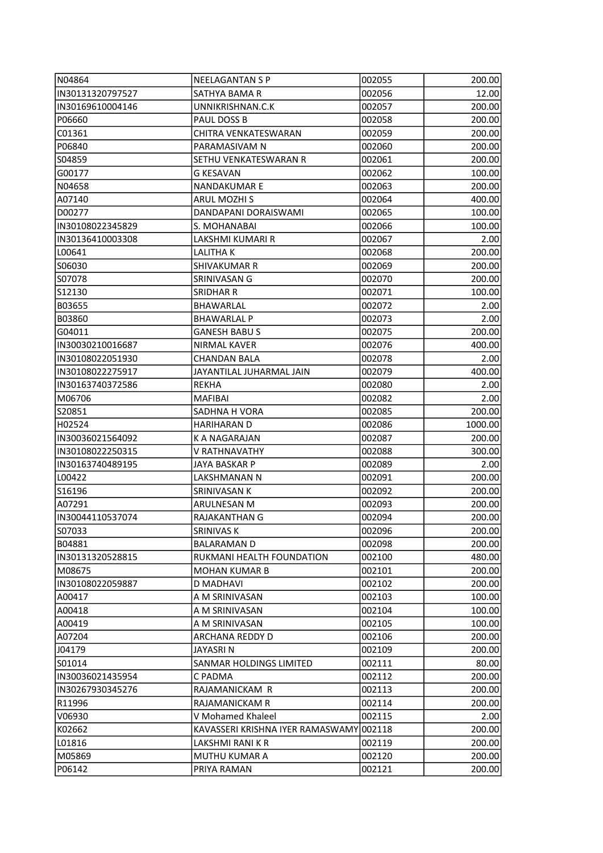| N04864            | <b>NEELAGANTAN S P</b>                  | 002055 | 200.00  |
|-------------------|-----------------------------------------|--------|---------|
| IN30131320797527  | SATHYA BAMA R                           | 002056 | 12.00   |
| IN30169610004146  | UNNIKRISHNAN.C.K                        | 002057 | 200.00  |
| P06660            | PAUL DOSS B                             | 002058 | 200.00  |
| C01361            | CHITRA VENKATESWARAN                    | 002059 | 200.00  |
| P06840            | PARAMASIVAM N                           | 002060 | 200.00  |
| S04859            | SETHU VENKATESWARAN R                   | 002061 | 200.00  |
| G00177            | <b>G KESAVAN</b>                        | 002062 | 100.00  |
| N04658            | NANDAKUMAR E                            | 002063 | 200.00  |
| A07140            | <b>ARUL MOZHI S</b>                     | 002064 | 400.00  |
| D00277            | DANDAPANI DORAISWAMI                    | 002065 | 100.00  |
| IN30108022345829  | S. MOHANABAI                            | 002066 | 100.00  |
| IN30136410003308  | LAKSHMI KUMARI R                        | 002067 | 2.00    |
| L00641            | LALITHA K                               | 002068 | 200.00  |
| S06030            | SHIVAKUMAR R                            | 002069 | 200.00  |
| S07078            | SRINIVASAN G                            | 002070 | 200.00  |
| S12130            | SRIDHAR R                               | 002071 | 100.00  |
| B03655            | BHAWARLAL                               | 002072 | 2.00    |
| B03860            | <b>BHAWARLAL P</b>                      | 002073 | 2.00    |
| G04011            | <b>GANESH BABU S</b>                    | 002075 | 200.00  |
| IIN30030210016687 | NIRMAL KAVER                            | 002076 | 400.00  |
| IN30108022051930  | CHANDAN BALA                            | 002078 | 2.00    |
| IN30108022275917  | JAYANTILAL JUHARMAL JAIN                | 002079 | 400.00  |
| IN30163740372586  | REKHA                                   | 002080 | 2.00    |
| M06706            | <b>MAFIBAI</b>                          | 002082 | 2.00    |
| S20851            | SADHNA H VORA                           | 002085 | 200.00  |
| H02524            | <b>HARIHARAN D</b>                      | 002086 | 1000.00 |
| IN30036021564092  | K A NAGARAJAN                           | 002087 | 200.00  |
| IN30108022250315  | V RATHNAVATHY                           | 002088 | 300.00  |
| IN30163740489195  | JAYA BASKAR P                           | 002089 | 2.00    |
| L00422            | LAKSHMANAN N                            | 002091 | 200.00  |
| S16196            | SRINIVASAN K                            | 002092 | 200.00  |
| A07291            | ARULNESAN M                             | 002093 | 200.00  |
| IN30044110537074  | RAJAKANTHAN G                           | 002094 | 200.00  |
| ISO7033           | SRINIVAS K                              | 002096 | 200.00  |
| B04881            | <b>BALARAMAN D</b>                      | 002098 | 200.00  |
| IN30131320528815  | RUKMANI HEALTH FOUNDATION               | 002100 | 480.00  |
| M08675            | <b>MOHAN KUMAR B</b>                    | 002101 | 200.00  |
| IIN30108022059887 | <b>D MADHAVI</b>                        | 002102 | 200.00  |
| A00417            | A M SRINIVASAN                          | 002103 | 100.00  |
| A00418            | A M SRINIVASAN                          | 002104 | 100.00  |
| A00419            | A M SRINIVASAN                          | 002105 | 100.00  |
| A07204            | ARCHANA REDDY D                         | 002106 | 200.00  |
| J04179            | JAYASRI N                               | 002109 | 200.00  |
| S01014            | SANMAR HOLDINGS LIMITED                 | 002111 | 80.00   |
| IN30036021435954  | C PADMA                                 | 002112 | 200.00  |
| IN30267930345276  | RAJAMANICKAM R                          | 002113 | 200.00  |
| R11996            | RAJAMANICKAM R                          | 002114 | 200.00  |
| V06930            | V Mohamed Khaleel                       | 002115 | 2.00    |
| K02662            | KAVASSERI KRISHNA IYER RAMASWAMY 002118 |        | 200.00  |
| L01816            | LAKSHMI RANI K R                        | 002119 | 200.00  |
| M05869            | MUTHU KUMAR A                           | 002120 | 200.00  |
| P06142            | PRIYA RAMAN                             | 002121 | 200.00  |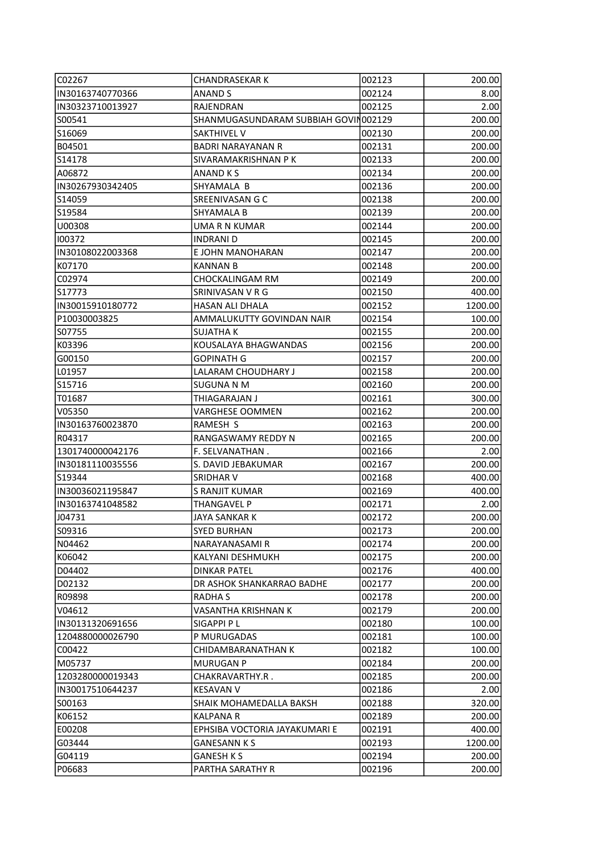| C02267            | <b>CHANDRASEKAR K</b>                | 002123 | 200.00  |
|-------------------|--------------------------------------|--------|---------|
| IN30163740770366  | ANAND S                              | 002124 | 8.00    |
| IN30323710013927  | RAJENDRAN                            | 002125 | 2.00    |
| S00541            | SHANMUGASUNDARAM SUBBIAH GOVIN002129 |        | 200.00  |
| S16069            | <b>SAKTHIVEL V</b>                   | 002130 | 200.00  |
| B04501            | <b>BADRI NARAYANAN R</b>             | 002131 | 200.00  |
| S14178            | SIVARAMAKRISHNAN P K                 | 002133 | 200.00  |
| A06872            | <b>ANAND KS</b>                      | 002134 | 200.00  |
| IIN30267930342405 | SHYAMALA B                           | 002136 | 200.00  |
| S14059            | SREENIVASAN G C                      | 002138 | 200.00  |
| S19584            | <b>SHYAMALA B</b>                    | 002139 | 200.00  |
| U00308            | UMA R N KUMAR                        | 002144 | 200.00  |
| 100372            | <b>INDRANI D</b>                     | 002145 | 200.00  |
| IN30108022003368  | E JOHN MANOHARAN                     | 002147 | 200.00  |
| K07170            | <b>KANNAN B</b>                      | 002148 | 200.00  |
| C02974            | CHOCKALINGAM RM                      | 002149 | 200.00  |
| IS17773           | SRINIVASAN V R G                     | 002150 | 400.00  |
| IN30015910180772  | <b>HASAN ALI DHALA</b>               | 002152 | 1200.00 |
| P10030003825      | AMMALUKUTTY GOVINDAN NAIR            | 002154 | 100.00  |
| S07755            | <b>SUJATHA K</b>                     | 002155 | 200.00  |
| K03396            | KOUSALAYA BHAGWANDAS                 | 002156 | 200.00  |
| G00150            | GOPINATH G                           | 002157 | 200.00  |
| L01957            | LALARAM CHOUDHARY J                  | 002158 | 200.00  |
| S15716            | SUGUNA N M                           | 002160 | 200.00  |
| T01687            | THIAGARAJAN J                        | 002161 | 300.00  |
| V05350            | <b>VARGHESE OOMMEN</b>               | 002162 | 200.00  |
| IN30163760023870  | RAMESH S                             | 002163 | 200.00  |
| R04317            | RANGASWAMY REDDY N                   | 002165 | 200.00  |
| 1301740000042176  | F. SELVANATHAN.                      | 002166 | 2.00    |
| IN30181110035556  | S. DAVID JEBAKUMAR                   | 002167 | 200.00  |
| lS19344           | SRIDHAR V                            | 002168 | 400.00  |
| IN30036021195847  | <b>S RANJIT KUMAR</b>                | 002169 | 400.00  |
| IN30163741048582  | <b>THANGAVEL P</b>                   | 002171 | 2.00    |
| J04731            | JAYA SANKAR K                        | 002172 | 200.00  |
| S09316            | SYED BURHAN                          | 002173 | 200.00  |
| N04462            | NARAYANASAMI R                       | 002174 | 200.00  |
| K06042            | KALYANI DESHMUKH                     | 002175 | 200.00  |
| D04402            | <b>DINKAR PATEL</b>                  | 002176 | 400.00  |
| D02132            | DR ASHOK SHANKARRAO BADHE            | 002177 | 200.00  |
| R09898            | RADHA S                              | 002178 | 200.00  |
| V04612            | VASANTHA KRISHNAN K                  | 002179 | 200.00  |
| IN30131320691656  | SIGAPPI P L                          | 002180 | 100.00  |
| 1204880000026790  | P MURUGADAS                          | 002181 | 100.00  |
| C00422            | CHIDAMBARANATHAN K                   | 002182 | 100.00  |
| M05737            | <b>MURUGAN P</b>                     | 002184 | 200.00  |
| 1203280000019343  | CHAKRAVARTHY.R .                     | 002185 | 200.00  |
| IN30017510644237  | <b>KESAVAN V</b>                     | 002186 | 2.00    |
| S00163            | SHAIK MOHAMEDALLA BAKSH              | 002188 | 320.00  |
| K06152            | KALPANA R                            | 002189 | 200.00  |
| E00208            | EPHSIBA VOCTORIA JAYAKUMARI E        | 002191 | 400.00  |
| G03444            | <b>GANESANN K S</b>                  | 002193 | 1200.00 |
| G04119            | <b>GANESH K S</b>                    | 002194 | 200.00  |
| P06683            | PARTHA SARATHY R                     | 002196 | 200.00  |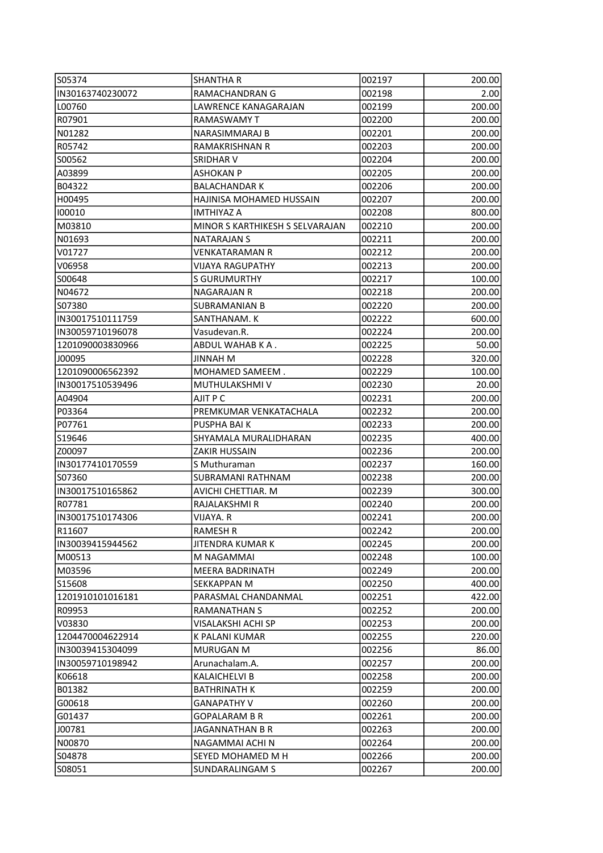| S05374            | <b>SHANTHA R</b>                | 002197 | 200.00 |
|-------------------|---------------------------------|--------|--------|
| IN30163740230072  | RAMACHANDRAN G                  | 002198 | 2.00   |
| L00760            | LAWRENCE KANAGARAJAN            | 002199 | 200.00 |
| R07901            | RAMASWAMY T                     | 002200 | 200.00 |
| N01282            | NARASIMMARAJ B                  | 002201 | 200.00 |
| R05742            | RAMAKRISHNAN R                  | 002203 | 200.00 |
| S00562            | SRIDHAR V                       | 002204 | 200.00 |
| A03899            | <b>ASHOKAN P</b>                | 002205 | 200.00 |
| B04322            | <b>BALACHANDAR K</b>            | 002206 | 200.00 |
| H00495            | HAJINISA MOHAMED HUSSAIN        | 002207 | 200.00 |
| 100010            | <b>IMTHIYAZ A</b>               | 002208 | 800.00 |
| M03810            | MINOR S KARTHIKESH S SELVARAJAN | 002210 | 200.00 |
| N01693            | <b>NATARAJAN S</b>              | 002211 | 200.00 |
| V01727            | <b>VENKATARAMAN R</b>           | 002212 | 200.00 |
| V06958            | <b>VIJAYA RAGUPATHY</b>         | 002213 | 200.00 |
| S00648            | <b>S GURUMURTHY</b>             | 002217 | 100.00 |
| N04672            | <b>NAGARAJAN R</b>              | 002218 | 200.00 |
| S07380            | <b>SUBRAMANIAN B</b>            | 002220 | 200.00 |
| IN30017510111759  | SANTHANAM. K                    | 002222 | 600.00 |
| IN30059710196078  | Vasudevan.R.                    | 002224 | 200.00 |
| 1201090003830966  | ABDUL WAHAB KA.                 | 002225 | 50.00  |
| J00095            | JINNAH M                        | 002228 | 320.00 |
| 1201090006562392  | MOHAMED SAMEEM.                 | 002229 | 100.00 |
| IN30017510539496  | MUTHULAKSHMI V                  | 002230 | 20.00  |
| A04904            | AJIT P C                        | 002231 | 200.00 |
| P03364            | PREMKUMAR VENKATACHALA          | 002232 | 200.00 |
| P07761            | PUSPHA BAI K                    | 002233 | 200.00 |
| S19646            | SHYAMALA MURALIDHARAN           | 002235 | 400.00 |
| IZ00097           | <b>ZAKIR HUSSAIN</b>            | 002236 | 200.00 |
| IN30177410170559  | S Muthuraman                    | 002237 | 160.00 |
| lso7360           | <b>SUBRAMANI RATHNAM</b>        | 002238 | 200.00 |
| IN30017510165862  | AVICHI CHETTIAR. M              | 002239 | 300.00 |
| R07781            | RAJALAKSHMI R                   | 002240 | 200.00 |
| IIN30017510174306 | VIJAYA. R                       | 002241 | 200.00 |
| R11607            | RAMESH R                        | 002242 | 200.00 |
| IN30039415944562  | JITENDRA KUMAR K                | 002245 | 200.00 |
| M00513            | M NAGAMMAI                      | 002248 | 100.00 |
| M03596            | <b>MEERA BADRINATH</b>          | 002249 | 200.00 |
| S15608            | SEKKAPPAN M                     | 002250 | 400.00 |
| 1201910101016181  | PARASMAL CHANDANMAL             | 002251 | 422.00 |
| R09953            | RAMANATHAN S                    | 002252 | 200.00 |
| V03830            | VISALAKSHI ACHI SP              | 002253 | 200.00 |
| 1204470004622914  | K PALANI KUMAR                  | 002255 | 220.00 |
| lIN30039415304099 | <b>MURUGAN M</b>                | 002256 | 86.00  |
| IN30059710198942  | Arunachalam.A.                  | 002257 | 200.00 |
| K06618            | <b>KALAICHELVI B</b>            | 002258 | 200.00 |
| B01382            | <b>BATHRINATH K</b>             | 002259 | 200.00 |
| G00618            | <b>GANAPATHY V</b>              | 002260 | 200.00 |
| G01437            | <b>GOPALARAM B R</b>            | 002261 | 200.00 |
| J00781            | JAGANNATHAN B R                 | 002263 | 200.00 |
| N00870            | NAGAMMAI ACHI N                 | 002264 | 200.00 |
| S04878            | SEYED MOHAMED M H               | 002266 | 200.00 |
| S08051            | SUNDARALINGAM S                 | 002267 | 200.00 |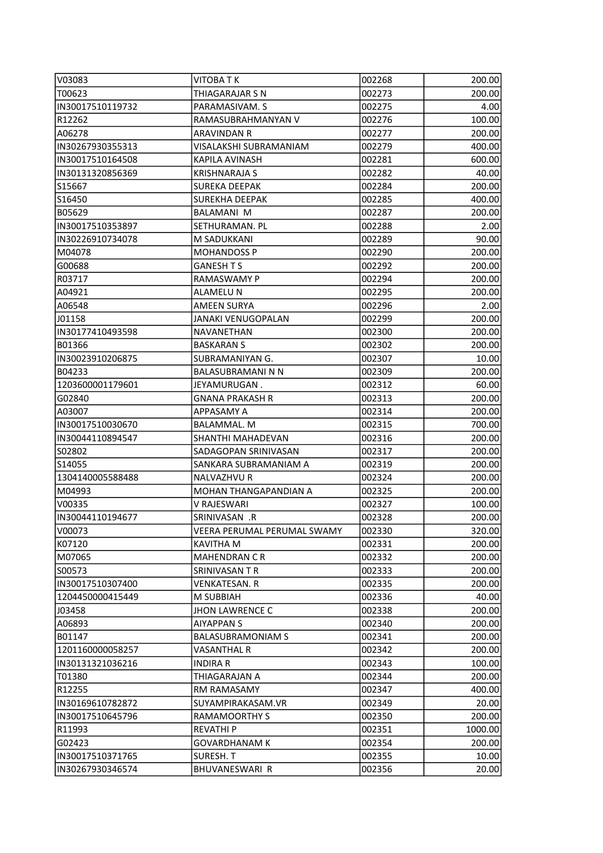| V03083           | <b>VITOBATK</b>             | 002268 | 200.00  |
|------------------|-----------------------------|--------|---------|
| T00623           | THIAGARAJAR S N             | 002273 | 200.00  |
| IN30017510119732 | PARAMASIVAM. S              | 002275 | 4.00    |
| R12262           | RAMASUBRAHMANYAN V          | 002276 | 100.00  |
| A06278           | <b>ARAVINDAN R</b>          | 002277 | 200.00  |
| IN30267930355313 | VISALAKSHI SUBRAMANIAM      | 002279 | 400.00  |
| IN30017510164508 | KAPILA AVINASH              | 002281 | 600.00  |
| IN30131320856369 | <b>KRISHNARAJA S</b>        | 002282 | 40.00   |
| S15667           | <b>SUREKA DEEPAK</b>        | 002284 | 200.00  |
| S16450           | <b>SUREKHA DEEPAK</b>       | 002285 | 400.00  |
| B05629           | <b>BALAMANI M</b>           | 002287 | 200.00  |
| IN30017510353897 | SETHURAMAN. PL              | 002288 | 2.00    |
| IN30226910734078 | M SADUKKANI                 | 002289 | 90.00   |
| M04078           | <b>MOHANDOSS P</b>          | 002290 | 200.00  |
| G00688           | <b>GANESH T S</b>           | 002292 | 200.00  |
| R03717           | <b>RAMASWAMY P</b>          | 002294 | 200.00  |
| A04921           | <b>ALAMELU N</b>            | 002295 | 200.00  |
| A06548           | <b>AMEEN SURYA</b>          | 002296 | 2.00    |
| J01158           | <b>JANAKI VENUGOPALAN</b>   | 002299 | 200.00  |
| IN30177410493598 | NAVANETHAN                  | 002300 | 200.00  |
| B01366           | <b>BASKARANS</b>            | 002302 | 200.00  |
| IN30023910206875 | SUBRAMANIYAN G.             | 002307 | 10.00   |
| B04233           | BALASUBRAMANI N N           | 002309 | 200.00  |
| 1203600001179601 | JEYAMURUGAN.                | 002312 | 60.00   |
| G02840           | <b>GNANA PRAKASH R</b>      | 002313 | 200.00  |
| A03007           | APPASAMY A                  | 002314 | 200.00  |
| IN30017510030670 | <b>BALAMMAL. M</b>          | 002315 | 700.00  |
| IN30044110894547 | SHANTHI MAHADEVAN           | 002316 | 200.00  |
| S02802           | SADAGOPAN SRINIVASAN        | 002317 | 200.00  |
| S14055           | SANKARA SUBRAMANIAM A       | 002319 | 200.00  |
| 1304140005588488 | NALVAZHVU R                 | 002324 | 200.00  |
| M04993           | MOHAN THANGAPANDIAN A       | 002325 | 200.00  |
| V00335           | V RAJESWARI                 | 002327 | 100.00  |
| IN30044110194677 | SRINIVASAN .R               | 002328 | 200.00  |
| V00073           | VEERA PERUMAL PERUMAL SWAMY | 002330 | 320.00  |
| K07120           | KAVITHA M                   | 002331 | 200.00  |
| M07065           | <b>MAHENDRAN CR</b>         | 002332 | 200.00  |
| S00573           | SRINIVASAN T R              | 002333 | 200.00  |
| IN30017510307400 | <b>VENKATESAN.R</b>         | 002335 | 200.00  |
| 1204450000415449 | M SUBBIAH                   | 002336 | 40.00   |
| J03458           | <b>JHON LAWRENCE C</b>      | 002338 | 200.00  |
| A06893           | <b>AIYAPPAN S</b>           | 002340 | 200.00  |
| B01147           | <b>BALASUBRAMONIAM S</b>    | 002341 | 200.00  |
| 1201160000058257 | <b>VASANTHAL R</b>          | 002342 | 200.00  |
| IN30131321036216 | <b>INDIRA R</b>             | 002343 | 100.00  |
| T01380           | THIAGARAJAN A               | 002344 | 200.00  |
| R12255           | <b>RM RAMASAMY</b>          | 002347 | 400.00  |
| IN30169610782872 | SUYAMPIRAKASAM.VR           | 002349 | 20.00   |
| IN30017510645796 | <b>RAMAMOORTHY S</b>        | 002350 | 200.00  |
| R11993           | <b>REVATHIP</b>             | 002351 | 1000.00 |
| G02423           | GOVARDHANAM K               | 002354 | 200.00  |
| IN30017510371765 | SURESH. T                   | 002355 | 10.00   |
| IN30267930346574 | BHUVANESWARI R              | 002356 | 20.00   |
|                  |                             |        |         |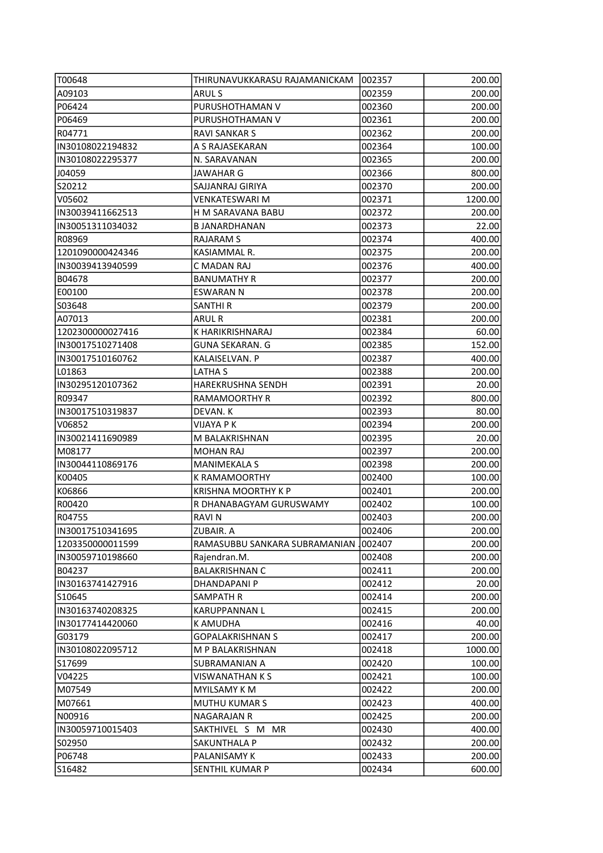| T00648                       | THIRUNAVUKKARASU RAJAMANICKAM- | 002357 | 200.00          |
|------------------------------|--------------------------------|--------|-----------------|
| A09103                       | ARUL S                         | 002359 | 200.00          |
| P06424                       | PURUSHOTHAMAN V                | 002360 | 200.00          |
| P06469                       | PURUSHOTHAMAN V                | 002361 | 200.00          |
| R04771                       | <b>RAVI SANKAR S</b>           | 002362 | 200.00          |
| IN30108022194832             | A S RAJASEKARAN                | 002364 | 100.00          |
| IN30108022295377             | N. SARAVANAN                   | 002365 | 200.00          |
| J04059                       | <b>JAWAHAR G</b>               | 002366 | 800.00          |
| S20212                       | SAJJANRAJ GIRIYA               | 002370 | 200.00          |
| V05602                       | <b>VENKATESWARI M</b>          | 002371 | 1200.00         |
| IN30039411662513             | H M SARAVANA BABU              | 002372 | 200.00          |
| IN30051311034032             | <b>B JANARDHANAN</b>           | 002373 | 22.00           |
| R08969                       | <b>RAJARAM S</b>               | 002374 | 400.00          |
| 1201090000424346             | KASIAMMAL R.                   | 002375 | 200.00          |
| IN30039413940599             | C MADAN RAJ                    | 002376 | 400.00          |
| B04678                       | <b>BANUMATHY R</b>             | 002377 | 200.00          |
| E00100                       | <b>ESWARAN N</b>               | 002378 | 200.00          |
| S03648                       | SANTHI R                       | 002379 | 200.00          |
| A07013                       | <b>ARUL R</b>                  | 002381 | 200.00          |
| 1202300000027416             | K HARIKRISHNARAJ               | 002384 | 60.00           |
| IN30017510271408             | <b>GUNA SEKARAN. G</b>         | 002385 | 152.00          |
| IIN30017510160762            | KALAISELVAN. P                 | 002387 | 400.00          |
| LO1863                       | LATHA S                        | 002388 | 200.00          |
| IN30295120107362             | <b>HAREKRUSHNA SENDH</b>       | 002391 | 20.00           |
| R09347                       | <b>RAMAMOORTHY R</b>           | 002392 | 800.00          |
| IN30017510319837             | DEVAN. K                       | 002393 | 80.00           |
|                              | VIJAYA P K                     | 002394 |                 |
| V06852 <br> IN30021411690989 | M BALAKRISHNAN                 | 002395 | 200.00<br>20.00 |
| M08177                       | MOHAN RAJ                      | 002397 | 200.00          |
| IN30044110869176             | <b>MANIMEKALA S</b>            | 002398 | 200.00          |
| K00405                       | K RAMAMOORTHY                  | 002400 | 100.00          |
| K06866                       | <b>KRISHNA MOORTHY K P</b>     | 002401 | 200.00          |
| R00420                       | R DHANABAGYAM GURUSWAMY        | 002402 | 100.00          |
| R04755                       | <b>RAVIN</b>                   | 002403 | 200.00          |
| IN30017510341695             | ZUBAIR. A                      | 002406 | 200.00          |
| 1203350000011599             | RAMASUBBU SANKARA SUBRAMANIAN. | 002407 | 200.00          |
| IN30059710198660             | Rajendran.M.                   | 002408 | 200.00          |
| B04237                       | <b>BALAKRISHNAN C</b>          | 002411 | 200.00          |
| IN30163741427916             | <b>DHANDAPANI P</b>            | 002412 | 20.00           |
| S10645                       | SAMPATH R                      | 002414 | 200.00          |
| IN30163740208325             | <b>KARUPPANNAN L</b>           | 002415 | 200.00          |
| IN30177414420060             | <b>K AMUDHA</b>                | 002416 | 40.00           |
| G03179                       | <b>GOPALAKRISHNAN S</b>        | 002417 | 200.00          |
| IN30108022095712             | M P BALAKRISHNAN               | 002418 | 1000.00         |
| S17699                       | SUBRAMANIAN A                  | 002420 | 100.00          |
| V04225                       | VISWANATHAN K S                | 002421 | 100.00          |
| M07549                       | <b>MYILSAMY K M</b>            | 002422 | 200.00          |
| M07661                       | <b>MUTHU KUMAR S</b>           | 002423 | 400.00          |
| N00916                       | <b>NAGARAJAN R</b>             | 002425 | 200.00          |
| IN30059710015403             | SAKTHIVEL S M MR               | 002430 | 400.00          |
| S02950                       | SAKUNTHALA P                   | 002432 | 200.00          |
| P06748                       | PALANISAMY K                   | 002433 | 200.00          |
| S16482                       | SENTHIL KUMAR P                | 002434 | 600.00          |
|                              |                                |        |                 |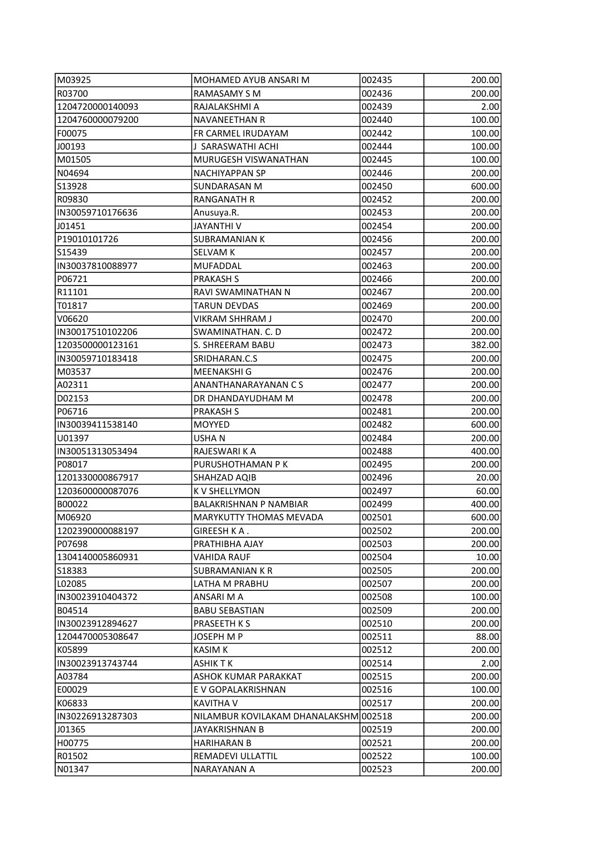| M03925            | MOHAMED AYUB ANSARI M                 | 002435 | 200.00 |
|-------------------|---------------------------------------|--------|--------|
| R03700            | RAMASAMY S M                          | 002436 | 200.00 |
| 1204720000140093  | RAJALAKSHMI A                         | 002439 | 2.00   |
| 1204760000079200  | <b>NAVANEETHAN R</b>                  | 002440 | 100.00 |
| F00075            | FR CARMEL IRUDAYAM                    | 002442 | 100.00 |
| J00193            | J SARASWATHI ACHI                     | 002444 | 100.00 |
| M01505            | MURUGESH VISWANATHAN                  | 002445 | 100.00 |
| N04694            | NACHIYAPPAN SP                        | 002446 | 200.00 |
| S13928            | SUNDARASAN M                          | 002450 | 600.00 |
| R09830            | <b>RANGANATH R</b>                    | 002452 | 200.00 |
| IIN30059710176636 | Anusuya.R.                            | 002453 | 200.00 |
| J01451            | JAYANTHI V                            | 002454 | 200.00 |
| P19010101726      | <b>SUBRAMANIAN K</b>                  | 002456 | 200.00 |
| S15439            | <b>SELVAM K</b>                       | 002457 | 200.00 |
| IN30037810088977  | <b>MUFADDAL</b>                       | 002463 | 200.00 |
| P06721            | <b>PRAKASH S</b>                      | 002466 | 200.00 |
| R11101            | RAVI SWAMINATHAN N                    | 002467 | 200.00 |
| T01817            | TARUN DEVDAS                          | 002469 | 200.00 |
| V06620            | VIKRAM SHHRAM J                       | 002470 | 200.00 |
| IN30017510102206  | SWAMINATHAN. C. D                     | 002472 | 200.00 |
| 1203500000123161  | S. SHREERAM BABU                      | 002473 | 382.00 |
| IN30059710183418  | SRIDHARAN.C.S                         | 002475 | 200.00 |
| M03537            | MEENAKSHI G                           | 002476 | 200.00 |
| A02311            | ANANTHANARAYANAN C S                  | 002477 | 200.00 |
| D02153            | DR DHANDAYUDHAM M                     | 002478 | 200.00 |
| P06716            | <b>PRAKASH S</b>                      | 002481 | 200.00 |
| IN30039411538140  | <b>MOYYED</b>                         | 002482 | 600.00 |
| U01397            | USHA N                                | 002484 | 200.00 |
| IN30051313053494  | RAJESWARI K A                         | 002488 | 400.00 |
| P08017            | PURUSHOTHAMAN P K                     | 002495 | 200.00 |
| 1201330000867917  | SHAHZAD AQIB                          | 002496 | 20.00  |
| 1203600000087076  | K V SHELLYMON                         | 002497 | 60.00  |
| B00022            | <b>BALAKRISHNAN P NAMBIAR</b>         | 002499 | 400.00 |
| M06920            | MARYKUTTY THOMAS MEVADA               | 002501 | 600.00 |
| 1202390000088197  | GIREESH KA.                           | 002502 | 200.00 |
| P07698            | PRATHIBHA AJAY                        | 002503 | 200.00 |
| 1304140005860931  | <b>VAHIDA RAUF</b>                    | 002504 | 10.00  |
| S18383            | <b>SUBRAMANIAN K R</b>                | 002505 | 200.00 |
| L02085            | LATHA M PRABHU                        | 002507 | 200.00 |
| IN30023910404372  | ANSARI M A                            | 002508 | 100.00 |
| B04514            | <b>BABU SEBASTIAN</b>                 | 002509 | 200.00 |
| IN30023912894627  | PRASEETH K S                          | 002510 | 200.00 |
| 1204470005308647  | <b>JOSEPH M P</b>                     | 002511 | 88.00  |
| K05899            | <b>KASIM K</b>                        | 002512 | 200.00 |
| IN30023913743744  | ASHIK T K                             | 002514 | 2.00   |
| A03784            | ASHOK KUMAR PARAKKAT                  | 002515 | 200.00 |
| E00029            | E V GOPALAKRISHNAN                    | 002516 | 100.00 |
| K06833            | KAVITHA V                             | 002517 | 200.00 |
| IN30226913287303  | NILAMBUR KOVILAKAM DHANALAKSHM 002518 |        | 200.00 |
| J01365            | JAYAKRISHNAN B                        | 002519 | 200.00 |
| H00775            | HARIHARAN B                           | 002521 | 200.00 |
| R01502            | REMADEVI ULLATTIL                     | 002522 | 100.00 |
| N01347            | NARAYANAN A                           | 002523 | 200.00 |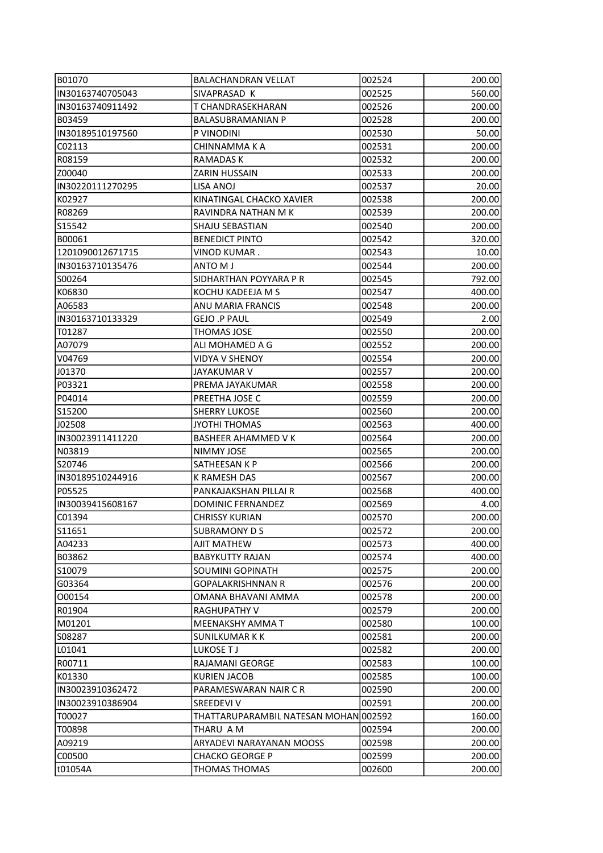| B01070            | <b>BALACHANDRAN VELLAT</b>            | 002524 | 200.00 |
|-------------------|---------------------------------------|--------|--------|
| IN30163740705043  | SIVAPRASAD K                          | 002525 | 560.00 |
| IIN30163740911492 | T CHANDRASEKHARAN                     | 002526 | 200.00 |
| B03459            | <b>BALASUBRAMANIAN P</b>              | 002528 | 200.00 |
| IN30189510197560  | P VINODINI                            | 002530 | 50.00  |
| C02113            | CHINNAMMA K A                         | 002531 | 200.00 |
| R08159            | RAMADAS K                             | 002532 | 200.00 |
| IZ00040           | <b>ZARIN HUSSAIN</b>                  | 002533 | 200.00 |
| IN30220111270295  | LISA ANOJ                             | 002537 | 20.00  |
| K02927            | KINATINGAL CHACKO XAVIER              | 002538 | 200.00 |
| R08269            | RAVINDRA NATHAN M K                   | 002539 | 200.00 |
| S15542            | SHAJU SEBASTIAN                       | 002540 | 200.00 |
| B00061            | <b>BENEDICT PINTO</b>                 | 002542 | 320.00 |
| 1201090012671715  | VINOD KUMAR.                          | 002543 | 10.00  |
| IN30163710135476  | ANTO M J                              | 002544 | 200.00 |
| S00264            | SIDHARTHAN POYYARA P R                | 002545 | 792.00 |
| K06830            | KOCHU KADEEJA M S                     | 002547 | 400.00 |
| A06583            | ANU MARIA FRANCIS                     | 002548 | 200.00 |
| IN30163710133329  | <b>GEJO .P PAUL</b>                   | 002549 | 2.00   |
| T01287            | <b>THOMAS JOSE</b>                    | 002550 | 200.00 |
| A07079            | ALI MOHAMED A G                       | 002552 | 200.00 |
| V04769            | <b>VIDYA V SHENOY</b>                 | 002554 | 200.00 |
| J01370            | JAYAKUMAR V                           | 002557 | 200.00 |
| P03321            | PREMA JAYAKUMAR                       |        |        |
|                   |                                       | 002558 | 200.00 |
| P04014            | PREETHA JOSE C                        | 002559 | 200.00 |
| S15200            | <b>SHERRY LUKOSE</b>                  | 002560 | 200.00 |
| J02508            | <b>JYOTHI THOMAS</b>                  | 002563 | 400.00 |
| IN30023911411220  | <b>BASHEER AHAMMED VK</b>             | 002564 | 200.00 |
| N03819            | NIMMY JOSE                            | 002565 | 200.00 |
| S20746            | SATHEESAN K P                         | 002566 | 200.00 |
| IN30189510244916  | K RAMESH DAS                          | 002567 | 200.00 |
| P05525            | PANKAJAKSHAN PILLAI R                 | 002568 | 400.00 |
| IN30039415608167  | DOMINIC FERNANDEZ                     | 002569 | 4.00   |
| C01394            | <b>CHRISSY KURIAN</b>                 | 002570 | 200.00 |
| S11651            | <b>SUBRAMONY D S</b>                  | 002572 | 200.00 |
| A04233            | AJIT MATHEW                           | 002573 | 400.00 |
| B03862            | <b>BABYKUTTY RAJAN</b>                | 002574 | 400.00 |
| S10079            | SOUMINI GOPINATH                      | 002575 | 200.00 |
| G03364            | GOPALAKRISHNNAN R                     | 002576 | 200.00 |
| 000154            | OMANA BHAVANI AMMA                    | 002578 | 200.00 |
| R01904            | <b>RAGHUPATHY V</b>                   | 002579 | 200.00 |
| M01201            | MEENAKSHY AMMA T                      | 002580 | 100.00 |
| S08287            | <b>SUNILKUMAR K K</b>                 | 002581 | 200.00 |
| L01041            | LUKOSE TJ                             | 002582 | 200.00 |
| R00711            | RAJAMANI GEORGE                       | 002583 | 100.00 |
| K01330            | <b>KURIEN JACOB</b>                   | 002585 | 100.00 |
| IN30023910362472  | PARAMESWARAN NAIR C R                 | 002590 | 200.00 |
| IN30023910386904  | <b>SREEDEVI V</b>                     | 002591 | 200.00 |
| T00027            | THATTARUPARAMBIL NATESAN MOHAN 002592 |        | 160.00 |
| T00898            | THARU A M                             | 002594 | 200.00 |
| A09219            | ARYADEVI NARAYANAN MOOSS              | 002598 | 200.00 |
| C00500            | <b>CHACKO GEORGE P</b>                | 002599 | 200.00 |
| t01054A           | THOMAS THOMAS                         | 002600 | 200.00 |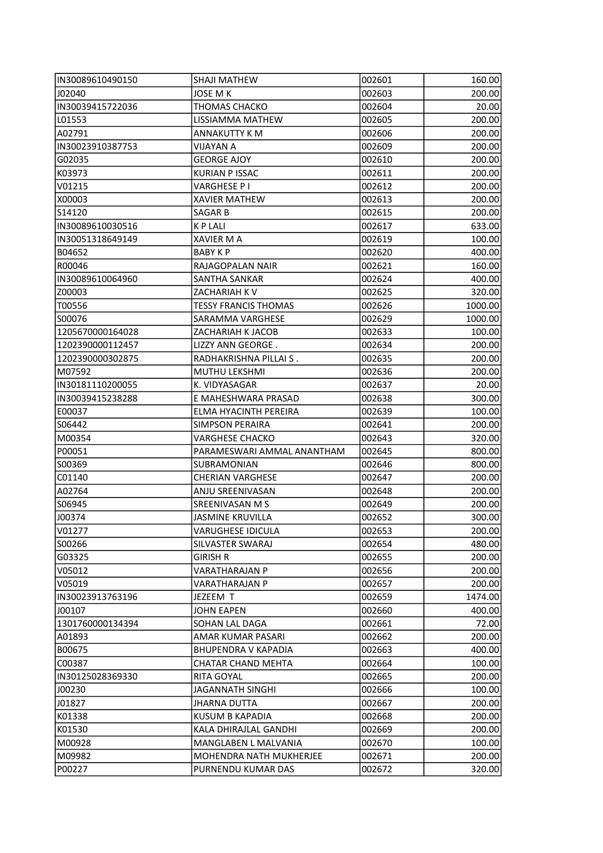| IIN30089610490150 | <b>SHAJI MATHEW</b>         | 002601 | 160.00  |
|-------------------|-----------------------------|--------|---------|
| J02040            | JOSE M K                    | 002603 | 200.00  |
| IN30039415722036  | <b>THOMAS CHACKO</b>        | 002604 | 20.00   |
| L01553            | LISSIAMMA MATHEW            | 002605 | 200.00  |
| A02791            | ANNAKUTTY K M               | 002606 | 200.00  |
| IN30023910387753  | VIJAYAN A                   | 002609 | 200.00  |
| G02035            | <b>GEORGE AJOY</b>          | 002610 | 200.00  |
| K03973            | <b>KURIAN P ISSAC</b>       | 002611 | 200.00  |
| V01215            | VARGHESE P I                | 002612 | 200.00  |
| X00003            | <b>XAVIER MATHEW</b>        | 002613 | 200.00  |
| S14120            | SAGAR B                     | 002615 | 200.00  |
| IN30089610030516  | K P LALI                    | 002617 | 633.00  |
| IN30051318649149  | XAVIER M A                  | 002619 | 100.00  |
| B04652            | <b>BABY KP</b>              | 002620 | 400.00  |
| R00046            | RAJAGOPALAN NAIR            | 002621 | 160.00  |
| IIN30089610064960 | SANTHA SANKAR               | 002624 | 400.00  |
| Z00003            | ZACHARIAH K V               | 002625 | 320.00  |
| T00556            | <b>TESSY FRANCIS THOMAS</b> | 002626 | 1000.00 |
| IS00076           | SARAMMA VARGHESE            | 002629 | 1000.00 |
| 1205670000164028  | ZACHARIAH K JACOB           | 002633 | 100.00  |
| 1202390000112457  | LIZZY ANN GEORGE.           | 002634 | 200.00  |
| 1202390000302875  | RADHAKRISHNA PILLAI S.      | 002635 | 200.00  |
| M07592            | <b>MUTHU LEKSHMI</b>        | 002636 | 200.00  |
| IN30181110200055  | K. VIDYASAGAR               | 002637 | 20.00   |
| IN30039415238288  | E MAHESHWARA PRASAD         | 002638 | 300.00  |
| E00037            | ELMA HYACINTH PEREIRA       | 002639 | 100.00  |
| S06442            | <b>SIMPSON PERAIRA</b>      | 002641 | 200.00  |
| M00354            | <b>VARGHESE CHACKO</b>      | 002643 | 320.00  |
| P00051            | PARAMESWARI AMMAL ANANTHAM  | 002645 | 800.00  |
| IS00369           | SUBRAMONIAN                 | 002646 | 800.00  |
| C01140            | <b>CHERIAN VARGHESE</b>     | 002647 | 200.00  |
| A02764            | ANJU SREENIVASAN            | 002648 | 200.00  |
| S06945            | SREENIVASAN M S             | 002649 | 200.00  |
| J00374            | <b>JASMINE KRUVILLA</b>     | 002652 | 300.00  |
| V01277            | VARUGHESE IDICULA           | 002653 | 200.00  |
| IS00266           | SILVASTER SWARAJ            | 002654 | 480.00  |
| G03325            | <b>GIRISH R</b>             | 002655 | 200.00  |
| V05012            | VARATHARAJAN P              | 002656 | 200.00  |
| IV05019           | VARATHARAJAN P              | 002657 | 200.00  |
| IN30023913763196  | JEZEEM T                    | 002659 | 1474.00 |
| J00107            | JOHN EAPEN                  | 002660 | 400.00  |
| 1301760000134394  | SOHAN LAL DAGA              | 002661 | 72.00   |
| A01893            | AMAR KUMAR PASARI           | 002662 | 200.00  |
| B00675            | <b>BHUPENDRA V KAPADIA</b>  | 002663 | 400.00  |
| C00387            | CHATAR CHAND MEHTA          | 002664 | 100.00  |
| IN30125028369330  | RITA GOYAL                  | 002665 | 200.00  |
| J00230            | JAGANNATH SINGHI            | 002666 | 100.00  |
| J01827            | <b>JHARNA DUTTA</b>         | 002667 | 200.00  |
| K01338            | KUSUM B KAPADIA             | 002668 | 200.00  |
| K01530            | KALA DHIRAJLAL GANDHI       | 002669 | 200.00  |
| M00928            | MANGLABEN L MALVANIA        | 002670 | 100.00  |
| M09982            | MOHENDRA NATH MUKHERJEE     | 002671 | 200.00  |
| P00227            | PURNENDU KUMAR DAS          | 002672 | 320.00  |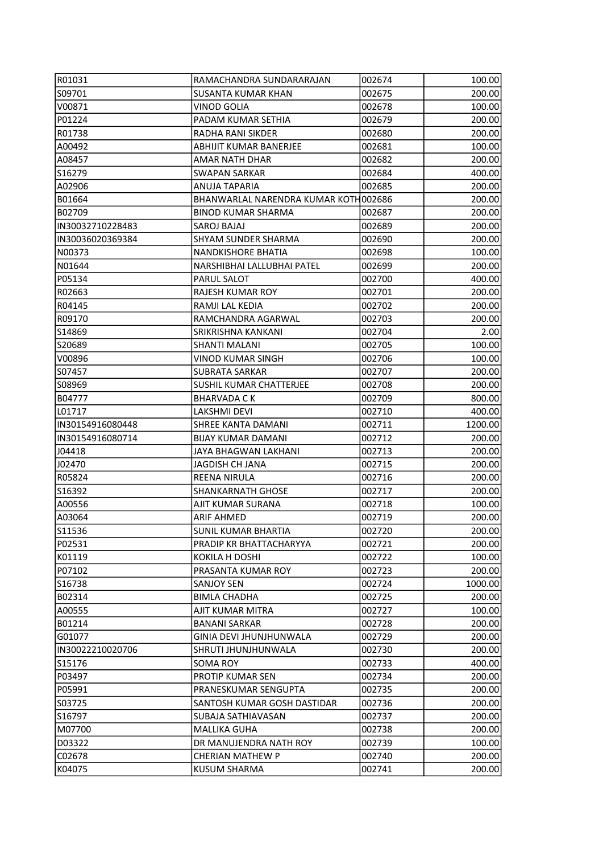| R01031           | RAMACHANDRA SUNDARARAJAN             | 002674 | 100.00  |
|------------------|--------------------------------------|--------|---------|
| S09701           | SUSANTA KUMAR KHAN                   | 002675 | 200.00  |
| V00871           | <b>VINOD GOLIA</b>                   | 002678 | 100.00  |
| P01224           | PADAM KUMAR SETHIA                   | 002679 | 200.00  |
| R01738           | RADHA RANI SIKDER                    | 002680 | 200.00  |
| A00492           | ABHIJIT KUMAR BANERJEE               | 002681 | 100.00  |
| A08457           | AMAR NATH DHAR                       | 002682 | 200.00  |
| S16279           | <b>SWAPAN SARKAR</b>                 | 002684 | 400.00  |
| A02906           | ANUJA TAPARIA                        | 002685 | 200.00  |
| B01664           | BHANWARLAL NARENDRA KUMAR KOTH002686 |        | 200.00  |
| B02709           | <b>BINOD KUMAR SHARMA</b>            | 002687 | 200.00  |
| IN30032710228483 | SAROJ BAJAJ                          | 002689 | 200.00  |
| IN30036020369384 | SHYAM SUNDER SHARMA                  | 002690 | 200.00  |
| N00373           | NANDKISHORE BHATIA                   | 002698 | 100.00  |
| N01644           | NARSHIBHAI LALLUBHAI PATEL           | 002699 | 200.00  |
| P05134           | PARUL SALOT                          | 002700 | 400.00  |
| R02663           | <b>RAJESH KUMAR ROY</b>              | 002701 | 200.00  |
| R04145           | RAMJI LAL KEDIA                      | 002702 | 200.00  |
| R09170           | RAMCHANDRA AGARWAL                   | 002703 | 200.00  |
| lS14869          | SRIKRISHNA KANKANI                   | 002704 | 2.00    |
| S20689           | SHANTI MALANI                        | 002705 | 100.00  |
| V00896           | VINOD KUMAR SINGH                    | 002706 | 100.00  |
| S07457           | <b>SUBRATA SARKAR</b>                | 002707 | 200.00  |
| S08969           | SUSHIL KUMAR CHATTERJEE              | 002708 | 200.00  |
| B04777           | <b>BHARVADA CK</b>                   | 002709 | 800.00  |
| L01717           | LAKSHMI DEVI                         | 002710 | 400.00  |
| IN30154916080448 | SHREE KANTA DAMANI                   | 002711 | 1200.00 |
| IN30154916080714 | <b>BIJAY KUMAR DAMANI</b>            | 002712 | 200.00  |
| J04418           | JAYA BHAGWAN LAKHANI                 | 002713 | 200.00  |
| J02470           | JAGDISH CH JANA                      | 002715 | 200.00  |
| R05824           | <b>REENA NIRULA</b>                  | 002716 | 200.00  |
| S16392           | <b>SHANKARNATH GHOSE</b>             | 002717 | 200.00  |
| A00556           | AJIT KUMAR SURANA                    | 002718 | 100.00  |
| A03064           | <b>ARIF AHMED</b>                    | 002719 | 200.00  |
| S11536           | <b>SUNIL KUMAR BHARTIA</b>           | 002720 | 200.00  |
| P02531           | PRADIP KR BHATTACHARYYA              | 002721 | 200.00  |
| K01119           | <b>KOKILA H DOSHI</b>                | 002722 | 100.00  |
| P07102           | PRASANTA KUMAR ROY                   | 002723 | 200.00  |
| S16738           | <b>SANJOY SEN</b>                    | 002724 | 1000.00 |
| B02314           | <b>BIMLA CHADHA</b>                  | 002725 | 200.00  |
| A00555           | AJIT KUMAR MITRA                     | 002727 | 100.00  |
| B01214           | <b>BANANI SARKAR</b>                 | 002728 | 200.00  |
| G01077           | GINIA DEVI JHUNJHUNWALA              | 002729 | 200.00  |
| IN30022210020706 | SHRUTI JHUNJHUNWALA                  | 002730 | 200.00  |
| S15176           | SOMA ROY                             | 002733 | 400.00  |
| P03497           | PROTIP KUMAR SEN                     | 002734 | 200.00  |
| P05991           | PRANESKUMAR SENGUPTA                 | 002735 | 200.00  |
| S03725           | SANTOSH KUMAR GOSH DASTIDAR          | 002736 | 200.00  |
| S16797           | SUBAJA SATHIAVASAN                   | 002737 | 200.00  |
| M07700           | MALLIKA GUHA                         | 002738 | 200.00  |
| D03322           | DR MANUJENDRA NATH ROY               | 002739 | 100.00  |
| C02678           | <b>CHERIAN MATHEW P</b>              | 002740 | 200.00  |
| K04075           | KUSUM SHARMA                         | 002741 | 200.00  |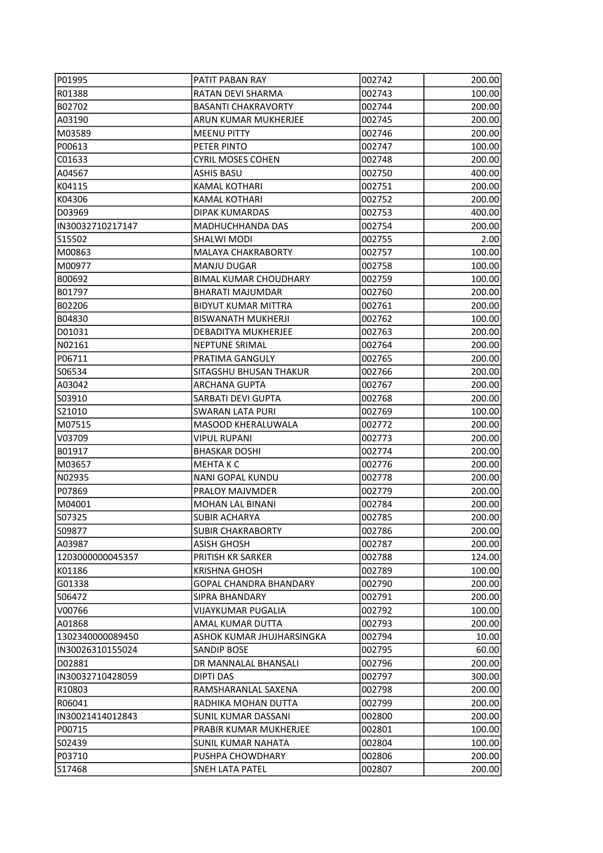| P01995            | PATIT PABAN RAY               | 002742 | 200.00 |
|-------------------|-------------------------------|--------|--------|
| R01388            | RATAN DEVI SHARMA             | 002743 | 100.00 |
| B02702            | <b>BASANTI CHAKRAVORTY</b>    | 002744 | 200.00 |
| A03190            | ARUN KUMAR MUKHERJEE          | 002745 | 200.00 |
| M03589            | <b>MEENU PITTY</b>            | 002746 | 200.00 |
| P00613            | PETER PINTO                   | 002747 | 100.00 |
| C01633            | <b>CYRIL MOSES COHEN</b>      | 002748 | 200.00 |
| A04567            | <b>ASHIS BASU</b>             | 002750 | 400.00 |
| K04115            | <b>KAMAL KOTHARI</b>          | 002751 | 200.00 |
| K04306            | <b>KAMAL KOTHARI</b>          | 002752 | 200.00 |
| D03969            | DIPAK KUMARDAS                | 002753 | 400.00 |
| IN30032710217147  | <b>MADHUCHHANDA DAS</b>       | 002754 | 200.00 |
| S15502            | SHALWI MODI                   | 002755 | 2.00   |
| M00863            | <b>MALAYA CHAKRABORTY</b>     | 002757 | 100.00 |
| M00977            | MANJU DUGAR                   | 002758 | 100.00 |
| B00692            | <b>BIMAL KUMAR CHOUDHARY</b>  | 002759 | 100.00 |
| B01797            | <b>BHARATI MAJUMDAR</b>       | 002760 | 200.00 |
| B02206            | <b>BIDYUT KUMAR MITTRA</b>    | 002761 | 200.00 |
| B04830            | <b>BISWANATH MUKHERJI</b>     | 002762 | 100.00 |
| D01031            | DEBADITYA MUKHERJEE           | 002763 | 200.00 |
| N02161            | <b>NEPTUNE SRIMAL</b>         | 002764 | 200.00 |
| P06711            | PRATIMA GANGULY               | 002765 | 200.00 |
| S06534            | SITAGSHU BHUSAN THAKUR        | 002766 | 200.00 |
| A03042            | <b>ARCHANA GUPTA</b>          | 002767 | 200.00 |
| S03910            | SARBATI DEVI GUPTA            | 002768 | 200.00 |
| S21010            | <b>SWARAN LATA PURI</b>       | 002769 | 100.00 |
| M07515            | MASOOD KHERALUWALA            | 002772 | 200.00 |
| IV03709           | <b>VIPUL RUPANI</b>           | 002773 | 200.00 |
| B01917            | <b>BHASKAR DOSHI</b>          | 002774 | 200.00 |
| M03657            | <b>MEHTAKC</b>                | 002776 | 200.00 |
| N02935            | <b>NANI GOPAL KUNDU</b>       | 002778 | 200.00 |
| P07869            | PRALOY MAJVMDER               | 002779 | 200.00 |
| M04001            | <b>MOHAN LAL BINANI</b>       | 002784 | 200.00 |
| S07325            | <b>SUBIR ACHARYA</b>          | 002785 | 200.00 |
| IS09877           | SUBIR CHAKRABORTY             | 002786 | 200.00 |
| A03987            | ASISH GHOSH                   | 002787 | 200.00 |
| 1203000000045357  | PRITISH KR SARKER             | 002788 | 124.00 |
| K01186            | <b>KRISHNA GHOSH</b>          | 002789 | 100.00 |
| G01338            | <b>GOPAL CHANDRA BHANDARY</b> | 002790 | 200.00 |
| IS06472           | SIPRA BHANDARY                | 002791 | 200.00 |
| V00766            | <b>VIJAYKUMAR PUGALIA</b>     | 002792 | 100.00 |
| A01868            | AMAL KUMAR DUTTA              | 002793 | 200.00 |
| 1302340000089450  | ASHOK KUMAR JHUJHARSINGKA     | 002794 | 10.00  |
| IN30026310155024  | SANDIP BOSE                   | 002795 | 60.00  |
| D02881            | DR MANNALAL BHANSALI          | 002796 | 200.00 |
| IIN30032710428059 | DIPTI DAS                     | 002797 | 300.00 |
| R10803            | RAMSHARANLAL SAXENA           | 002798 | 200.00 |
| R06041            | RADHIKA MOHAN DUTTA           | 002799 | 200.00 |
| IN30021414012843  | SUNIL KUMAR DASSANI           | 002800 | 200.00 |
| P00715            | PRABIR KUMAR MUKHERJEE        | 002801 | 100.00 |
| S02439            | SUNIL KUMAR NAHATA            | 002804 | 100.00 |
| P03710            | PUSHPA CHOWDHARY              | 002806 | 200.00 |
| S17468            | SNEH LATA PATEL               | 002807 | 200.00 |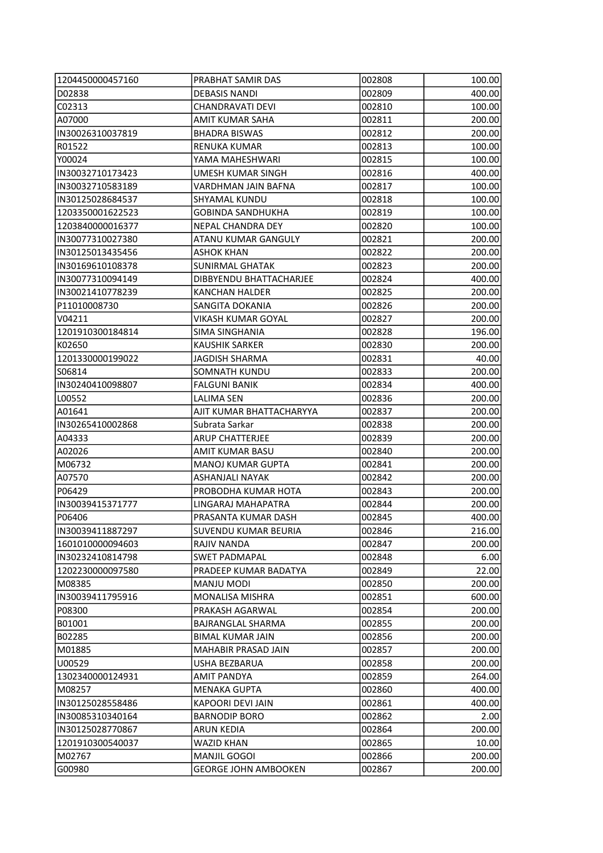| 1204450000457160  | PRABHAT SAMIR DAS           | 002808 | 100.00 |
|-------------------|-----------------------------|--------|--------|
| D02838            | <b>DEBASIS NANDI</b>        | 002809 | 400.00 |
| C02313            | CHANDRAVATI DEVI            | 002810 | 100.00 |
| A07000            | <b>AMIT KUMAR SAHA</b>      | 002811 | 200.00 |
| IIN30026310037819 | <b>BHADRA BISWAS</b>        | 002812 | 200.00 |
| R01522            | <b>RENUKA KUMAR</b>         | 002813 | 100.00 |
| Y00024            | YAMA MAHESHWARI             | 002815 | 100.00 |
| IN30032710173423  | UMESH KUMAR SINGH           | 002816 | 400.00 |
| IN30032710583189  | VARDHMAN JAIN BAFNA         | 002817 | 100.00 |
| IIN30125028684537 | SHYAMAL KUNDU               | 002818 | 100.00 |
| 1203350001622523  | <b>GOBINDA SANDHUKHA</b>    | 002819 | 100.00 |
| 1203840000016377  | NEPAL CHANDRA DEY           | 002820 | 100.00 |
| IN30077310027380  | ATANU KUMAR GANGULY         | 002821 | 200.00 |
| IN30125013435456  | <b>ASHOK KHAN</b>           | 002822 | 200.00 |
| IN30169610108378  | <b>SUNIRMAL GHATAK</b>      | 002823 | 200.00 |
| IN30077310094149  | DIBBYENDU BHATTACHARJEE     | 002824 | 400.00 |
| IN30021410778239  | KANCHAN HALDER              | 002825 | 200.00 |
| P11010008730      | SANGITA DOKANIA             | 002826 | 200.00 |
| V04211            | VIKASH KUMAR GOYAL          | 002827 | 200.00 |
| 1201910300184814  | <b>SIMA SINGHANIA</b>       | 002828 | 196.00 |
| K02650            | <b>KAUSHIK SARKER</b>       | 002830 | 200.00 |
| 1201330000199022  | <b>JAGDISH SHARMA</b>       | 002831 | 40.00  |
| S06814            | SOMNATH KUNDU               | 002833 | 200.00 |
| IN30240410098807  | FALGUNI BANIK               | 002834 | 400.00 |
| L00552            | <b>LALIMA SEN</b>           | 002836 | 200.00 |
| A01641            | AJIT KUMAR BHATTACHARYYA    | 002837 | 200.00 |
| IN30265410002868  | Subrata Sarkar              | 002838 | 200.00 |
| A04333            | <b>ARUP CHATTERJEE</b>      | 002839 | 200.00 |
| A02026            | AMIT KUMAR BASU             | 002840 | 200.00 |
| M06732            | <b>MANOJ KUMAR GUPTA</b>    | 002841 | 200.00 |
| A07570            | ASHANJALI NAYAK             | 002842 | 200.00 |
| P06429            | PROBODHA KUMAR HOTA         | 002843 | 200.00 |
| IN30039415371777  | LINGARAJ MAHAPATRA          | 002844 | 200.00 |
| P06406            | PRASANTA KUMAR DASH         | 002845 | 400.00 |
| IIN30039411887297 | SUVENDU KUMAR BEURIA        | 002846 | 216.00 |
| 11601010000094603 | RAJIV NANDA                 | 002847 | 200.00 |
| IN30232410814798  | <b>SWET PADMAPAL</b>        | 002848 | 6.00   |
| 1202230000097580  | PRADEEP KUMAR BADATYA       | 002849 | 22.00  |
| IM08385           | MANJU MODI                  | 002850 | 200.00 |
| IN30039411795916  | <b>MONALISA MISHRA</b>      | 002851 | 600.00 |
| P08300            | PRAKASH AGARWAL             | 002854 | 200.00 |
| B01001            | <b>BAJRANGLAL SHARMA</b>    | 002855 | 200.00 |
| B02285            | <b>BIMAL KUMAR JAIN</b>     | 002856 | 200.00 |
| M01885            | MAHABIR PRASAD JAIN         | 002857 | 200.00 |
| U00529            | USHA BEZBARUA               | 002858 | 200.00 |
| 1302340000124931  | AMIT PANDYA                 | 002859 | 264.00 |
| M08257            | <b>MENAKA GUPTA</b>         | 002860 | 400.00 |
| IN30125028558486  | KAPOORI DEVI JAIN           | 002861 | 400.00 |
| IN30085310340164  | <b>BARNODIP BORO</b>        | 002862 | 2.00   |
| IIN30125028770867 | ARUN KEDIA                  | 002864 | 200.00 |
| 1201910300540037  | WAZID KHAN                  | 002865 | 10.00  |
| M02767            | MANJIL GOGOI                | 002866 | 200.00 |
| G00980            | <b>GEORGE JOHN AMBOOKEN</b> | 002867 | 200.00 |
|                   |                             |        |        |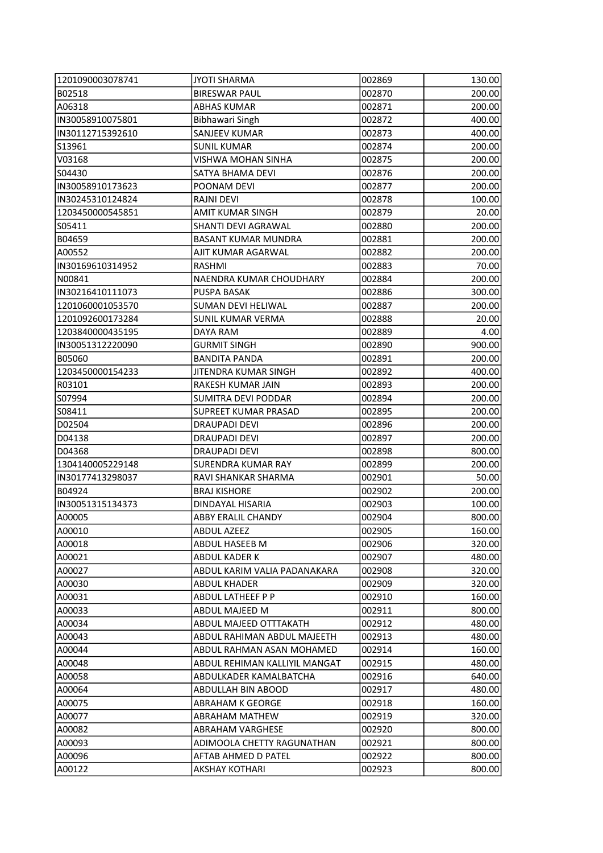| 1201090003078741 | <b>JYOTI SHARMA</b>           | 002869 | 130.00 |
|------------------|-------------------------------|--------|--------|
| B02518           | <b>BIRESWAR PAUL</b>          | 002870 | 200.00 |
| A06318           | <b>ABHAS KUMAR</b>            | 002871 | 200.00 |
| IN30058910075801 | <b>Bibhawari Singh</b>        | 002872 | 400.00 |
| IN30112715392610 | SANJEEV KUMAR                 | 002873 | 400.00 |
| S13961           | <b>SUNIL KUMAR</b>            | 002874 | 200.00 |
| V03168           | VISHWA MOHAN SINHA            | 002875 | 200.00 |
| S04430           | SATYA BHAMA DEVI              | 002876 | 200.00 |
| IN30058910173623 | POONAM DEVI                   | 002877 | 200.00 |
| IN30245310124824 | <b>RAJNI DEVI</b>             | 002878 | 100.00 |
| 1203450000545851 | AMIT KUMAR SINGH              | 002879 | 20.00  |
| S05411           | SHANTI DEVI AGRAWAL           | 002880 | 200.00 |
| B04659           | <b>BASANT KUMAR MUNDRA</b>    | 002881 | 200.00 |
| A00552           | AJIT KUMAR AGARWAL            | 002882 | 200.00 |
| IN30169610314952 | RASHMI                        | 002883 | 70.00  |
| N00841           | NAENDRA KUMAR CHOUDHARY       | 002884 | 200.00 |
| IN30216410111073 | <b>PUSPA BASAK</b>            | 002886 | 300.00 |
| 1201060001053570 | <b>SUMAN DEVI HELIWAL</b>     | 002887 | 200.00 |
| 1201092600173284 | SUNIL KUMAR VERMA             | 002888 | 20.00  |
| 1203840000435195 | DAYA RAM                      | 002889 | 4.00   |
| IN30051312220090 | <b>GURMIT SINGH</b>           | 002890 | 900.00 |
| B05060           | <b>BANDITA PANDA</b>          | 002891 | 200.00 |
| 1203450000154233 | JITENDRA KUMAR SINGH          | 002892 | 400.00 |
| R03101           | RAKESH KUMAR JAIN             | 002893 | 200.00 |
| S07994           | SUMITRA DEVI PODDAR           | 002894 | 200.00 |
| S08411           | <b>SUPREET KUMAR PRASAD</b>   | 002895 | 200.00 |
| D02504           | <b>DRAUPADI DEVI</b>          | 002896 | 200.00 |
| D04138           | DRAUPADI DEVI                 | 002897 | 200.00 |
| D04368           | DRAUPADI DEVI                 | 002898 | 800.00 |
| 1304140005229148 | <b>SURENDRA KUMAR RAY</b>     | 002899 | 200.00 |
| IN30177413298037 | RAVI SHANKAR SHARMA           | 002901 | 50.00  |
| B04924           | <b>BRAJ KISHORE</b>           | 002902 | 200.00 |
| IN30051315134373 | DINDAYAL HISARIA              | 002903 | 100.00 |
| A00005           | <b>ABBY ERALIL CHANDY</b>     | 002904 | 800.00 |
| A00010           | ABDUL AZEEZ                   | 002905 | 160.00 |
| A00018           | ABDUL HASEEB M                | 002906 | 320.00 |
| A00021           | ABDUL KADER K                 | 002907 | 480.00 |
| A00027           | ABDUL KARIM VALIA PADANAKARA  | 002908 | 320.00 |
| A00030           | <b>ABDUL KHADER</b>           | 002909 | 320.00 |
| A00031           | ABDUL LATHEEF P P             | 002910 | 160.00 |
| A00033           | ABDUL MAJEED M                | 002911 | 800.00 |
| A00034           | <b>ABDUL MAJEED OTTTAKATH</b> | 002912 | 480.00 |
| A00043           | ABDUL RAHIMAN ABDUL MAJEETH   | 002913 | 480.00 |
| A00044           | ABDUL RAHMAN ASAN MOHAMED     | 002914 | 160.00 |
| A00048           | ABDUL REHIMAN KALLIYIL MANGAT | 002915 | 480.00 |
| A00058           | ABDULKADER KAMALBATCHA        | 002916 | 640.00 |
| A00064           | <b>ABDULLAH BIN ABOOD</b>     | 002917 | 480.00 |
| A00075           | <b>ABRAHAM K GEORGE</b>       | 002918 | 160.00 |
| A00077           | ABRAHAM MATHEW                | 002919 | 320.00 |
| A00082           | <b>ABRAHAM VARGHESE</b>       | 002920 | 800.00 |
| A00093           | ADIMOOLA CHETTY RAGUNATHAN    | 002921 | 800.00 |
| A00096           | AFTAB AHMED D PATEL           | 002922 | 800.00 |
| A00122           | <b>AKSHAY KOTHARI</b>         | 002923 | 800.00 |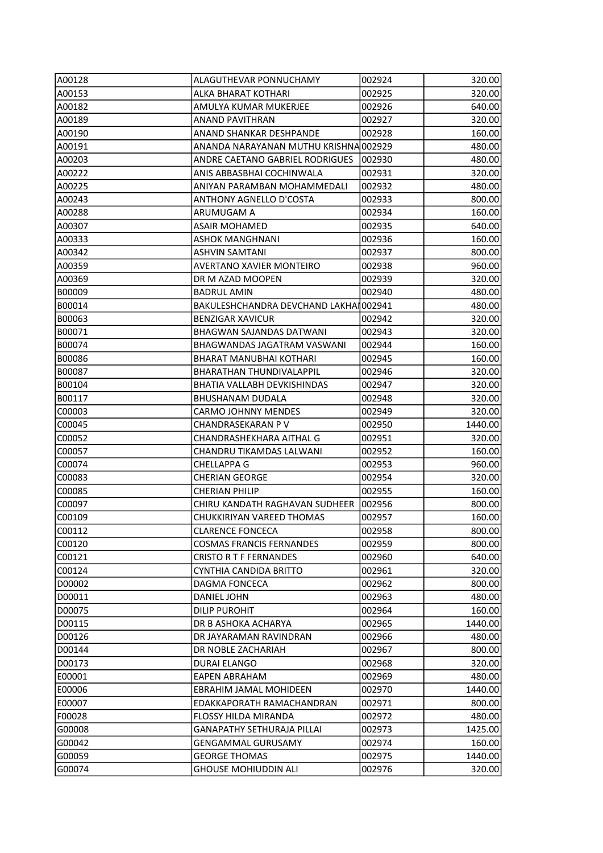| A00128           | ALAGUTHEVAR PONNUCHAMY                | 002924 | 320.00  |
|------------------|---------------------------------------|--------|---------|
| A00153           | ALKA BHARAT KOTHARI                   | 002925 | 320.00  |
| A00182           | AMULYA KUMAR MUKERJEE                 | 002926 | 640.00  |
| A00189           | <b>ANAND PAVITHRAN</b>                | 002927 | 320.00  |
| A00190           | ANAND SHANKAR DESHPANDE               | 002928 | 160.00  |
| A00191           | ANANDA NARAYANAN MUTHU KRISHNA 002929 |        | 480.00  |
| A00203           | ANDRE CAETANO GABRIEL RODRIGUES       | 002930 | 480.00  |
| A00222           | ANIS ABBASBHAI COCHINWALA             | 002931 | 320.00  |
| A00225           | ANIYAN PARAMBAN MOHAMMEDALI           | 002932 | 480.00  |
| A00243           | <b>ANTHONY AGNELLO D'COSTA</b>        | 002933 | 800.00  |
| A00288           | ARUMUGAM A                            | 002934 | 160.00  |
| A00307           | ASAIR MOHAMED                         | 002935 | 640.00  |
| A00333           | ASHOK MANGHNANI                       | 002936 | 160.00  |
| A00342           | <b>ASHVIN SAMTANI</b>                 | 002937 | 800.00  |
| A00359           | AVERTANO XAVIER MONTEIRO              | 002938 | 960.00  |
| A00369           | DR M AZAD MOOPEN                      | 002939 | 320.00  |
| B00009           | <b>BADRUL AMIN</b>                    | 002940 | 480.00  |
| B00014           | BAKULESHCHANDRA DEVCHAND LAKHAI002941 |        | 480.00  |
| B00063           | <b>BENZIGAR XAVICUR</b>               | 002942 | 320.00  |
| B00071           | BHAGWAN SAJANDAS DATWANI              | 002943 | 320.00  |
| B00074           | BHAGWANDAS JAGATRAM VASWANI           | 002944 | 160.00  |
| B00086           | <b>BHARAT MANUBHAI KOTHARI</b>        | 002945 | 160.00  |
| B00087           | <b>BHARATHAN THUNDIVALAPPIL</b>       | 002946 | 320.00  |
| B00104           | BHATIA VALLABH DEVKISHINDAS           | 002947 | 320.00  |
| B00117           | <b>BHUSHANAM DUDALA</b>               | 002948 | 320.00  |
| C00003           | <b>CARMO JOHNNY MENDES</b>            | 002949 | 320.00  |
| C00045           | CHANDRASEKARAN P V                    | 002950 | 1440.00 |
| C00052           | CHANDRASHEKHARA AITHAL G              | 002951 | 320.00  |
| C00057           | CHANDRU TIKAMDAS LALWANI              | 002952 | 160.00  |
| C00074           | <b>CHELLAPPA G</b>                    | 002953 | 960.00  |
| C00083           | <b>CHERIAN GEORGE</b>                 | 002954 | 320.00  |
| C00085           | <b>CHERIAN PHILIP</b>                 | 002955 | 160.00  |
| C00097           | CHIRU KANDATH RAGHAVAN SUDHEER        | 002956 | 800.00  |
| C00109           | CHUKKIRIYAN VAREED THOMAS             | 002957 | 160.00  |
| C00112           | CLARENCE FONCECA                      | 002958 | 800.00  |
| C00120           | <b>COSMAS FRANCIS FERNANDES</b>       | 002959 | 800.00  |
| C00121           | <b>CRISTO R T F FERNANDES</b>         | 002960 | 640.00  |
| C00124           | CYNTHIA CANDIDA BRITTO                | 002961 | 320.00  |
| D00002           | <b>DAGMA FONCECA</b>                  | 002962 | 800.00  |
| D00011           | DANIEL JOHN                           | 002963 | 480.00  |
| D00075           | DILIP PUROHIT                         | 002964 | 160.00  |
| D00115           | DR B ASHOKA ACHARYA                   | 002965 | 1440.00 |
| D00126           | DR JAYARAMAN RAVINDRAN                | 002966 | 480.00  |
| D00144           | DR NOBLE ZACHARIAH                    | 002967 | 800.00  |
| D00173           | DURAI ELANGO                          | 002968 | 320.00  |
| E00001           | EAPEN ABRAHAM                         | 002969 | 480.00  |
| E00006           | EBRAHIM JAMAL MOHIDEEN                | 002970 | 1440.00 |
|                  | EDAKKAPORATH RAMACHANDRAN             | 002971 |         |
| E00007<br>F00028 | FLOSSY HILDA MIRANDA                  | 002972 | 800.00  |
|                  |                                       |        | 480.00  |
| G00008           | <b>GANAPATHY SETHURAJA PILLAI</b>     | 002973 | 1425.00 |
| G00042           | <b>GENGAMMAL GURUSAMY</b>             | 002974 | 160.00  |
| G00059           | <b>GEORGE THOMAS</b>                  | 002975 | 1440.00 |
| G00074           | <b>GHOUSE MOHIUDDIN ALI</b>           | 002976 | 320.00  |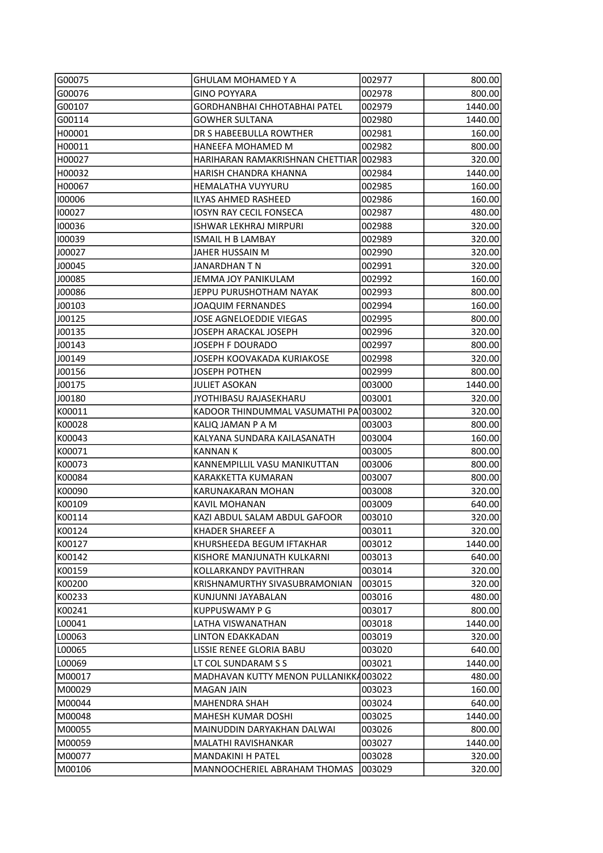| G00075  | <b>GHULAM MOHAMED Y A</b>             | 002977 | 800.00  |
|---------|---------------------------------------|--------|---------|
| G00076  | GINO POYYARA                          | 002978 | 800.00  |
| G00107  | <b>GORDHANBHAI CHHOTABHAI PATEL</b>   | 002979 | 1440.00 |
| G00114  | <b>GOWHER SULTANA</b>                 | 002980 | 1440.00 |
| H00001  | DR S HABEEBULLA ROWTHER               | 002981 | 160.00  |
| H00011  | HANEEFA MOHAMED M                     | 002982 | 800.00  |
| H00027  | HARIHARAN RAMAKRISHNAN CHETTIAR       | 002983 | 320.00  |
| H00032  | HARISH CHANDRA KHANNA                 | 002984 | 1440.00 |
| H00067  | <b>HEMALATHA VUYYURU</b>              | 002985 | 160.00  |
| 100006  | ILYAS AHMED RASHEED                   | 002986 | 160.00  |
| 1100027 | <b>IOSYN RAY CECIL FONSECA</b>        | 002987 | 480.00  |
| 100036  | ISHWAR LEKHRAJ MIRPURI                | 002988 | 320.00  |
| 100039  | <b>ISMAIL H B LAMBAY</b>              | 002989 | 320.00  |
| J00027  | JAHER HUSSAIN M                       | 002990 | 320.00  |
| J00045  | JANARDHAN T N                         | 002991 | 320.00  |
| J00085  | JEMMA JOY PANIKULAM                   | 002992 | 160.00  |
| J00086  | JEPPU PURUSHOTHAM NAYAK               | 002993 | 800.00  |
| J00103  | <b>JOAQUIM FERNANDES</b>              | 002994 | 160.00  |
| J00125  | <b>JOSE AGNELOEDDIE VIEGAS</b>        | 002995 | 800.00  |
| J00135  | JOSEPH ARACKAL JOSEPH                 | 002996 | 320.00  |
| J00143  | <b>JOSEPH F DOURADO</b>               | 002997 | 800.00  |
| J00149  | JOSEPH KOOVAKADA KURIAKOSE            | 002998 | 320.00  |
| J00156  | <b>JOSEPH POTHEN</b>                  | 002999 | 800.00  |
| J00175  | JULIET ASOKAN                         | 003000 | 1440.00 |
| J00180  | JYOTHIBASU RAJASEKHARU                | 003001 | 320.00  |
| K00011  | KADOOR THINDUMMAL VASUMATHI PA 003002 |        | 320.00  |
| K00028  | KALIQ JAMAN P A M                     | 003003 | 800.00  |
| K00043  | KALYANA SUNDARA KAILASANATH           | 003004 | 160.00  |
| K00071  | KANNAN K                              | 003005 | 800.00  |
| K00073  | KANNEMPILLIL VASU MANIKUTTAN          | 003006 | 800.00  |
| K00084  | <b>KARAKKETTA KUMARAN</b>             | 003007 | 800.00  |
| K00090  | <b>KARUNAKARAN MOHAN</b>              | 003008 | 320.00  |
| K00109  | KAVIL MOHANAN                         | 003009 | 640.00  |
| K00114  | KAZI ABDUL SALAM ABDUL GAFOOR         | 003010 | 320.00  |
| K00124  | KHADER SHAREEF A                      | 003011 | 320.00  |
| K00127  | KHURSHEEDA BEGUM IFTAKHAR             | 003012 | 1440.00 |
| K00142  | KISHORE MANJUNATH KULKARNI            | 003013 | 640.00  |
| K00159  | KOLLARKANDY PAVITHRAN                 | 003014 | 320.00  |
| K00200  | KRISHNAMURTHY SIVASUBRAMONIAN         | 003015 | 320.00  |
| K00233  | KUNJUNNI JAYABALAN                    | 003016 | 480.00  |
| K00241  | <b>KUPPUSWAMY P G</b>                 | 003017 | 800.00  |
| L00041  | LATHA VISWANATHAN                     | 003018 | 1440.00 |
| L00063  | LINTON EDAKKADAN                      | 003019 | 320.00  |
| L00065  | LISSIE RENEE GLORIA BABU              | 003020 | 640.00  |
| L00069  | LT COL SUNDARAM S S                   | 003021 | 1440.00 |
| M00017  | MADHAVAN KUTTY MENON PULLANIKK4003022 |        | 480.00  |
| M00029  | <b>MAGAN JAIN</b>                     | 003023 | 160.00  |
| M00044  | <b>MAHENDRA SHAH</b>                  | 003024 | 640.00  |
| M00048  | <b>MAHESH KUMAR DOSHI</b>             | 003025 | 1440.00 |
| M00055  | MAINUDDIN DARYAKHAN DALWAI            | 003026 | 800.00  |
| M00059  | MALATHI RAVISHANKAR                   | 003027 | 1440.00 |
| M00077  | <b>MANDAKINI H PATEL</b>              | 003028 | 320.00  |
| M00106  | MANNOOCHERIEL ABRAHAM THOMAS          | 003029 | 320.00  |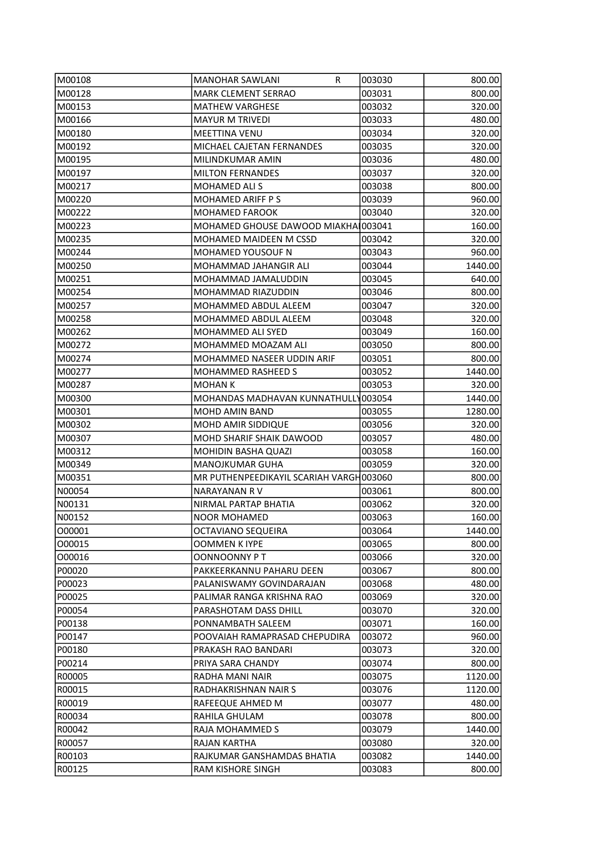| M00108 | <b>MANOHAR SAWLANI</b><br>R             | 003030 | 800.00  |
|--------|-----------------------------------------|--------|---------|
| M00128 | <b>MARK CLEMENT SERRAO</b>              | 003031 | 800.00  |
| M00153 | <b>MATHEW VARGHESE</b>                  | 003032 | 320.00  |
| M00166 | <b>MAYUR M TRIVEDI</b>                  | 003033 | 480.00  |
| M00180 | <b>MEETTINA VENU</b>                    | 003034 | 320.00  |
| M00192 | MICHAEL CAJETAN FERNANDES               | 003035 | 320.00  |
| M00195 | MILINDKUMAR AMIN                        | 003036 | 480.00  |
| M00197 | <b>MILTON FERNANDES</b>                 | 003037 | 320.00  |
| M00217 | <b>MOHAMED ALI S</b>                    | 003038 | 800.00  |
| M00220 | <b>MOHAMED ARIFF P S</b>                | 003039 | 960.00  |
| M00222 | <b>MOHAMED FAROOK</b>                   | 003040 | 320.00  |
| M00223 | MOHAMED GHOUSE DAWOOD MIAKHA 003041     |        | 160.00  |
| M00235 | MOHAMED MAIDEEN M CSSD                  | 003042 | 320.00  |
| M00244 | MOHAMED YOUSOUF N                       | 003043 | 960.00  |
| M00250 | MOHAMMAD JAHANGIR ALI                   | 003044 | 1440.00 |
| M00251 | MOHAMMAD JAMALUDDIN                     | 003045 | 640.00  |
| M00254 | MOHAMMAD RIAZUDDIN                      | 003046 | 800.00  |
| M00257 | MOHAMMED ABDUL ALEEM                    | 003047 | 320.00  |
| M00258 | MOHAMMED ABDUL ALEEM                    | 003048 | 320.00  |
| M00262 | MOHAMMED ALI SYED                       | 003049 | 160.00  |
| M00272 | MOHAMMED MOAZAM ALI                     | 003050 | 800.00  |
| M00274 | MOHAMMED NASEER UDDIN ARIF              | 003051 | 800.00  |
| M00277 | MOHAMMED RASHEED S                      | 003052 | 1440.00 |
| M00287 | MOHAN K                                 | 003053 | 320.00  |
| M00300 | MOHANDAS MADHAVAN KUNNATHULLY003054     |        | 1440.00 |
| M00301 | MOHD AMIN BAND                          | 003055 | 1280.00 |
| M00302 | MOHD AMIR SIDDIQUE                      | 003056 | 320.00  |
| M00307 | <b>MOHD SHARIF SHAIK DAWOOD</b>         | 003057 | 480.00  |
| M00312 | <b>MOHIDIN BASHA QUAZI</b>              | 003058 | 160.00  |
| M00349 | MANOJKUMAR GUHA                         | 003059 | 320.00  |
| M00351 | MR PUTHENPEEDIKAYIL SCARIAH VARGH003060 |        | 800.00  |
| N00054 | NARAYANAN RV                            | 003061 | 800.00  |
| N00131 | NIRMAL PARTAP BHATIA                    | 003062 | 320.00  |
| N00152 | <b>NOOR MOHAMED</b>                     | 003063 | 160.00  |
| 000001 | OCTAVIANO SEQUEIRA                      | 003064 | 1440.00 |
| 000015 | OOMMEN K IYPE                           | 003065 | 800.00  |
| 000016 | <b>OONNOONNY PT</b>                     | 003066 | 320.00  |
| P00020 | PAKKEERKANNU PAHARU DEEN                | 003067 | 800.00  |
| P00023 | PALANISWAMY GOVINDARAJAN                | 003068 | 480.00  |
| P00025 | PALIMAR RANGA KRISHNA RAO               | 003069 | 320.00  |
| P00054 | PARASHOTAM DASS DHILL                   | 003070 | 320.00  |
| P00138 | PONNAMBATH SALEEM                       | 003071 | 160.00  |
| P00147 | POOVAIAH RAMAPRASAD CHEPUDIRA           | 003072 | 960.00  |
| P00180 | PRAKASH RAO BANDARI                     | 003073 | 320.00  |
| P00214 | PRIYA SARA CHANDY                       | 003074 | 800.00  |
| R00005 | RADHA MANI NAIR                         | 003075 | 1120.00 |
| R00015 | RADHAKRISHNAN NAIR S                    | 003076 | 1120.00 |
| R00019 | RAFEEQUE AHMED M                        | 003077 | 480.00  |
| R00034 | RAHILA GHULAM                           | 003078 | 800.00  |
| R00042 | RAJA MOHAMMED S                         | 003079 | 1440.00 |
| R00057 | RAJAN KARTHA                            | 003080 | 320.00  |
| R00103 | RAJKUMAR GANSHAMDAS BHATIA              | 003082 | 1440.00 |
| R00125 | RAM KISHORE SINGH                       | 003083 | 800.00  |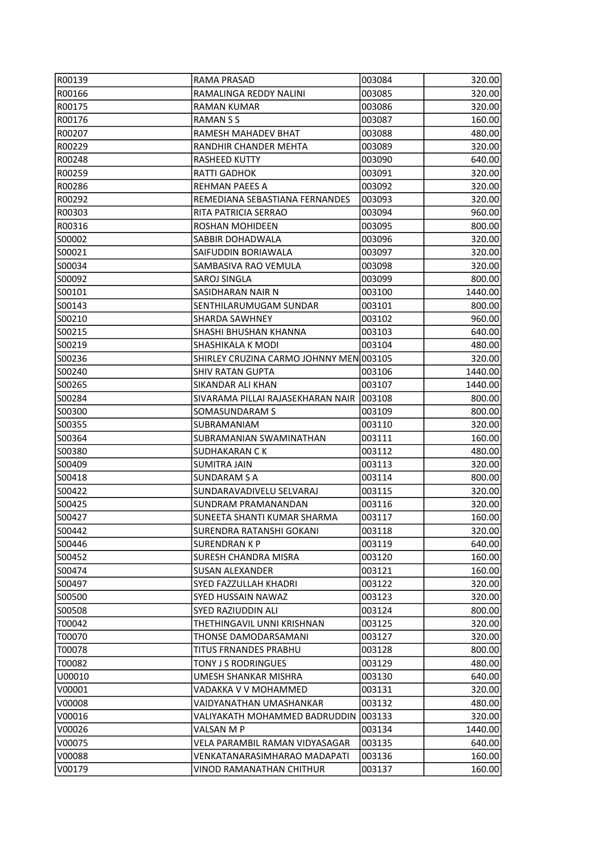| R00139           | RAMA PRASAD                             | 003084  | 320.00  |
|------------------|-----------------------------------------|---------|---------|
| R00166           | RAMALINGA REDDY NALINI                  | 003085  | 320.00  |
| R00175           | <b>RAMAN KUMAR</b>                      | 003086  | 320.00  |
| R00176           | <b>RAMANSS</b>                          | 003087  | 160.00  |
| R00207           | RAMESH MAHADEV BHAT                     | 003088  | 480.00  |
| R00229           | RANDHIR CHANDER MEHTA                   | 003089  | 320.00  |
| R00248           | RASHEED KUTTY                           | 003090  | 640.00  |
| R00259           | <b>RATTI GADHOK</b>                     | 003091  | 320.00  |
| R00286           | <b>REHMAN PAEES A</b>                   | 003092  | 320.00  |
| R00292           | REMEDIANA SEBASTIANA FERNANDES          | 003093  | 320.00  |
| R00303           | RITA PATRICIA SERRAO                    | 003094  | 960.00  |
| R00316           | ROSHAN MOHIDEEN                         | 003095  | 800.00  |
| S00002           | SABBIR DOHADWALA                        | 003096  | 320.00  |
| S00021           | SAIFUDDIN BORIAWALA                     | 003097  | 320.00  |
| S00034           | SAMBASIVA RAO VEMULA                    | 003098  | 320.00  |
| S00092           | SAROJ SINGLA                            | 003099  | 800.00  |
| S00101           | SASIDHARAN NAIR N                       | 003100  | 1440.00 |
| S00143           | SENTHILARUMUGAM SUNDAR                  | 003101  | 800.00  |
| S00210           | <b>SHARDA SAWHNEY</b>                   | 003102  | 960.00  |
| S00215           | SHASHI BHUSHAN KHANNA                   | 003103  | 640.00  |
| S00219           | SHASHIKALA K MODI                       | 003104  | 480.00  |
| S00236           | SHIRLEY CRUZINA CARMO JOHNNY MEN 003105 |         | 320.00  |
| S00240           | <b>SHIV RATAN GUPTA</b>                 | 003106  | 1440.00 |
| S00265           | SIKANDAR ALI KHAN                       | 003107  | 1440.00 |
| S00284           | SIVARAMA PILLAI RAJASEKHARAN NAIR       | 003108  | 800.00  |
| S00300           | SOMASUNDARAM S                          | 003109  | 800.00  |
| S00355           | SUBRAMANIAM                             | 003110  | 320.00  |
| SOO364           | SUBRAMANIAN SWAMINATHAN                 | 003111  | 160.00  |
| IS00380          | SUDHAKARAN C K                          | 003112  | 480.00  |
| S00409           | <b>SUMITRA JAIN</b>                     | 003113  | 320.00  |
| S00418           | <b>SUNDARAM S A</b>                     | 003114  | 800.00  |
| S00422           | SUNDARAVADIVELU SELVARAJ                | 003115  | 320.00  |
| S00425           | <b>SUNDRAM PRAMANANDAN</b>              | 003116  | 320.00  |
| S00427           | SUNEETA SHANTI KUMAR SHARMA             | 003117  | 160.00  |
| ISO0442          | SURENDRA RATANSHI GOKANI                | 003118  | 320.00  |
| S00446           | <b>SURENDRAN K P</b>                    | 003119  | 640.00  |
| S00452           | <b>SURESH CHANDRA MISRA</b>             | 003120  | 160.00  |
| ISO0474          | <b>SUSAN ALEXANDER</b>                  | 003121  | 160.00  |
| S00497           | SYED FAZZULLAH KHADRI                   | 003122  | 320.00  |
| S00500           | SYED HUSSAIN NAWAZ                      | 003123  | 320.00  |
| SO0508           | SYED RAZIUDDIN ALI                      | 003124  | 800.00  |
| T00042           | THETHINGAVIL UNNI KRISHNAN              | 003125  | 320.00  |
| T00070           | THONSE DAMODARSAMANI                    | 003127  | 320.00  |
| T00078           | TITUS FRNANDES PRABHU                   | 003128  | 800.00  |
| T00082           | TONY J S RODRINGUES                     | 003129  | 480.00  |
| U00010           | UMESH SHANKAR MISHRA                    | 003130  | 640.00  |
| V00001           | VADAKKA V V MOHAMMED                    | 003131  | 320.00  |
|                  | VAIDYANATHAN UMASHANKAR                 | 003132  | 480.00  |
| V00008<br>V00016 | VALIYAKATH MOHAMMED BADRUDDIN           | 1003133 | 320.00  |
| V00026           | VALSAN M P                              | 003134  | 1440.00 |
| V00075           | VELA PARAMBIL RAMAN VIDYASAGAR          | 003135  | 640.00  |
| V00088           | VENKATANARASIMHARAO MADAPATI            | 003136  | 160.00  |
| V00179           | VINOD RAMANATHAN CHITHUR                | 003137  | 160.00  |
|                  |                                         |         |         |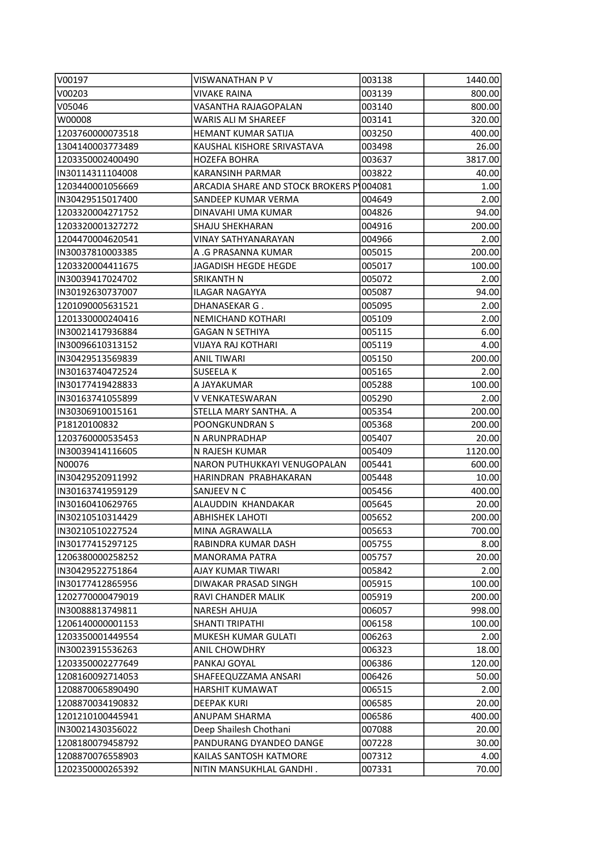| V00197            | VISWANATHAN P V                          | 003138 | 1440.00 |
|-------------------|------------------------------------------|--------|---------|
| V00203            | VIVAKE RAINA                             | 003139 | 800.00  |
| V05046            | <b>VASANTHA RAJAGOPALAN</b>              | 003140 | 800.00  |
| W00008            | WARIS ALI M SHAREEF                      | 003141 | 320.00  |
| 1203760000073518  | <b>HEMANT KUMAR SATIJA</b>               | 003250 | 400.00  |
| 1304140003773489  | KAUSHAL KISHORE SRIVASTAVA               | 003498 | 26.00   |
| 1203350002400490  | HOZEFA BOHRA                             | 003637 | 3817.00 |
| IN30114311104008  | KARANSINH PARMAR                         | 003822 | 40.00   |
| 1203440001056669  | ARCADIA SHARE AND STOCK BROKERS P 004081 |        | 1.00    |
| IN30429515017400  | SANDEEP KUMAR VERMA                      | 004649 | 2.00    |
| 1203320004271752  | DINAVAHI UMA KUMAR                       | 004826 | 94.00   |
| 1203320001327272  | SHAJU SHEKHARAN                          | 004916 | 200.00  |
| 1204470004620541  | VINAY SATHYANARAYAN                      | 004966 | 2.00    |
| IN30037810003385  | A .G PRASANNA KUMAR                      | 005015 | 200.00  |
| 1203320004411675  | JAGADISH HEGDE HEGDE                     | 005017 | 100.00  |
| IN30039417024702  | SRIKANTH N                               | 005072 | 2.00    |
| IIN30192630737007 | ILAGAR NAGAYYA                           | 005087 | 94.00   |
| 1201090005631521  | DHANASEKAR G.                            | 005095 | 2.00    |
| 1201330000240416  | NEMICHAND KOTHARI                        | 005109 | 2.00    |
| IN30021417936884  | <b>GAGAN N SETHIYA</b>                   | 005115 | 6.00    |
| IN30096610313152  | VIJAYA RAJ KOTHARI                       | 005119 | 4.00    |
| IN30429513569839  | <b>ANIL TIWARI</b>                       | 005150 | 200.00  |
| IN30163740472524  | SUSEELA K                                | 005165 | 2.00    |
| IN30177419428833  | A JAYAKUMAR                              | 005288 | 100.00  |
| IN30163741055899  | V VENKATESWARAN                          | 005290 | 2.00    |
| IN30306910015161  | STELLA MARY SANTHA. A                    | 005354 | 200.00  |
| P18120100832      | POONGKUNDRAN S                           | 005368 | 200.00  |
| 1203760000535453  | N ARUNPRADHAP                            | 005407 | 20.00   |
| IN30039414116605  | N RAJESH KUMAR                           | 005409 | 1120.00 |
| N00076            | NARON PUTHUKKAYI VENUGOPALAN             | 005441 | 600.00  |
| IN30429520911992  | HARINDRAN PRABHAKARAN                    | 005448 | 10.00   |
| IN30163741959129  | SANJEEV N C                              | 005456 | 400.00  |
| IN30160410629765  | ALAUDDIN KHANDAKAR                       | 005645 | 20.00   |
| IIN30210510314429 | <b>ABHISHEK LAHOTI</b>                   | 005652 | 200.00  |
| IN30210510227524  | MINA AGRAWALLA                           | 005653 | 700.00  |
| IN30177415297125  | RABINDRA KUMAR DASH                      | 005755 | 8.00    |
| 1206380000258252  | <b>MANORAMA PATRA</b>                    | 005757 | 20.00   |
| IN30429522751864  | AJAY KUMAR TIWARI                        | 005842 | 2.00    |
| IN30177412865956  | DIWAKAR PRASAD SINGH                     | 005915 | 100.00  |
| 1202770000479019  | RAVI CHANDER MALIK                       | 005919 | 200.00  |
| IN30088813749811  | NARESH AHUJA                             | 006057 | 998.00  |
| 1206140000001153  | <b>SHANTI TRIPATHI</b>                   | 006158 | 100.00  |
| 1203350001449554  | MUKESH KUMAR GULATI                      | 006263 | 2.00    |
| IN30023915536263  | <b>ANIL CHOWDHRY</b>                     | 006323 | 18.00   |
| 1203350002277649  | PANKAJ GOYAL                             | 006386 | 120.00  |
| 1208160092714053  | SHAFEEQUZZAMA ANSARI                     | 006426 | 50.00   |
| 1208870065890490  | <b>HARSHIT KUMAWAT</b>                   | 006515 | 2.00    |
| 1208870034190832  | <b>DEEPAK KURI</b>                       | 006585 | 20.00   |
| 1201210100445941  | ANUPAM SHARMA                            | 006586 | 400.00  |
| IN30021430356022  | Deep Shailesh Chothani                   | 007088 | 20.00   |
| 1208180079458792  | PANDURANG DYANDEO DANGE                  | 007228 | 30.00   |
| 1208870076558903  | KAILAS SANTOSH KATMORE                   | 007312 | 4.00    |
| 1202350000265392  | NITIN MANSUKHLAL GANDHI.                 | 007331 | 70.00   |
|                   |                                          |        |         |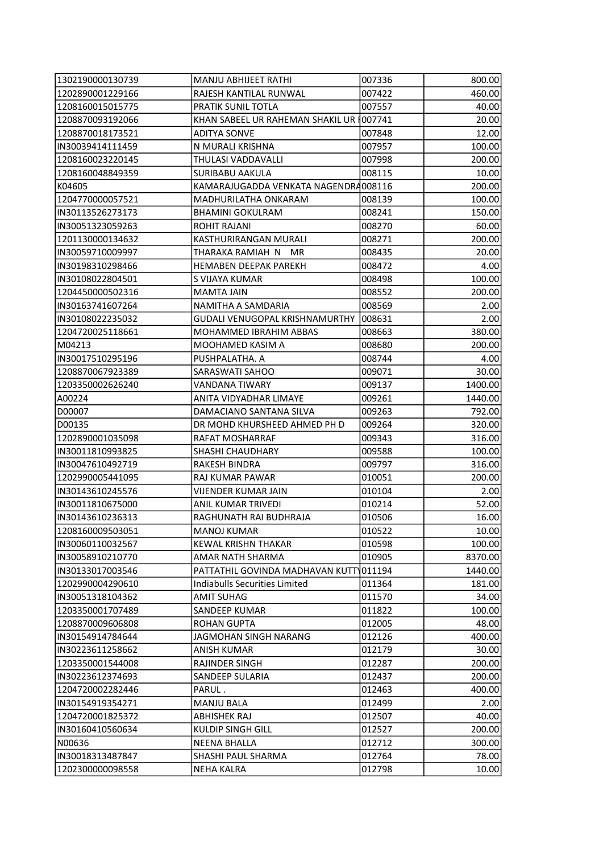| 1302190000130739  | MANJU ABHIJEET RATHI                     | 007336 | 800.00  |
|-------------------|------------------------------------------|--------|---------|
| 1202890001229166  | RAJESH KANTILAL RUNWAL                   | 007422 | 460.00  |
| 1208160015015775  | PRATIK SUNIL TOTLA                       | 007557 | 40.00   |
| 1208870093192066  | KHAN SABEEL UR RAHEMAN SHAKIL UR 1007741 |        | 20.00   |
| 1208870018173521  | ADITYA SONVE                             | 007848 | 12.00   |
| IN30039414111459  | N MURALI KRISHNA                         | 007957 | 100.00  |
| 1208160023220145  | THULASI VADDAVALLI                       | 007998 | 200.00  |
| 1208160048849359  | <b>SURIBABU AAKULA</b>                   | 008115 | 10.00   |
| K04605            | KAMARAJUGADDA VENKATA NAGENDRA008116     |        | 200.00  |
| 1204770000057521  | MADHURILATHA ONKARAM                     | 008139 | 100.00  |
| IN30113526273173  | <b>BHAMINI GOKULRAM</b>                  | 008241 | 150.00  |
| IN30051323059263  | ROHIT RAJANI                             | 008270 | 60.00   |
| 1201130000134632  | KASTHURIRANGAN MURALI                    | 008271 | 200.00  |
| IN30059710009997  | THARAKA RAMIAH N MR                      | 008435 | 20.00   |
| IN30198310298466  | <b>HEMABEN DEEPAK PAREKH</b>             | 008472 | 4.00    |
| IN30108022804501  | S VIJAYA KUMAR                           | 008498 | 100.00  |
| 1204450000502316  | <b>MAMTA JAIN</b>                        | 008552 | 200.00  |
| IN30163741607264  | NAMITHA A SAMDARIA                       | 008569 | 2.00    |
| IN30108022235032  | <b>GUDALI VENUGOPAL KRISHNAMURTHY</b>    | 008631 | 2.00    |
| 1204720025118661  | MOHAMMED IBRAHIM ABBAS                   | 008663 | 380.00  |
| M04213            | MOOHAMED KASIM A                         | 008680 | 200.00  |
| IN30017510295196  | PUSHPALATHA. A                           | 008744 | 4.00    |
| 1208870067923389  | SARASWATI SAHOO                          | 009071 | 30.00   |
| 1203350002626240  | VANDANA TIWARY                           | 009137 | 1400.00 |
| A00224            | ANITA VIDYADHAR LIMAYE                   | 009261 | 1440.00 |
| D00007            | DAMACIANO SANTANA SILVA                  | 009263 | 792.00  |
| D00135            | DR MOHD KHURSHEED AHMED PH D             | 009264 | 320.00  |
| 1202890001035098  | RAFAT MOSHARRAF                          | 009343 | 316.00  |
| IN30011810993825  | <b>SHASHI CHAUDHARY</b>                  | 009588 | 100.00  |
| IN30047610492719  | RAKESH BINDRA                            | 009797 | 316.00  |
| 1202990005441095  | RAJ KUMAR PAWAR                          | 010051 | 200.00  |
| IN30143610245576  | <b>VIJENDER KUMAR JAIN</b>               | 010104 | 2.00    |
| IN30011810675000  | ANIL KUMAR TRIVEDI                       | 010214 | 52.00   |
| IN30143610236313  | RAGHUNATH RAI BUDHRAJA                   | 010506 | 16.00   |
| 1208160009503051  | <b>MANOJ KUMAR</b>                       | 010522 | 10.00   |
| IIN30060110032567 | <b>KEWAL KRISHN THAKAR</b>               | 010598 | 100.00  |
| IN30058910210770  | AMAR NATH SHARMA                         | 010905 | 8370.00 |
| IIN30133017003546 | PATTATHIL GOVINDA MADHAVAN KUTT 011194   |        | 1440.00 |
| 1202990004290610  | Indiabulls Securities Limited            | 011364 | 181.00  |
| IN30051318104362  | AMIT SUHAG                               | 011570 | 34.00   |
| 1203350001707489  | <b>SANDEEP KUMAR</b>                     | 011822 | 100.00  |
| 1208870009606808  | <b>ROHAN GUPTA</b>                       |        | 48.00   |
|                   | JAGMOHAN SINGH NARANG                    | 012005 |         |
| IN30154914784644  |                                          | 012126 | 400.00  |
| IN30223611258662  | <b>ANISH KUMAR</b>                       | 012179 | 30.00   |
| 1203350001544008  | RAJINDER SINGH                           | 012287 | 200.00  |
| IN30223612374693  | SANDEEP SULARIA                          | 012437 | 200.00  |
| 1204720002282446  | PARUL.                                   | 012463 | 400.00  |
| IN30154919354271  | <b>MANJU BALA</b>                        | 012499 | 2.00    |
| 1204720001825372  | <b>ABHISHEK RAJ</b>                      | 012507 | 40.00   |
| IN30160410560634  | KULDIP SINGH GILL                        | 012527 | 200.00  |
| N00636            | NEENA BHALLA                             | 012712 | 300.00  |
| IN30018313487847  | SHASHI PAUL SHARMA                       | 012764 | 78.00   |
| 1202300000098558  | NEHA KALRA                               | 012798 | 10.00   |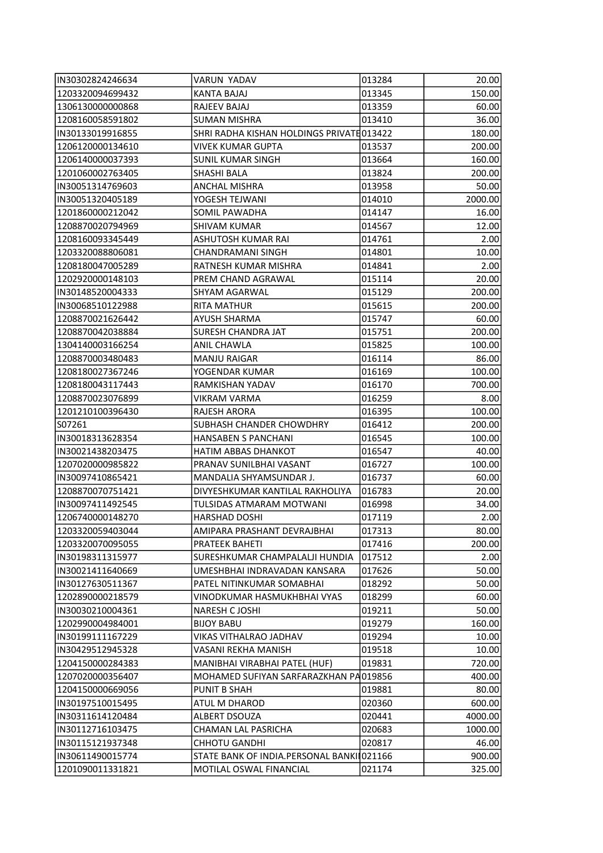| IN30302824246634                     | VARUN YADAV                                           | 013284 | 20.00   |
|--------------------------------------|-------------------------------------------------------|--------|---------|
| 1203320094699432                     | KANTA BAJAJ                                           | 013345 | 150.00  |
| 1306130000000868                     | RAJEEV BAJAJ                                          | 013359 | 60.00   |
| 1208160058591802                     | <b>SUMAN MISHRA</b>                                   | 013410 | 36.00   |
| IN30133019916855                     | SHRI RADHA KISHAN HOLDINGS PRIVATE 013422             |        | 180.00  |
| 1206120000134610                     | <b>VIVEK KUMAR GUPTA</b>                              | 013537 | 200.00  |
| 1206140000037393                     | <b>SUNIL KUMAR SINGH</b>                              | 013664 | 160.00  |
| 1201060002763405                     | SHASHI BALA                                           | 013824 | 200.00  |
| IN30051314769603                     | <b>ANCHAL MISHRA</b>                                  | 013958 | 50.00   |
| IN30051320405189                     | YOGESH TEJWANI                                        | 014010 | 2000.00 |
| 1201860000212042                     | <b>SOMIL PAWADHA</b>                                  | 014147 | 16.00   |
| 1208870020794969                     | <b>SHIVAM KUMAR</b>                                   | 014567 | 12.00   |
| 1208160093345449                     | ASHUTOSH KUMAR RAI                                    | 014761 | 2.00    |
| 1203320088806081                     | CHANDRAMANI SINGH                                     | 014801 | 10.00   |
| 1208180047005289                     | RATNESH KUMAR MISHRA                                  | 014841 | 2.00    |
| 1202920000148103                     | PREM CHAND AGRAWAL                                    | 015114 | 20.00   |
| IN30148520004333                     | SHYAM AGARWAL                                         | 015129 | 200.00  |
| IN30068510122988                     | <b>RITA MATHUR</b>                                    | 015615 | 200.00  |
| 1208870021626442                     | <b>AYUSH SHARMA</b>                                   | 015747 | 60.00   |
| 1208870042038884                     | <b>SURESH CHANDRA JAT</b>                             | 015751 | 200.00  |
| 1304140003166254                     | ANIL CHAWLA                                           | 015825 | 100.00  |
| 1208870003480483                     | <b>MANJU RAIGAR</b>                                   | 016114 | 86.00   |
| 1208180027367246                     | YOGENDAR KUMAR                                        | 016169 | 100.00  |
| 1208180043117443                     | RAMKISHAN YADAV                                       | 016170 | 700.00  |
| 1208870023076899                     | <b>VIKRAM VARMA</b>                                   | 016259 | 8.00    |
| 1201210100396430                     | RAJESH ARORA                                          | 016395 | 100.00  |
| S07261                               | <b>SUBHASH CHANDER CHOWDHRY</b>                       | 016412 | 200.00  |
| IN30018313628354                     | HANSABEN S PANCHANI                                   | 016545 | 100.00  |
| IN30021438203475                     | HATIM ABBAS DHANKOT                                   | 016547 | 40.00   |
| 1207020000985822                     | PRANAV SUNILBHAI VASANT                               | 016727 | 100.00  |
| IN30097410865421                     | MANDALIA SHYAMSUNDAR J.                               | 016737 | 60.00   |
| 1208870070751421                     | DIVYESHKUMAR KANTILAL RAKHOLIYA                       | 016783 | 20.00   |
| IN30097411492545                     | TULSIDAS ATMARAM MOTWANI                              | 016998 | 34.00   |
| 1206740000148270                     | <b>HARSHAD DOSHI</b>                                  | 017119 | 2.00    |
| 1203320059403044                     | AMIPARA PRASHANT DEVRAJBHAI                           | 017313 | 80.00   |
| 1203320070095055                     | PRATEEK BAHETI                                        | 017416 | 200.00  |
| IN30198311315977                     | SURESHKUMAR CHAMPALALJI HUNDIA                        | 017512 | 2.00    |
| IN30021411640669                     | UMESHBHAI INDRAVADAN KANSARA                          | 017626 | 50.00   |
| IN30127630511367                     | PATEL NITINKUMAR SOMABHAI                             | 018292 | 50.00   |
| 1202890000218579                     | VINODKUMAR HASMUKHBHAI VYAS                           | 018299 | 60.00   |
| IN30030210004361                     | <b>NARESH CJOSHI</b>                                  | 019211 | 50.00   |
| 1202990004984001                     | <b>BIJOY BABU</b>                                     | 019279 | 160.00  |
| IN30199111167229                     | VIKAS VITHALRAO JADHAV                                | 019294 | 10.00   |
| IN30429512945328                     | VASANI REKHA MANISH                                   | 019518 | 10.00   |
|                                      |                                                       |        |         |
| 1204150000284383                     | MANIBHAI VIRABHAI PATEL (HUF)                         | 019831 | 720.00  |
| 1207020000356407<br>1204150000669056 | MOHAMED SUFIYAN SARFARAZKHAN PA019856<br>PUNIT B SHAH | 019881 | 400.00  |
|                                      |                                                       |        | 80.00   |
| IN30197510015495                     | <b>ATUL M DHAROD</b>                                  | 020360 | 600.00  |
| IN30311614120484                     | ALBERT DSOUZA                                         | 020441 | 4000.00 |
| IN30112716103475                     | CHAMAN LAL PASRICHA                                   | 020683 | 1000.00 |
| IN30115121937348                     | <b>CHHOTU GANDHI</b>                                  | 020817 | 46.00   |
| IN30611490015774                     | STATE BANK OF INDIA.PERSONAL BANKII021166             |        | 900.00  |
| 1201090011331821                     | MOTILAL OSWAL FINANCIAL                               | 021174 | 325.00  |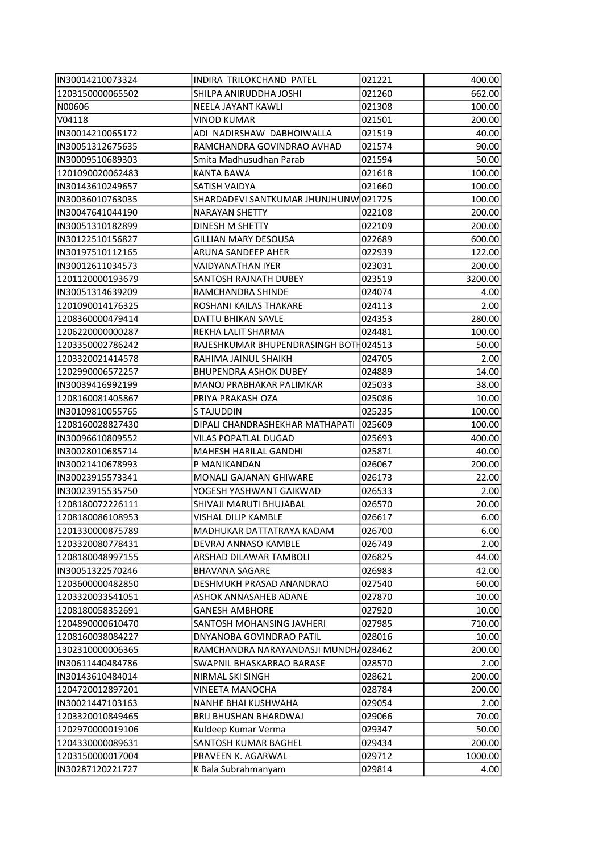| IN30014210073324 | INDIRA TRILOKCHAND PATEL              | 021221 | 400.00  |
|------------------|---------------------------------------|--------|---------|
| 1203150000065502 | SHILPA ANIRUDDHA JOSHI                | 021260 | 662.00  |
| N00606           | NEELA JAYANT KAWLI                    | 021308 | 100.00  |
| V04118           | <b>VINOD KUMAR</b>                    | 021501 | 200.00  |
| IN30014210065172 | ADI NADIRSHAW DABHOIWALLA             | 021519 | 40.00   |
| IN30051312675635 | RAMCHANDRA GOVINDRAO AVHAD            | 021574 | 90.00   |
| IN30009510689303 | Smita Madhusudhan Parab               | 021594 | 50.00   |
| 1201090020062483 | <b>KANTA BAWA</b>                     | 021618 | 100.00  |
| IN30143610249657 | SATISH VAIDYA                         | 021660 | 100.00  |
| IN30036010763035 | SHARDADEVI SANTKUMAR JHUNJHUNW 021725 |        | 100.00  |
| IN30047641044190 | <b>NARAYAN SHETTY</b>                 | 022108 | 200.00  |
| IN30051310182899 | DINESH M SHETTY                       | 022109 | 200.00  |
| IN30122510156827 | <b>GILLIAN MARY DESOUSA</b>           | 022689 | 600.00  |
| IN30197510112165 | ARUNA SANDEEP AHER                    | 022939 | 122.00  |
| IN30012611034573 | <b>VAIDYANATHAN IYER</b>              | 023031 | 200.00  |
| 1201120000193679 | SANTOSH RAJNATH DUBEY                 | 023519 | 3200.00 |
| IN30051314639209 | RAMCHANDRA SHINDE                     | 024074 | 4.00    |
| 1201090014176325 | ROSHANI KAILAS THAKARE                | 024113 | 2.00    |
| 1208360000479414 | DATTU BHIKAN SAVLE                    | 024353 | 280.00  |
| 1206220000000287 | REKHA LALIT SHARMA                    | 024481 | 100.00  |
| 1203350002786242 | RAJESHKUMAR BHUPENDRASINGH BOTH024513 |        | 50.00   |
| 1203320021414578 | RAHIMA JAINUL SHAIKH                  | 024705 | 2.00    |
| 1202990006572257 | <b>BHUPENDRA ASHOK DUBEY</b>          | 024889 | 14.00   |
| IN30039416992199 | MANOJ PRABHAKAR PALIMKAR              | 025033 | 38.00   |
| 1208160081405867 | PRIYA PRAKASH OZA                     | 025086 | 10.00   |
| IN30109810055765 | <b>STAJUDDIN</b>                      | 025235 | 100.00  |
| 1208160028827430 | DIPALI CHANDRASHEKHAR MATHAPATI       | 025609 | 100.00  |
| IN30096610809552 | <b>VILAS POPATLAL DUGAD</b>           | 025693 | 400.00  |
| IN30028010685714 | MAHESH HARILAL GANDHI                 | 025871 | 40.00   |
| IN30021410678993 | P MANIKANDAN                          | 026067 | 200.00  |
| IN30023915573341 | MONALI GAJANAN GHIWARE                | 026173 | 22.00   |
| IN30023915535750 | YOGESH YASHWANT GAIKWAD               | 026533 | 2.00    |
| 1208180072226111 | SHIVAJI MARUTI BHUJABAL               | 026570 | 20.00   |
| 1208180086108953 | VISHAL DILIP KAMBLE                   | 026617 | 6.00    |
| 1201330000875789 | MADHUKAR DATTATRAYA KADAM             | 026700 | 6.00    |
| 1203320080778431 | DEVRAJ ANNASO KAMBLE                  | 026749 | 2.00    |
| 1208180048997155 | ARSHAD DILAWAR TAMBOLI                | 026825 | 44.00   |
| IN30051322570246 | <b>BHAVANA SAGARE</b>                 | 026983 | 42.00   |
| 1203600000482850 | DESHMUKH PRASAD ANANDRAO              | 027540 | 60.00   |
| 1203320033541051 | ASHOK ANNASAHEB ADANE                 | 027870 | 10.00   |
| 1208180058352691 | <b>GANESH AMBHORE</b>                 | 027920 | 10.00   |
| 1204890000610470 | SANTOSH MOHANSING JAVHERI             | 027985 | 710.00  |
| 1208160038084227 | DNYANOBA GOVINDRAO PATIL              | 028016 | 10.00   |
| 1302310000006365 | RAMCHANDRA NARAYANDASJI MUNDH4028462  |        | 200.00  |
| IN30611440484786 | SWAPNIL BHASKARRAO BARASE             | 028570 | 2.00    |
| IN30143610484014 | NIRMAL SKI SINGH                      | 028621 | 200.00  |
| 1204720012897201 | VINEETA MANOCHA                       | 028784 | 200.00  |
| IN30021447103163 | NANHE BHAI KUSHWAHA                   | 029054 | 2.00    |
| 1203320010849465 | <b>BRIJ BHUSHAN BHARDWAJ</b>          | 029066 | 70.00   |
| 1202970000019106 | Kuldeep Kumar Verma                   | 029347 | 50.00   |
| 1204330000089631 | SANTOSH KUMAR BAGHEL                  | 029434 | 200.00  |
| 1203150000017004 | PRAVEEN K. AGARWAL                    | 029712 | 1000.00 |
| IN30287120221727 | K Bala Subrahmanyam                   | 029814 | 4.00    |
|                  |                                       |        |         |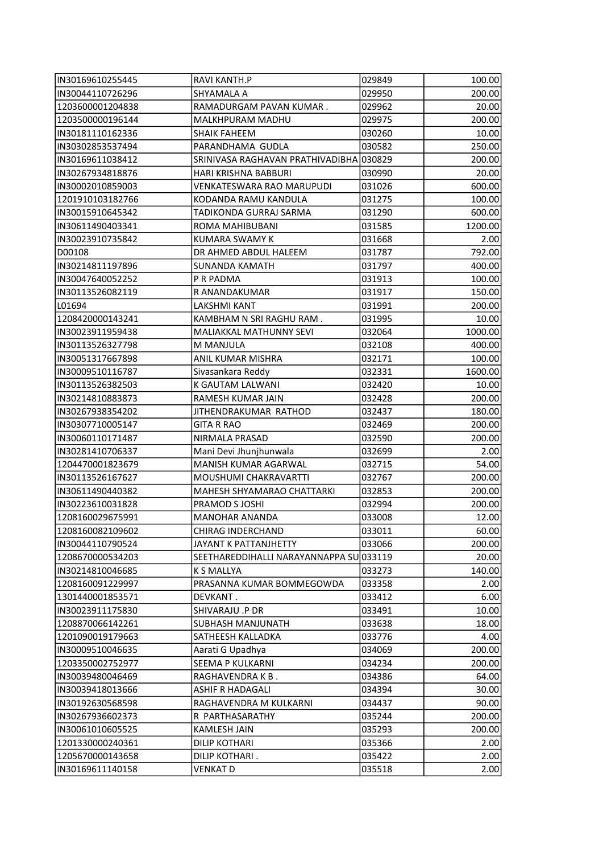| IN30169610255445  | RAVI KANTH.P                            | 029849 | 100.00  |
|-------------------|-----------------------------------------|--------|---------|
| IN30044110726296  | SHYAMALA A                              | 029950 | 200.00  |
| 1203600001204838  | RAMADURGAM PAVAN KUMAR.                 | 029962 | 20.00   |
| 1203500000196144  | MALKHPURAM MADHU                        | 029975 | 200.00  |
| IN30181110162336  | SHAIK FAHEEM                            | 030260 | 10.00   |
| IN30302853537494  | PARANDHAMA GUDLA                        | 030582 | 250.00  |
| IN30169611038412  | SRINIVASA RAGHAVAN PRATHIVADIBHA 030829 |        | 200.00  |
| IN30267934818876  | HARI KRISHNA BABBURI                    | 030990 | 20.00   |
| IN30002010859003  | VENKATESWARA RAO MARUPUDI               | 031026 | 600.00  |
| 1201910103182766  | KODANDA RAMU KANDULA                    | 031275 | 100.00  |
| IN30015910645342  | TADIKONDA GURRAJ SARMA                  | 031290 | 600.00  |
| IN30611490403341  | ROMA MAHIBUBANI                         | 031585 | 1200.00 |
| IN30023910735842  | KUMARA SWAMY K                          | 031668 | 2.00    |
| D00108            | DR AHMED ABDUL HALEEM                   | 031787 | 792.00  |
| IN30214811197896  | <b>SUNANDA KAMATH</b>                   | 031797 | 400.00  |
| IN30047640052252  | P R PADMA                               | 031913 | 100.00  |
| IN30113526082119  | R ANANDAKUMAR                           | 031917 | 150.00  |
| L01694            | LAKSHMI KANT                            | 031991 | 200.00  |
| 1208420000143241  | KAMBHAM N SRI RAGHU RAM.                | 031995 | 10.00   |
| IN30023911959438  | MALIAKKAL MATHUNNY SEVI                 | 032064 | 1000.00 |
| IN30113526327798  | M MANJULA                               | 032108 | 400.00  |
| IIN30051317667898 | ANIL KUMAR MISHRA                       | 032171 | 100.00  |
| IN30009510116787  | Sivasankara Reddy                       | 032331 | 1600.00 |
| IN30113526382503  | K GAUTAM LALWANI                        | 032420 | 10.00   |
| IN30214810883873  | RAMESH KUMAR JAIN                       | 032428 | 200.00  |
| IN30267938354202  | JITHENDRAKUMAR RATHOD                   | 032437 | 180.00  |
| IN30307710005147  | <b>GITA R RAO</b>                       | 032469 | 200.00  |
| IN30060110171487  | NIRMALA PRASAD                          | 032590 | 200.00  |
| IN30281410706337  | Mani Devi Jhunjhunwala                  | 032699 | 2.00    |
| 1204470001823679  | MANISH KUMAR AGARWAL                    | 032715 | 54.00   |
| IN30113526167627  | MOUSHUMI CHAKRAVARTTI                   | 032767 | 200.00  |
| IIN30611490440382 | MAHESH SHYAMARAO CHATTARKI              | 032853 | 200.00  |
| IN30223610031828  | PRAMOD S JOSHI                          | 032994 | 200.00  |
| 1208160029675991  | <b>MANOHAR ANANDA</b>                   | 033008 | 12.00   |
| 1208160082109602  | CHIRAG INDERCHAND                       | 033011 | 60.00   |
| IN30044110790524  | <b>JAYANT K PATTANJHETTY</b>            | 033066 | 200.00  |
| 1208670000534203  | SEETHAREDDIHALLI NARAYANNAPPA SU 033119 |        | 20.00   |
| IN30214810046685  | K S MALLYA                              | 033273 | 140.00  |
| 1208160091229997  | PRASANNA KUMAR BOMMEGOWDA               | 033358 | 2.00    |
| 1301440001853571  | DEVKANT.                                | 033412 | 6.00    |
| IN30023911175830  | SHIVARAJU .P DR                         | 033491 | 10.00   |
| 1208870066142261  | SUBHASH MANJUNATH                       | 033638 | 18.00   |
| 1201090019179663  | SATHEESH KALLADKA                       | 033776 | 4.00    |
| IN30009510046635  | Aarati G Upadhya                        | 034069 | 200.00  |
| 1203350002752977  | SEEMA P KULKARNI                        | 034234 | 200.00  |
| IN30039480046469  | RAGHAVENDRA K B .                       | 034386 | 64.00   |
| IN30039418013666  | <b>ASHIF R HADAGALI</b>                 | 034394 | 30.00   |
| IN30192630568598  | RAGHAVENDRA M KULKARNI                  | 034437 | 90.00   |
| IN30267936602373  | R PARTHASARATHY                         | 035244 | 200.00  |
| IN30061010605525  | <b>KAMLESH JAIN</b>                     | 035293 | 200.00  |
| 1201330000240361  | <b>DILIP KOTHARI</b>                    | 035366 | 2.00    |
| 1205670000143658  | DILIP KOTHARI.                          | 035422 | 2.00    |
| IN30169611140158  | VENKAT D                                | 035518 | 2.00    |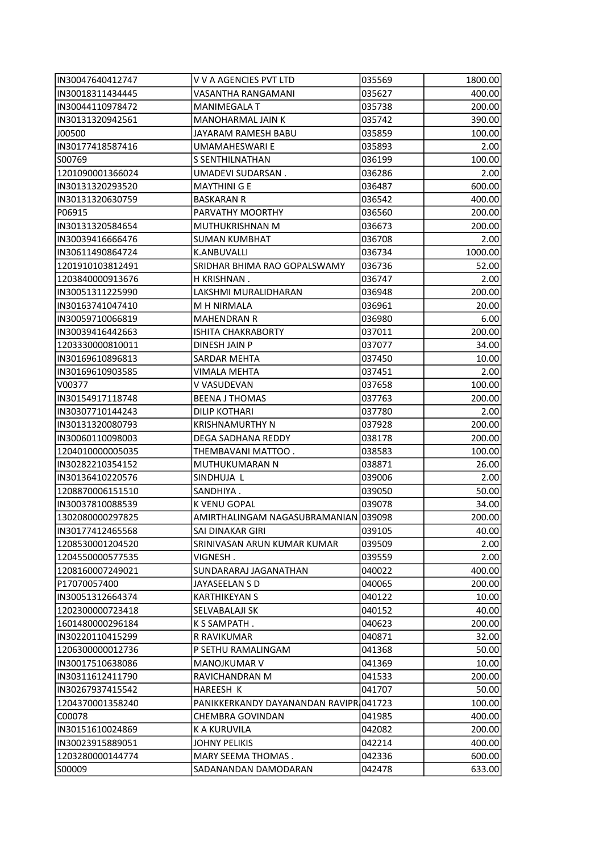| IN30047640412747  | V V A AGENCIES PVT LTD                 | 035569 | 1800.00 |
|-------------------|----------------------------------------|--------|---------|
| IN30018311434445  | <b>VASANTHA RANGAMANI</b>              | 035627 | 400.00  |
| IIN30044110978472 | <b>MANIMEGALA T</b>                    | 035738 | 200.00  |
| IN30131320942561  | <b>MANOHARMAL JAIN K</b>               | 035742 | 390.00  |
| J00500            | JAYARAM RAMESH BABU                    | 035859 | 100.00  |
| IN30177418587416  | <b>UMAMAHESWARI E</b>                  | 035893 | 2.00    |
| S00769            | S SENTHILNATHAN                        | 036199 | 100.00  |
| 1201090001366024  | UMADEVI SUDARSAN.                      | 036286 | 2.00    |
| IN30131320293520  | <b>MAYTHINI G E</b>                    | 036487 | 600.00  |
| IIN30131320630759 | <b>BASKARAN R</b>                      | 036542 | 400.00  |
| P06915            | PARVATHY MOORTHY                       |        |         |
|                   |                                        | 036560 | 200.00  |
| IN30131320584654  | MUTHUKRISHNAN M                        | 036673 | 200.00  |
| IN30039416666476  | <b>SUMAN KUMBHAT</b>                   | 036708 | 2.00    |
| IN30611490864724  | K.ANBUVALLI                            | 036734 | 1000.00 |
| 1201910103812491  | SRIDHAR BHIMA RAO GOPALSWAMY           | 036736 | 52.00   |
| 1203840000913676  | H KRISHNAN.                            | 036747 | 2.00    |
| IN30051311225990  | LAKSHMI MURALIDHARAN                   | 036948 | 200.00  |
| IN30163741047410  | M H NIRMALA                            | 036961 | 20.00   |
| IN30059710066819  | <b>MAHENDRAN R</b>                     | 036980 | 6.00    |
| IN30039416442663  | <b>ISHITA CHAKRABORTY</b>              | 037011 | 200.00  |
| 1203330000810011  | DINESH JAIN P                          | 037077 | 34.00   |
| IN30169610896813  | SARDAR MEHTA                           | 037450 | 10.00   |
| IN30169610903585  | <b>VIMALA MEHTA</b>                    | 037451 | 2.00    |
| V00377            | V VASUDEVAN                            | 037658 | 100.00  |
| IN30154917118748  | <b>BEENA J THOMAS</b>                  | 037763 | 200.00  |
| IN30307710144243  | <b>DILIP KOTHARI</b>                   | 037780 | 2.00    |
| IN30131320080793  | KRISHNAMURTHY N                        | 037928 | 200.00  |
| IN30060110098003  | DEGA SADHANA REDDY                     | 038178 | 200.00  |
| 1204010000005035  | THEMBAVANI MATTOO.                     | 038583 | 100.00  |
| IN30282210354152  | MUTHUKUMARAN N                         | 038871 | 26.00   |
| IIN30136410220576 | SINDHUJA L                             | 039006 | 2.00    |
| 1208870006151510  | SANDHIYA.                              | 039050 | 50.00   |
| IIN30037810088539 | K VENU GOPAL                           | 039078 | 34.00   |
| 1302080000297825  | AMIRTHALINGAM NAGASUBRAMANIAN 039098   |        | 200.00  |
| IN30177412465568  | SAI DINAKAR GIRI                       | 039105 | 40.00   |
| 1208530001204520  | SRINIVASAN ARUN KUMAR KUMAR            | 039509 | 2.00    |
| 1204550000577535  | VIGNESH.                               | 039559 | 2.00    |
| 1208160007249021  | SUNDARARAJ JAGANATHAN                  | 040022 | 400.00  |
| P17070057400      | JAYASEELAN S D                         | 040065 | 200.00  |
| IN30051312664374  | KARTHIKEYAN S                          | 040122 | 10.00   |
| 1202300000723418  | SELVABALAJI SK                         | 040152 | 40.00   |
| 1601480000296184  | K S SAMPATH.                           | 040623 | 200.00  |
|                   |                                        |        | 32.00   |
| IN30220110415299  | R RAVIKUMAR                            | 040871 |         |
| 1206300000012736  | P SETHU RAMALINGAM                     | 041368 | 50.00   |
| IN30017510638086  | <b>MANOJKUMAR V</b>                    | 041369 | 10.00   |
| IN30311612411790  | RAVICHANDRAN M                         | 041533 | 200.00  |
| IN30267937415542  | HAREESH K                              | 041707 | 50.00   |
| 1204370001358240  | PANIKKERKANDY DAYANANDAN RAVIPR 041723 |        | 100.00  |
| C00078            | CHEMBRA GOVINDAN                       | 041985 | 400.00  |
| IN30151610024869  | K A KURUVILA                           | 042082 | 200.00  |
| IN30023915889051  | JOHNY PELIKIS                          | 042214 | 400.00  |
| 1203280000144774  | MARY SEEMA THOMAS.                     | 042336 | 600.00  |
| S00009            | SADANANDAN DAMODARAN                   | 042478 | 633.00  |